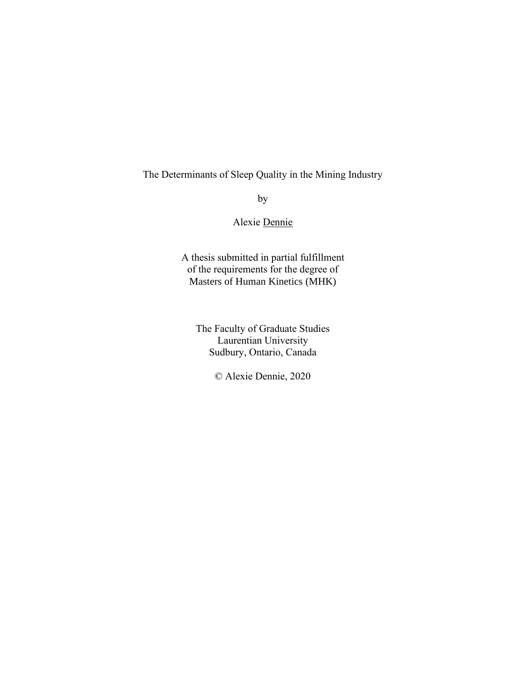### The Determinants of Sleep Quality in the Mining Industry

by

#### Alexie Dennie

A thesis submitted in partial fulfillment of the requirements for the degree of Masters of Human Kinetics (MHK)

The Faculty of Graduate Studies Laurentian University Sudbury, Ontario, Canada

© Alexie Dennie, 2020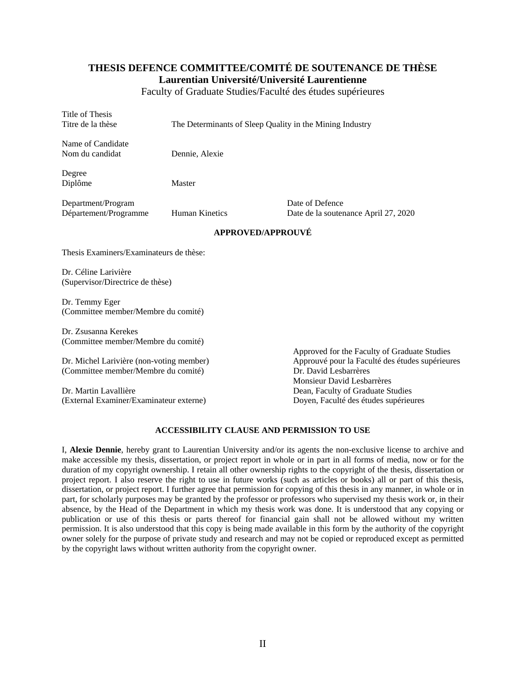#### **THESIS DEFENCE COMMITTEE/COMITÉ DE SOUTENANCE DE THÈSE Laurentian Université/Université Laurentienne**

Faculty of Graduate Studies/Faculté des études supérieures

| Title of Thesis<br>Titre de la thèse                                            | The Determinants of Sleep Quality in the Mining Industry |                                                                                                                                                        |  |  |
|---------------------------------------------------------------------------------|----------------------------------------------------------|--------------------------------------------------------------------------------------------------------------------------------------------------------|--|--|
| Name of Candidate<br>Nom du candidat                                            | Dennie, Alexie                                           |                                                                                                                                                        |  |  |
| Degree<br>Diplôme                                                               | Master                                                   |                                                                                                                                                        |  |  |
| Department/Program<br>Département/Programme                                     | <b>Human Kinetics</b>                                    | Date of Defence<br>Date de la soutenance April 27, 2020                                                                                                |  |  |
|                                                                                 | <b>APPROVED/APPROUVÉ</b>                                 |                                                                                                                                                        |  |  |
| Thesis Examiners/Examinateurs de thèse:                                         |                                                          |                                                                                                                                                        |  |  |
| Dr. Céline Larivière<br>(Supervisor/Directrice de thèse)                        |                                                          |                                                                                                                                                        |  |  |
| Dr. Temmy Eger<br>(Committee member/Membre du comité)                           |                                                          |                                                                                                                                                        |  |  |
| Dr. Zsusanna Kerekes<br>(Committee member/Membre du comité)                     |                                                          |                                                                                                                                                        |  |  |
| Dr. Michel Larivière (non-voting member)<br>(Committee member/Membre du comité) |                                                          | Approved for the Faculty of Graduate Studies<br>Approuvé pour la Faculté des études supérieures<br>Dr. David Lesbarrères<br>Monsieur David Lesbarrères |  |  |
| Dr. Martin Lavallière<br>(External Examiner/Examinateur externe)                |                                                          | Dean, Faculty of Graduate Studies<br>Doyen, Faculté des études supérieures                                                                             |  |  |

#### **ACCESSIBILITY CLAUSE AND PERMISSION TO USE**

I, **Alexie Dennie**, hereby grant to Laurentian University and/or its agents the non-exclusive license to archive and make accessible my thesis, dissertation, or project report in whole or in part in all forms of media, now or for the duration of my copyright ownership. I retain all other ownership rights to the copyright of the thesis, dissertation or project report. I also reserve the right to use in future works (such as articles or books) all or part of this thesis, dissertation, or project report. I further agree that permission for copying of this thesis in any manner, in whole or in part, for scholarly purposes may be granted by the professor or professors who supervised my thesis work or, in their absence, by the Head of the Department in which my thesis work was done. It is understood that any copying or publication or use of this thesis or parts thereof for financial gain shall not be allowed without my written permission. It is also understood that this copy is being made available in this form by the authority of the copyright owner solely for the purpose of private study and research and may not be copied or reproduced except as permitted by the copyright laws without written authority from the copyright owner.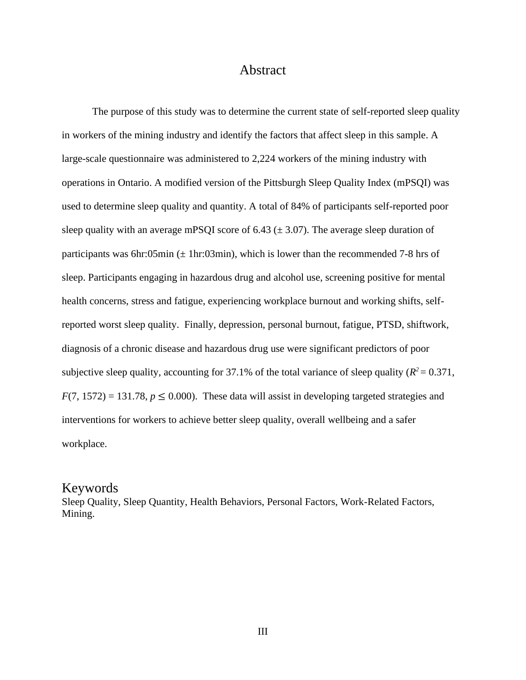## Abstract

<span id="page-2-0"></span>The purpose of this study was to determine the current state of self-reported sleep quality in workers of the mining industry and identify the factors that affect sleep in this sample. A large-scale questionnaire was administered to 2,224 workers of the mining industry with operations in Ontario. A modified version of the Pittsburgh Sleep Quality Index (mPSQI) was used to determine sleep quality and quantity. A total of 84% of participants self-reported poor sleep quality with an average mPSQI score of 6.43 ( $\pm$  3.07). The average sleep duration of participants was 6hr:05min ( $\pm$  1hr:03min), which is lower than the recommended 7-8 hrs of sleep. Participants engaging in hazardous drug and alcohol use, screening positive for mental health concerns, stress and fatigue, experiencing workplace burnout and working shifts, selfreported worst sleep quality. Finally, depression, personal burnout, fatigue, PTSD, shiftwork, diagnosis of a chronic disease and hazardous drug use were significant predictors of poor subjective sleep quality, accounting for 37.1% of the total variance of sleep quality ( $R^2 = 0.371$ ,  $F(7, 1572) = 131.78$ ,  $p \le 0.000$ ). These data will assist in developing targeted strategies and interventions for workers to achieve better sleep quality, overall wellbeing and a safer workplace.

#### Keywords

Sleep Quality, Sleep Quantity, Health Behaviors, Personal Factors, Work-Related Factors, Mining.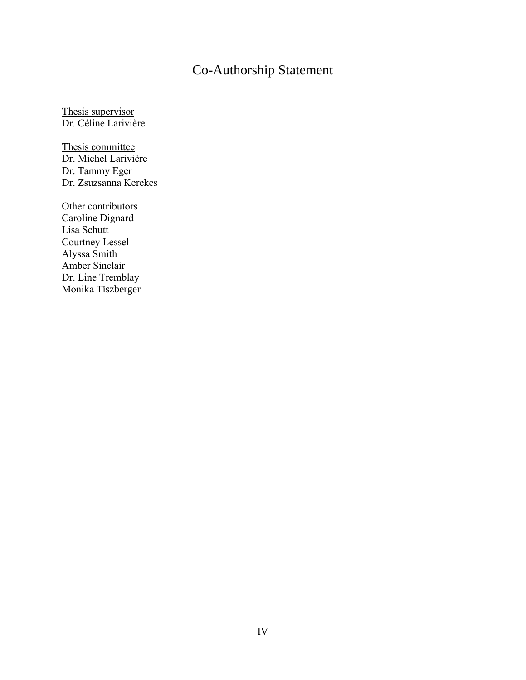# Co-Authorship Statement

<span id="page-3-0"></span>Thesis supervisor Dr. Céline Larivière

Thesis committee Dr. Michel Larivière Dr. Tammy Eger Dr. Zsuzsanna Kerekes

Other contributors Caroline Dignard Lisa Schutt Courtney Lessel Alyssa Smith Amber Sinclair Dr. Line Tremblay Monika Tiszberger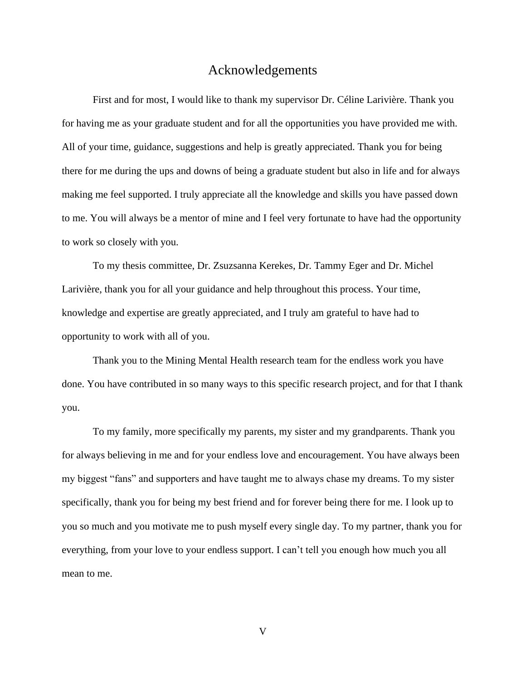### Acknowledgements

<span id="page-4-0"></span>First and for most, I would like to thank my supervisor Dr. Céline Larivière. Thank you for having me as your graduate student and for all the opportunities you have provided me with. All of your time, guidance, suggestions and help is greatly appreciated. Thank you for being there for me during the ups and downs of being a graduate student but also in life and for always making me feel supported. I truly appreciate all the knowledge and skills you have passed down to me. You will always be a mentor of mine and I feel very fortunate to have had the opportunity to work so closely with you.

To my thesis committee, Dr. Zsuzsanna Kerekes, Dr. Tammy Eger and Dr. Michel Larivière, thank you for all your guidance and help throughout this process. Your time, knowledge and expertise are greatly appreciated, and I truly am grateful to have had to opportunity to work with all of you.

Thank you to the Mining Mental Health research team for the endless work you have done. You have contributed in so many ways to this specific research project, and for that I thank you.

To my family, more specifically my parents, my sister and my grandparents. Thank you for always believing in me and for your endless love and encouragement. You have always been my biggest "fans" and supporters and have taught me to always chase my dreams. To my sister specifically, thank you for being my best friend and for forever being there for me. I look up to you so much and you motivate me to push myself every single day. To my partner, thank you for everything, from your love to your endless support. I can't tell you enough how much you all mean to me.

V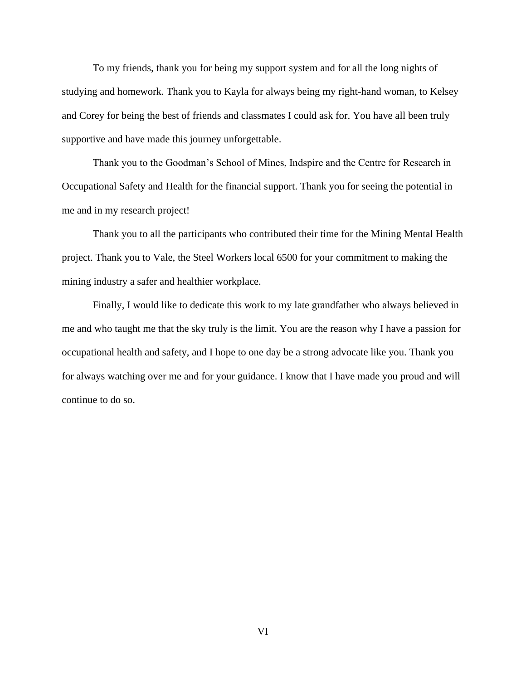To my friends, thank you for being my support system and for all the long nights of studying and homework. Thank you to Kayla for always being my right-hand woman, to Kelsey and Corey for being the best of friends and classmates I could ask for. You have all been truly supportive and have made this journey unforgettable.

Thank you to the Goodman's School of Mines, Indspire and the Centre for Research in Occupational Safety and Health for the financial support. Thank you for seeing the potential in me and in my research project!

Thank you to all the participants who contributed their time for the Mining Mental Health project. Thank you to Vale, the Steel Workers local 6500 for your commitment to making the mining industry a safer and healthier workplace.

Finally, I would like to dedicate this work to my late grandfather who always believed in me and who taught me that the sky truly is the limit. You are the reason why I have a passion for occupational health and safety, and I hope to one day be a strong advocate like you. Thank you for always watching over me and for your guidance. I know that I have made you proud and will continue to do so.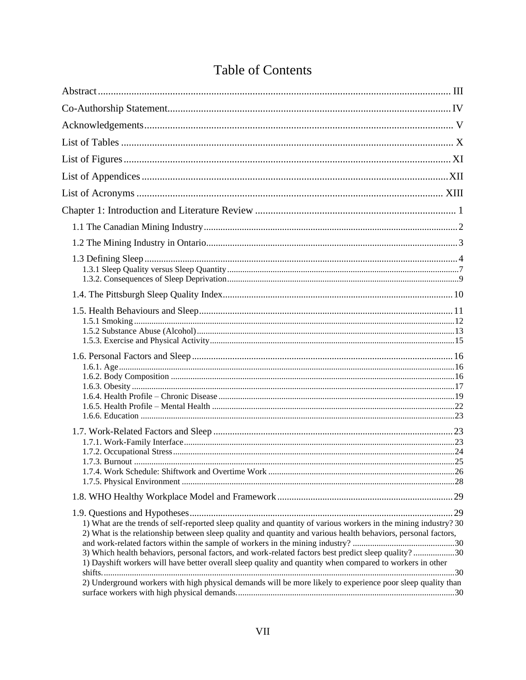# Table of Contents

| 1) What are the trends of self-reported sleep quality and quantity of various workers in the mining industry? 30<br>2) What is the relationship between sleep quality and quantity and various health behaviors, personal factors,<br>3) Which health behaviors, personal factors, and work-related factors best predict sleep quality?30<br>1) Dayshift workers will have better overall sleep quality and quantity when compared to workers in other<br>2) Underground workers with high physical demands will be more likely to experience poor sleep quality than |  |
|-----------------------------------------------------------------------------------------------------------------------------------------------------------------------------------------------------------------------------------------------------------------------------------------------------------------------------------------------------------------------------------------------------------------------------------------------------------------------------------------------------------------------------------------------------------------------|--|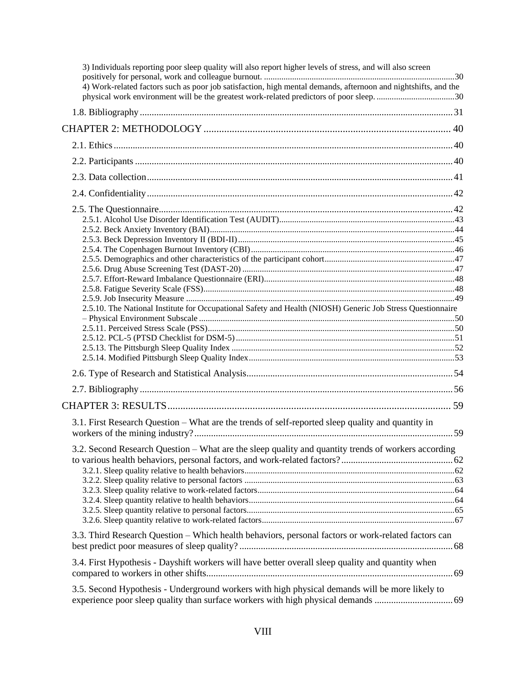| 3) Individuals reporting poor sleep quality will also report higher levels of stress, and will also screen                                                                                               |  |
|----------------------------------------------------------------------------------------------------------------------------------------------------------------------------------------------------------|--|
| 4) Work-related factors such as poor job satisfaction, high mental demands, afternoon and nightshifts, and the<br>physical work environment will be the greatest work-related predictors of poor sleep30 |  |
|                                                                                                                                                                                                          |  |
|                                                                                                                                                                                                          |  |
|                                                                                                                                                                                                          |  |
|                                                                                                                                                                                                          |  |
|                                                                                                                                                                                                          |  |
|                                                                                                                                                                                                          |  |
|                                                                                                                                                                                                          |  |
|                                                                                                                                                                                                          |  |
|                                                                                                                                                                                                          |  |
|                                                                                                                                                                                                          |  |
|                                                                                                                                                                                                          |  |
|                                                                                                                                                                                                          |  |
|                                                                                                                                                                                                          |  |
|                                                                                                                                                                                                          |  |
|                                                                                                                                                                                                          |  |
|                                                                                                                                                                                                          |  |
| 2.5.10. The National Institute for Occupational Safety and Health (NIOSH) Generic Job Stress Questionnaire                                                                                               |  |
|                                                                                                                                                                                                          |  |
|                                                                                                                                                                                                          |  |
|                                                                                                                                                                                                          |  |
|                                                                                                                                                                                                          |  |
|                                                                                                                                                                                                          |  |
|                                                                                                                                                                                                          |  |
|                                                                                                                                                                                                          |  |
| 3.1. First Research Question – What are the trends of self-reported sleep quality and quantity in                                                                                                        |  |
|                                                                                                                                                                                                          |  |
|                                                                                                                                                                                                          |  |
| 3.2. Second Research Question – What are the sleep quality and quantity trends of workers according                                                                                                      |  |
|                                                                                                                                                                                                          |  |
|                                                                                                                                                                                                          |  |
|                                                                                                                                                                                                          |  |
|                                                                                                                                                                                                          |  |
|                                                                                                                                                                                                          |  |
|                                                                                                                                                                                                          |  |
| 3.3. Third Research Question – Which health behaviors, personal factors or work-related factors can                                                                                                      |  |
| 3.4. First Hypothesis - Dayshift workers will have better overall sleep quality and quantity when                                                                                                        |  |
| 3.5. Second Hypothesis - Underground workers with high physical demands will be more likely to                                                                                                           |  |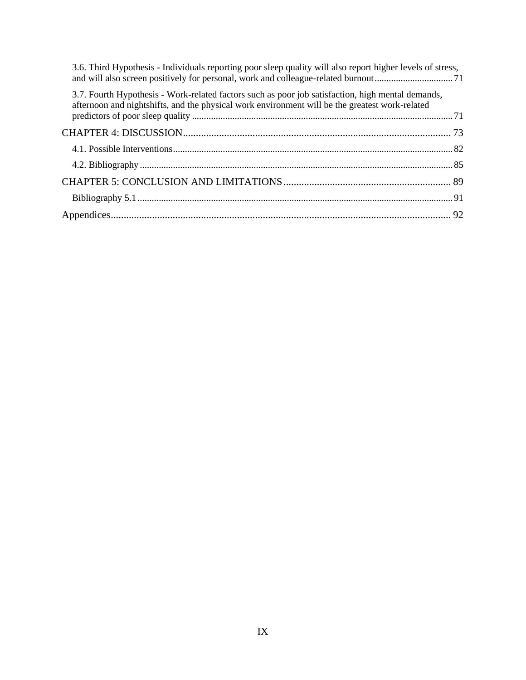| 3.6. Third Hypothesis - Individuals reporting poor sleep quality will also report higher levels of stress,                                                                                          |  |
|-----------------------------------------------------------------------------------------------------------------------------------------------------------------------------------------------------|--|
| 3.7. Fourth Hypothesis - Work-related factors such as poor job satisfaction, high mental demands,<br>afternoon and nightshifts, and the physical work environment will be the greatest work-related |  |
|                                                                                                                                                                                                     |  |
|                                                                                                                                                                                                     |  |
|                                                                                                                                                                                                     |  |
|                                                                                                                                                                                                     |  |
|                                                                                                                                                                                                     |  |
|                                                                                                                                                                                                     |  |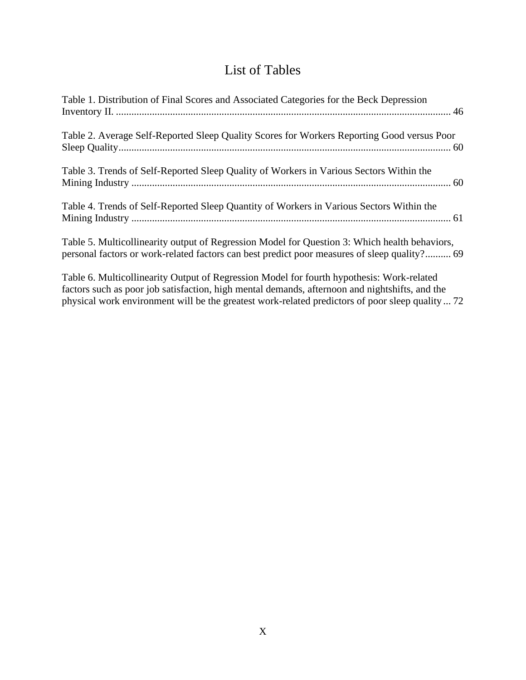# List of Tables

<span id="page-9-0"></span>

| Table 1. Distribution of Final Scores and Associated Categories for the Beck Depression                                                                                                       |
|-----------------------------------------------------------------------------------------------------------------------------------------------------------------------------------------------|
| Table 2. Average Self-Reported Sleep Quality Scores for Workers Reporting Good versus Poor                                                                                                    |
| Table 3. Trends of Self-Reported Sleep Quality of Workers in Various Sectors Within the                                                                                                       |
| Table 4. Trends of Self-Reported Sleep Quantity of Workers in Various Sectors Within the                                                                                                      |
| Table 5. Multicollinearity output of Regression Model for Question 3: Which health behaviors,<br>personal factors or work-related factors can best predict poor measures of sleep quality? 69 |

[Table 6. Multicollinearity Output of Regression Model for fourth hypothesis: Work-related](#page-85-0)  factors [such as poor job satisfaction, high mental demands, afternoon and nightshifts, and the](#page-85-0)  [physical work environment will be the greatest work-related predictors of poor sleep quality](#page-85-0) ... 72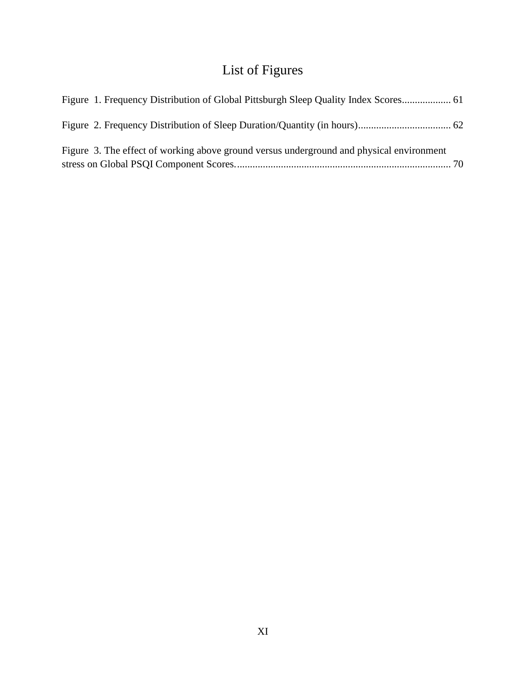# List of Figures

<span id="page-10-0"></span>

| Figure 1. Frequency Distribution of Global Pittsburgh Sleep Quality Index Scores 61      |  |
|------------------------------------------------------------------------------------------|--|
|                                                                                          |  |
| Figure 3. The effect of working above ground versus underground and physical environment |  |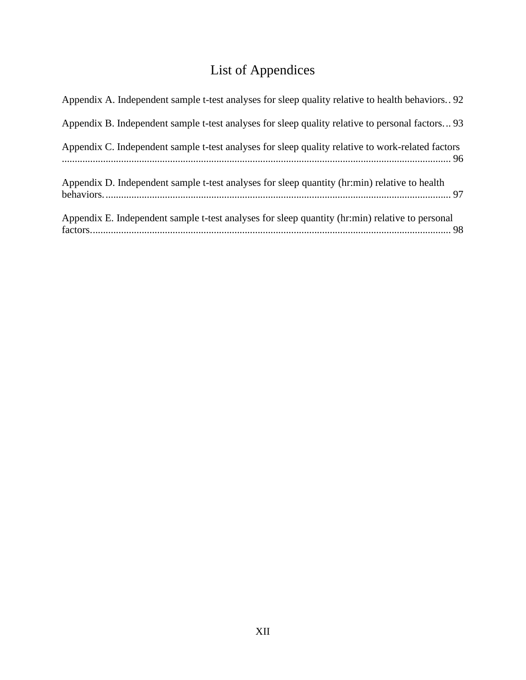# List of Appendices

<span id="page-11-0"></span>

| Appendix A. Independent sample t-test analyses for sleep quality relative to health behaviors. 92 |
|---------------------------------------------------------------------------------------------------|
| Appendix B. Independent sample t-test analyses for sleep quality relative to personal factors 93  |
| Appendix C. Independent sample t-test analyses for sleep quality relative to work-related factors |
| Appendix D. Independent sample t-test analyses for sleep quantity (hr:min) relative to health     |
| Appendix E. Independent sample t-test analyses for sleep quantity (hr:min) relative to personal   |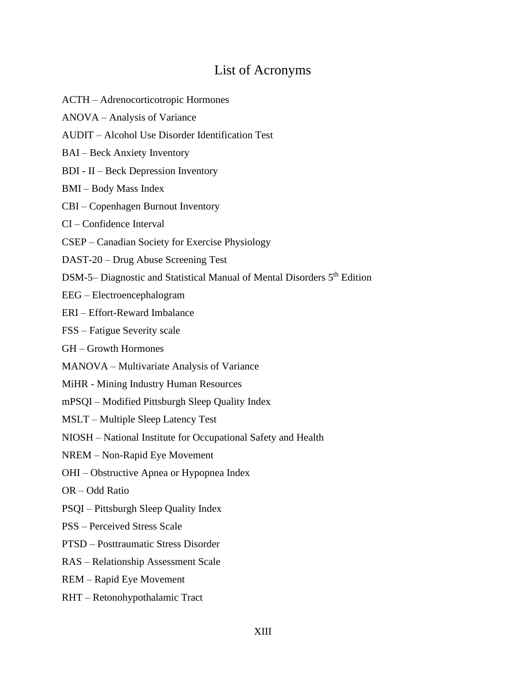## List of Acronyms

- <span id="page-12-0"></span>ACTH – Adrenocorticotropic Hormones
- ANOVA Analysis of Variance
- AUDIT Alcohol Use Disorder Identification Test
- BAI Beck Anxiety Inventory
- BDI II Beck Depression Inventory
- BMI Body Mass Index
- CBI Copenhagen Burnout Inventory
- CI Confidence Interval
- CSEP Canadian Society for Exercise Physiology
- DAST-20 Drug Abuse Screening Test
- DSM-5– Diagnostic and Statistical Manual of Mental Disorders 5<sup>th</sup> Edition
- EEG Electroencephalogram
- ERI Effort-Reward Imbalance
- FSS Fatigue Severity scale
- GH Growth Hormones
- MANOVA Multivariate Analysis of Variance
- MiHR Mining Industry Human Resources
- mPSQI Modified Pittsburgh Sleep Quality Index
- MSLT Multiple Sleep Latency Test
- NIOSH National Institute for Occupational Safety and Health
- NREM Non-Rapid Eye Movement
- OHI Obstructive Apnea or Hypopnea Index
- OR Odd Ratio
- PSQI Pittsburgh Sleep Quality Index
- PSS Perceived Stress Scale
- PTSD Posttraumatic Stress Disorder
- RAS Relationship Assessment Scale
- REM Rapid Eye Movement
- RHT Retonohypothalamic Tract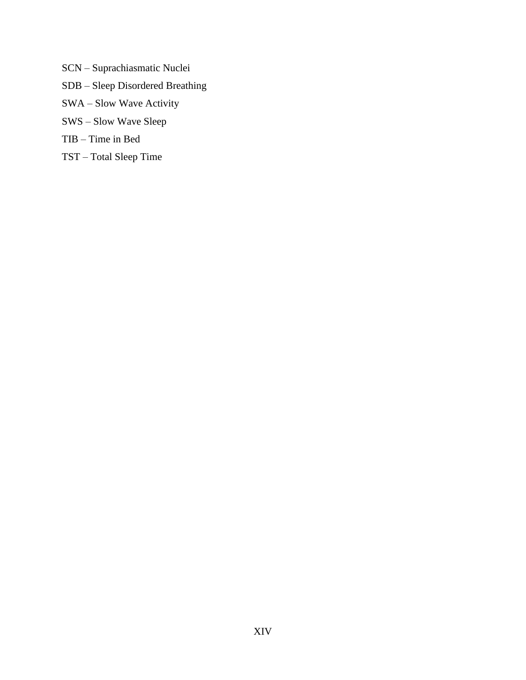- SCN Suprachiasmatic Nuclei
- SDB Sleep Disordered Breathing
- SWA Slow Wave Activity
- SWS Slow Wave Sleep
- TIB Time in Bed
- TST Total Sleep Time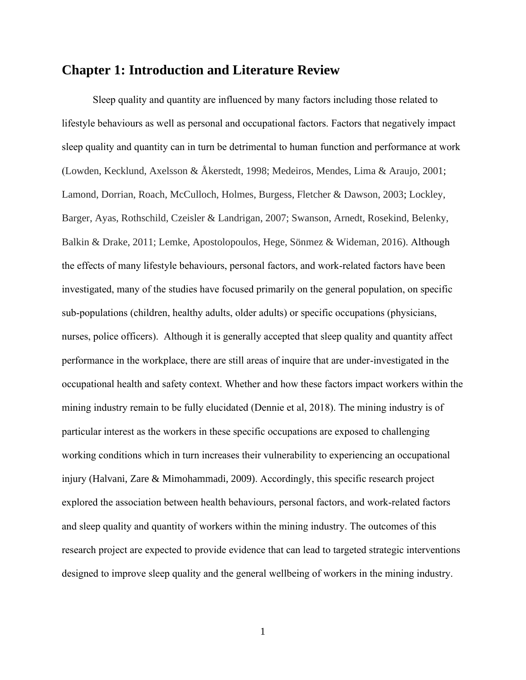## <span id="page-14-0"></span>**Chapter 1: Introduction and Literature Review**

Sleep quality and quantity are influenced by many factors including those related to lifestyle behaviours as well as personal and occupational factors. Factors that negatively impact sleep quality and quantity can in turn be detrimental to human function and performance at work (Lowden, Kecklund, Axelsson & Åkerstedt, 1998; Medeiros, Mendes, Lima & Araujo, 2001; Lamond, Dorrian, Roach, McCulloch, Holmes, Burgess, Fletcher & Dawson, 2003; Lockley, Barger, Ayas, Rothschild, Czeisler & Landrigan, 2007; Swanson, Arnedt, Rosekind, Belenky, Balkin & Drake, 2011; Lemke, Apostolopoulos, Hege, Sönmez & Wideman, 2016). Although the effects of many lifestyle behaviours, personal factors, and work-related factors have been investigated, many of the studies have focused primarily on the general population, on specific sub-populations (children, healthy adults, older adults) or specific occupations (physicians, nurses, police officers). Although it is generally accepted that sleep quality and quantity affect performance in the workplace, there are still areas of inquire that are under-investigated in the occupational health and safety context. Whether and how these factors impact workers within the mining industry remain to be fully elucidated (Dennie et al, 2018). The mining industry is of particular interest as the workers in these specific occupations are exposed to challenging working conditions which in turn increases their vulnerability to experiencing an occupational injury (Halvani, Zare & Mimohammadi, 2009). Accordingly, this specific research project explored the association between health behaviours, personal factors, and work-related factors and sleep quality and quantity of workers within the mining industry. The outcomes of this research project are expected to provide evidence that can lead to targeted strategic interventions designed to improve sleep quality and the general wellbeing of workers in the mining industry.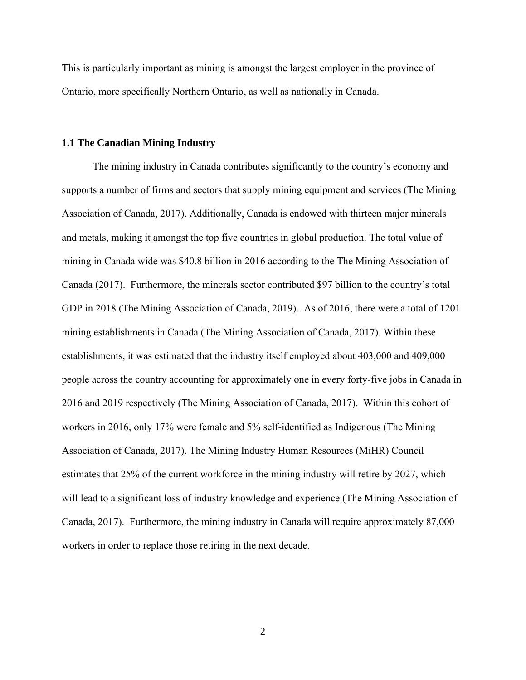This is particularly important as mining is amongst the largest employer in the province of Ontario, more specifically Northern Ontario, as well as nationally in Canada.

#### <span id="page-15-0"></span>**1.1 The Canadian Mining Industry**

The mining industry in Canada contributes significantly to the country's economy and supports a number of firms and sectors that supply mining equipment and services (The Mining Association of Canada, 2017). Additionally, Canada is endowed with thirteen major minerals and metals, making it amongst the top five countries in global production. The total value of mining in Canada wide was \$40.8 billion in 2016 according to the The Mining Association of Canada (2017). Furthermore, the minerals sector contributed \$97 billion to the country's total GDP in 2018 (The Mining Association of Canada, 2019). As of 2016, there were a total of 1201 mining establishments in Canada (The Mining Association of Canada, 2017). Within these establishments, it was estimated that the industry itself employed about 403,000 and 409,000 people across the country accounting for approximately one in every forty-five jobs in Canada in 2016 and 2019 respectively (The Mining Association of Canada, 2017). Within this cohort of workers in 2016, only 17% were female and 5% self-identified as Indigenous (The Mining Association of Canada, 2017). The Mining Industry Human Resources (MiHR) Council estimates that 25% of the current workforce in the mining industry will retire by 2027, which will lead to a significant loss of industry knowledge and experience (The Mining Association of Canada, 2017). Furthermore, the mining industry in Canada will require approximately 87,000 workers in order to replace those retiring in the next decade.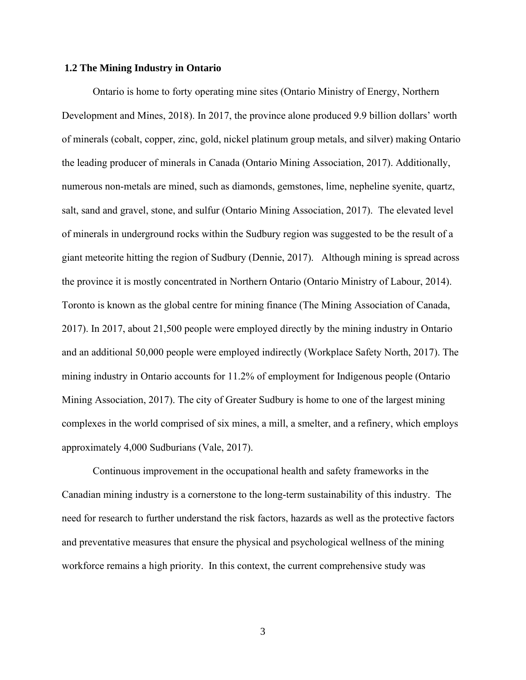#### <span id="page-16-0"></span>**1.2 The Mining Industry in Ontario**

Ontario is home to forty operating mine sites (Ontario Ministry of Energy, Northern Development and Mines, 2018). In 2017, the province alone produced 9.9 billion dollars' worth of minerals (cobalt, copper, zinc, gold, nickel platinum group metals, and silver) making Ontario the leading producer of minerals in Canada (Ontario Mining Association, 2017). Additionally, numerous non-metals are mined, such as diamonds, gemstones, lime, nepheline syenite, quartz, salt, sand and gravel, stone, and sulfur (Ontario Mining Association, 2017). The elevated level of minerals in underground rocks within the Sudbury region was suggested to be the result of a giant meteorite hitting the region of Sudbury (Dennie, 2017). Although mining is spread across the province it is mostly concentrated in Northern Ontario (Ontario Ministry of Labour, 2014). Toronto is known as the global centre for mining finance (The Mining Association of Canada, 2017). In 2017, about 21,500 people were employed directly by the mining industry in Ontario and an additional 50,000 people were employed indirectly (Workplace Safety North, 2017). The mining industry in Ontario accounts for 11.2% of employment for Indigenous people (Ontario Mining Association, 2017). The city of Greater Sudbury is home to one of the largest mining complexes in the world comprised of six mines, a mill, a smelter, and a refinery, which employs approximately 4,000 Sudburians (Vale, 2017).

Continuous improvement in the occupational health and safety frameworks in the Canadian mining industry is a cornerstone to the long-term sustainability of this industry. The need for research to further understand the risk factors, hazards as well as the protective factors and preventative measures that ensure the physical and psychological wellness of the mining workforce remains a high priority. In this context, the current comprehensive study was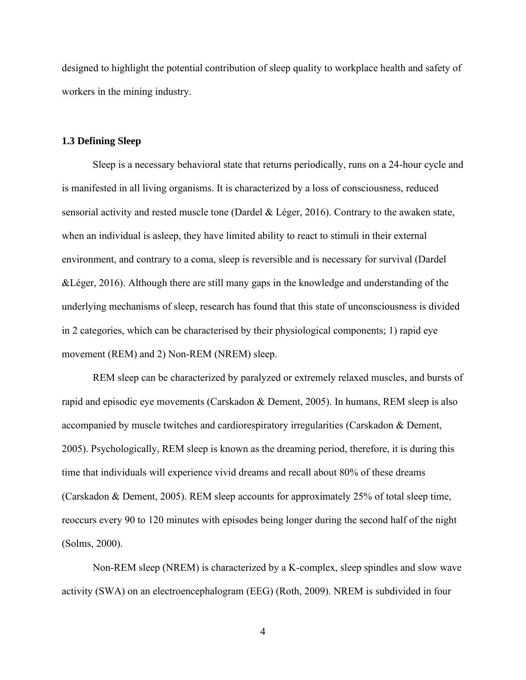designed to highlight the potential contribution of sleep quality to workplace health and safety of workers in the mining industry.

#### <span id="page-17-0"></span>**1.3 Defining Sleep**

Sleep is a necessary behavioral state that returns periodically, runs on a 24-hour cycle and is manifested in all living organisms. It is characterized by a loss of consciousness, reduced sensorial activity and rested muscle tone (Dardel & Léger, 2016). Contrary to the awaken state, when an individual is asleep, they have limited ability to react to stimuli in their external environment, and contrary to a coma, sleep is reversible and is necessary for survival (Dardel &Léger, 2016). Although there are still many gaps in the knowledge and understanding of the underlying mechanisms of sleep, research has found that this state of unconsciousness is divided in 2 categories, which can be characterised by their physiological components; 1) rapid eye movement (REM) and 2) Non-REM (NREM) sleep.

REM sleep can be characterized by paralyzed or extremely relaxed muscles, and bursts of rapid and episodic eye movements (Carskadon & Dement, 2005). In humans, REM sleep is also accompanied by muscle twitches and cardiorespiratory irregularities (Carskadon & Dement, 2005). Psychologically, REM sleep is known as the dreaming period, therefore, it is during this time that individuals will experience vivid dreams and recall about 80% of these dreams (Carskadon & Dement, 2005). REM sleep accounts for approximately 25% of total sleep time, reoccurs every 90 to 120 minutes with episodes being longer during the second half of the night (Solms, 2000).

Non-REM sleep (NREM) is characterized by a K-complex, sleep spindles and slow wave activity (SWA) on an electroencephalogram (EEG) (Roth, 2009). NREM is subdivided in four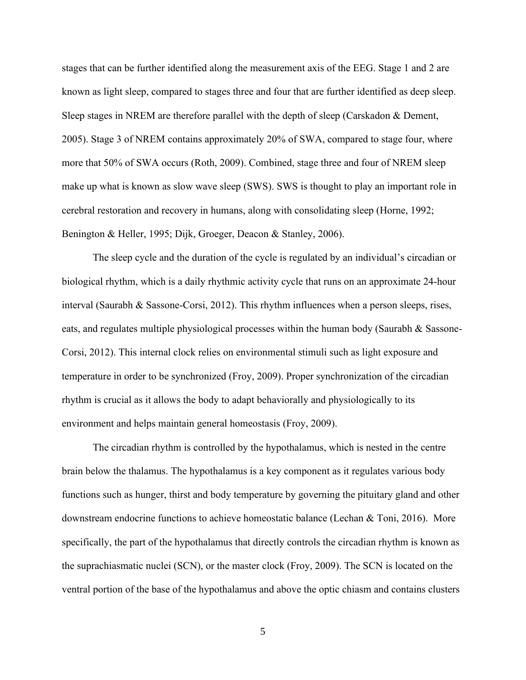stages that can be further identified along the measurement axis of the EEG. Stage 1 and 2 are known as light sleep, compared to stages three and four that are further identified as deep sleep. Sleep stages in NREM are therefore parallel with the depth of sleep (Carskadon & Dement, 2005). Stage 3 of NREM contains approximately 20% of SWA, compared to stage four, where more that 50% of SWA occurs (Roth, 2009). Combined, stage three and four of NREM sleep make up what is known as slow wave sleep (SWS). SWS is thought to play an important role in cerebral restoration and recovery in humans, along with consolidating sleep (Horne, 1992; Benington & Heller, 1995; Dijk, Groeger, Deacon & Stanley, 2006).

The sleep cycle and the duration of the cycle is regulated by an individual's circadian or biological rhythm, which is a daily rhythmic activity cycle that runs on an approximate 24-hour interval (Saurabh & Sassone-Corsi, 2012). This rhythm influences when a person sleeps, rises, eats, and regulates multiple physiological processes within the human body (Saurabh & Sassone-Corsi, 2012). This internal clock relies on environmental stimuli such as light exposure and temperature in order to be synchronized (Froy, 2009). Proper synchronization of the circadian rhythm is crucial as it allows the body to adapt behaviorally and physiologically to its environment and helps maintain general homeostasis (Froy, 2009).

The circadian rhythm is controlled by the hypothalamus, which is nested in the centre brain below the thalamus. The hypothalamus is a key component as it regulates various body functions such as hunger, thirst and body temperature by governing the pituitary gland and other downstream endocrine functions to achieve homeostatic balance (Lechan & Toni, 2016). More specifically, the part of the hypothalamus that directly controls the circadian rhythm is known as the suprachiasmatic nuclei (SCN), or the master clock (Froy, 2009). The SCN is located on the ventral portion of the base of the hypothalamus and above the optic chiasm and contains clusters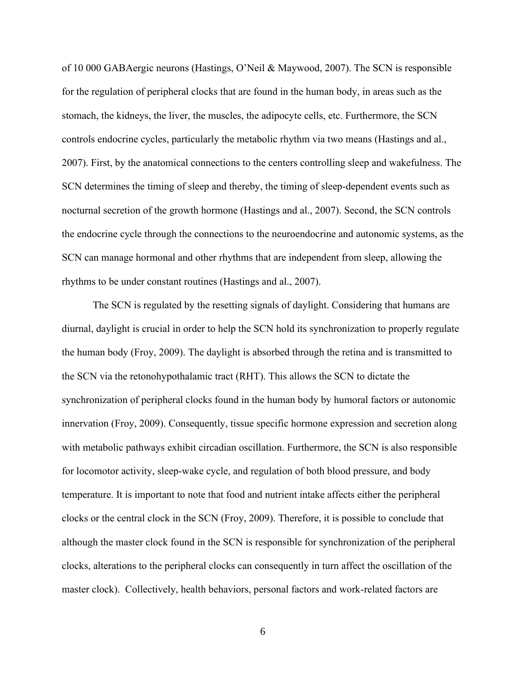of 10 000 GABAergic neurons (Hastings, O'Neil & Maywood, 2007). The SCN is responsible for the regulation of peripheral clocks that are found in the human body, in areas such as the stomach, the kidneys, the liver, the muscles, the adipocyte cells, etc. Furthermore, the SCN controls endocrine cycles, particularly the metabolic rhythm via two means (Hastings and al., 2007). First, by the anatomical connections to the centers controlling sleep and wakefulness. The SCN determines the timing of sleep and thereby, the timing of sleep-dependent events such as nocturnal secretion of the growth hormone (Hastings and al., 2007). Second, the SCN controls the endocrine cycle through the connections to the neuroendocrine and autonomic systems, as the SCN can manage hormonal and other rhythms that are independent from sleep, allowing the rhythms to be under constant routines (Hastings and al., 2007).

The SCN is regulated by the resetting signals of daylight. Considering that humans are diurnal, daylight is crucial in order to help the SCN hold its synchronization to properly regulate the human body (Froy, 2009). The daylight is absorbed through the retina and is transmitted to the SCN via the retonohypothalamic tract (RHT). This allows the SCN to dictate the synchronization of peripheral clocks found in the human body by humoral factors or autonomic innervation (Froy, 2009). Consequently, tissue specific hormone expression and secretion along with metabolic pathways exhibit circadian oscillation. Furthermore, the SCN is also responsible for locomotor activity, sleep-wake cycle, and regulation of both blood pressure, and body temperature. It is important to note that food and nutrient intake affects either the peripheral clocks or the central clock in the SCN (Froy, 2009). Therefore, it is possible to conclude that although the master clock found in the SCN is responsible for synchronization of the peripheral clocks, alterations to the peripheral clocks can consequently in turn affect the oscillation of the master clock). Collectively, health behaviors, personal factors and work-related factors are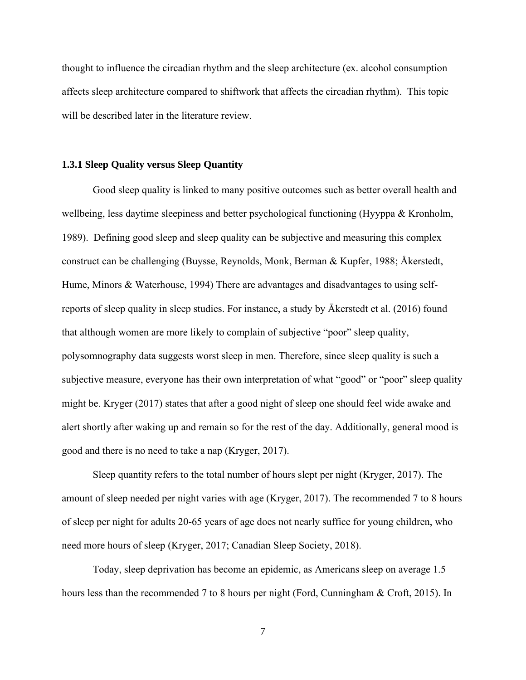thought to influence the circadian rhythm and the sleep architecture (ex. alcohol consumption affects sleep architecture compared to shiftwork that affects the circadian rhythm). This topic will be described later in the literature review.

#### <span id="page-20-0"></span>**1.3.1 Sleep Quality versus Sleep Quantity**

Good sleep quality is linked to many positive outcomes such as better overall health and wellbeing, less daytime sleepiness and better psychological functioning (Hyyppa & Kronholm, 1989). Defining good sleep and sleep quality can be subjective and measuring this complex construct can be challenging (Buysse, Reynolds, Monk, Berman & Kupfer, 1988; Åkerstedt, Hume, Minors & Waterhouse, 1994) There are advantages and disadvantages to using selfreports of sleep quality in sleep studies. For instance, a study by Ākerstedt et al. (2016) found that although women are more likely to complain of subjective "poor" sleep quality, polysomnography data suggests worst sleep in men. Therefore, since sleep quality is such a subjective measure, everyone has their own interpretation of what "good" or "poor" sleep quality might be. Kryger (2017) states that after a good night of sleep one should feel wide awake and alert shortly after waking up and remain so for the rest of the day. Additionally, general mood is good and there is no need to take a nap (Kryger, 2017).

Sleep quantity refers to the total number of hours slept per night (Kryger, 2017). The amount of sleep needed per night varies with age (Kryger, 2017). The recommended 7 to 8 hours of sleep per night for adults 20-65 years of age does not nearly suffice for young children, who need more hours of sleep (Kryger, 2017; Canadian Sleep Society, 2018).

Today, sleep deprivation has become an epidemic, as Americans sleep on average 1.5 hours less than the recommended 7 to 8 hours per night (Ford, Cunningham & Croft, 2015). In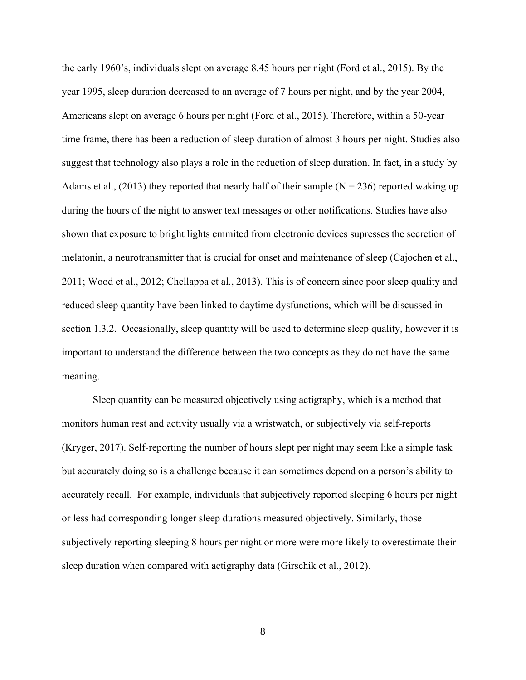the early 1960's, individuals slept on average 8.45 hours per night (Ford et al., 2015). By the year 1995, sleep duration decreased to an average of 7 hours per night, and by the year 2004, Americans slept on average 6 hours per night (Ford et al., 2015). Therefore, within a 50-year time frame, there has been a reduction of sleep duration of almost 3 hours per night. Studies also suggest that technology also plays a role in the reduction of sleep duration. In fact, in a study by Adams et al., (2013) they reported that nearly half of their sample ( $N = 236$ ) reported waking up during the hours of the night to answer text messages or other notifications. Studies have also shown that exposure to bright lights emmited from electronic devices supresses the secretion of melatonin, a neurotransmitter that is crucial for onset and maintenance of sleep (Cajochen et al., 2011; Wood et al., 2012; Chellappa et al., 2013). This is of concern since poor sleep quality and reduced sleep quantity have been linked to daytime dysfunctions, which will be discussed in section 1.3.2. Occasionally, sleep quantity will be used to determine sleep quality, however it is important to understand the difference between the two concepts as they do not have the same meaning.

Sleep quantity can be measured objectively using actigraphy, which is a method that monitors human rest and activity usually via a wristwatch, or subjectively via self-reports (Kryger, 2017). Self-reporting the number of hours slept per night may seem like a simple task but accurately doing so is a challenge because it can sometimes depend on a person's ability to accurately recall. For example, individuals that subjectively reported sleeping 6 hours per night or less had corresponding longer sleep durations measured objectively. Similarly, those subjectively reporting sleeping 8 hours per night or more were more likely to overestimate their sleep duration when compared with actigraphy data (Girschik et al., 2012).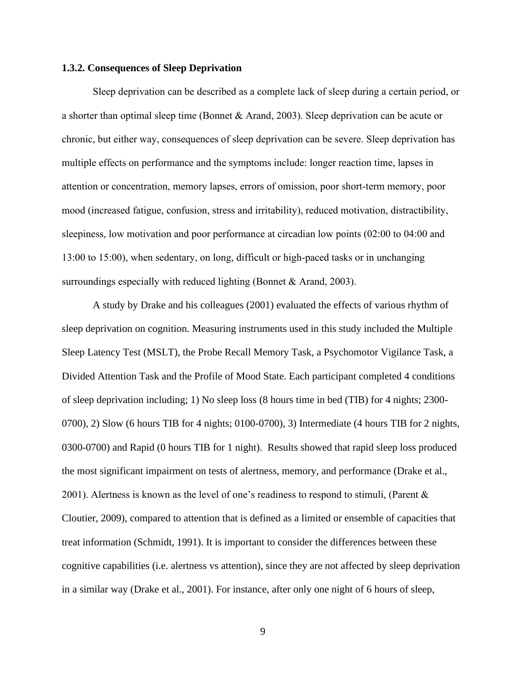#### <span id="page-22-0"></span>**1.3.2. Consequences of Sleep Deprivation**

Sleep deprivation can be described as a complete lack of sleep during a certain period, or a shorter than optimal sleep time (Bonnet & Arand, 2003). Sleep deprivation can be acute or chronic, but either way, consequences of sleep deprivation can be severe. Sleep deprivation has multiple effects on performance and the symptoms include: longer reaction time, lapses in attention or concentration, memory lapses, errors of omission, poor short-term memory, poor mood (increased fatigue, confusion, stress and irritability), reduced motivation, distractibility, sleepiness, low motivation and poor performance at circadian low points (02:00 to 04:00 and 13:00 to 15:00), when sedentary, on long, difficult or high-paced tasks or in unchanging surroundings especially with reduced lighting (Bonnet & Arand, 2003).

A study by Drake and his colleagues (2001) evaluated the effects of various rhythm of sleep deprivation on cognition. Measuring instruments used in this study included the Multiple Sleep Latency Test (MSLT), the Probe Recall Memory Task, a Psychomotor Vigilance Task, a Divided Attention Task and the Profile of Mood State. Each participant completed 4 conditions of sleep deprivation including; 1) No sleep loss (8 hours time in bed (TIB) for 4 nights; 2300- 0700), 2) Slow (6 hours TIB for 4 nights; 0100-0700), 3) Intermediate (4 hours TIB for 2 nights, 0300-0700) and Rapid (0 hours TIB for 1 night). Results showed that rapid sleep loss produced the most significant impairment on tests of alertness, memory, and performance (Drake et al., 2001). Alertness is known as the level of one's readiness to respond to stimuli, (Parent & Cloutier, 2009), compared to attention that is defined as a limited or ensemble of capacities that treat information (Schmidt, 1991). It is important to consider the differences between these cognitive capabilities (i.e. alertness vs attention), since they are not affected by sleep deprivation in a similar way (Drake et al., 2001). For instance, after only one night of 6 hours of sleep,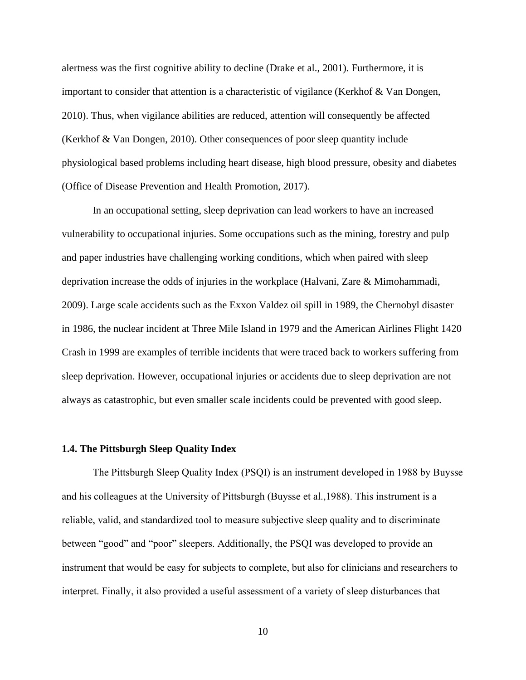alertness was the first cognitive ability to decline (Drake et al., 2001). Furthermore, it is important to consider that attention is a characteristic of vigilance (Kerkhof & Van Dongen, 2010). Thus, when vigilance abilities are reduced, attention will consequently be affected (Kerkhof & Van Dongen, 2010). Other consequences of poor sleep quantity include physiological based problems including heart disease, high blood pressure, obesity and diabetes (Office of Disease Prevention and Health Promotion, 2017).

In an occupational setting, sleep deprivation can lead workers to have an increased vulnerability to occupational injuries. Some occupations such as the mining, forestry and pulp and paper industries have challenging working conditions, which when paired with sleep deprivation increase the odds of injuries in the workplace (Halvani, Zare & Mimohammadi, 2009). Large scale accidents such as the Exxon Valdez oil spill in 1989, the Chernobyl disaster in 1986, the nuclear incident at Three Mile Island in 1979 and the American Airlines Flight 1420 Crash in 1999 are examples of terrible incidents that were traced back to workers suffering from sleep deprivation. However, occupational injuries or accidents due to sleep deprivation are not always as catastrophic, but even smaller scale incidents could be prevented with good sleep.

#### <span id="page-23-0"></span>**1.4. The Pittsburgh Sleep Quality Index**

The Pittsburgh Sleep Quality Index (PSQI) is an instrument developed in 1988 by Buysse and his colleagues at the University of Pittsburgh (Buysse et al.,1988). This instrument is a reliable, valid, and standardized tool to measure subjective sleep quality and to discriminate between "good" and "poor" sleepers. Additionally, the PSQI was developed to provide an instrument that would be easy for subjects to complete, but also for clinicians and researchers to interpret. Finally, it also provided a useful assessment of a variety of sleep disturbances that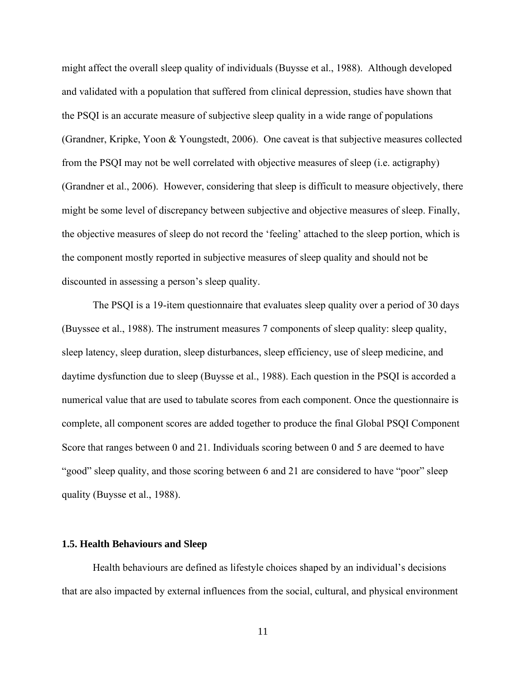might affect the overall sleep quality of individuals (Buysse et al., 1988). Although developed and validated with a population that suffered from clinical depression, studies have shown that the PSQI is an accurate measure of subjective sleep quality in a wide range of populations (Grandner, Kripke, Yoon & Youngstedt, 2006). One caveat is that subjective measures collected from the PSQI may not be well correlated with objective measures of sleep (i.e. actigraphy) (Grandner et al., 2006). However, considering that sleep is difficult to measure objectively, there might be some level of discrepancy between subjective and objective measures of sleep. Finally, the objective measures of sleep do not record the 'feeling' attached to the sleep portion, which is the component mostly reported in subjective measures of sleep quality and should not be discounted in assessing a person's sleep quality.

The PSQI is a 19-item questionnaire that evaluates sleep quality over a period of 30 days (Buyssee et al., 1988). The instrument measures 7 components of sleep quality: sleep quality, sleep latency, sleep duration, sleep disturbances, sleep efficiency, use of sleep medicine, and daytime dysfunction due to sleep (Buysse et al., 1988). Each question in the PSQI is accorded a numerical value that are used to tabulate scores from each component. Once the questionnaire is complete, all component scores are added together to produce the final Global PSQI Component Score that ranges between 0 and 21. Individuals scoring between 0 and 5 are deemed to have "good" sleep quality, and those scoring between 6 and 21 are considered to have "poor" sleep quality (Buysse et al., 1988).

#### <span id="page-24-0"></span>**1.5. Health Behaviours and Sleep**

Health behaviours are defined as lifestyle choices shaped by an individual's decisions that are also impacted by external influences from the social, cultural, and physical environment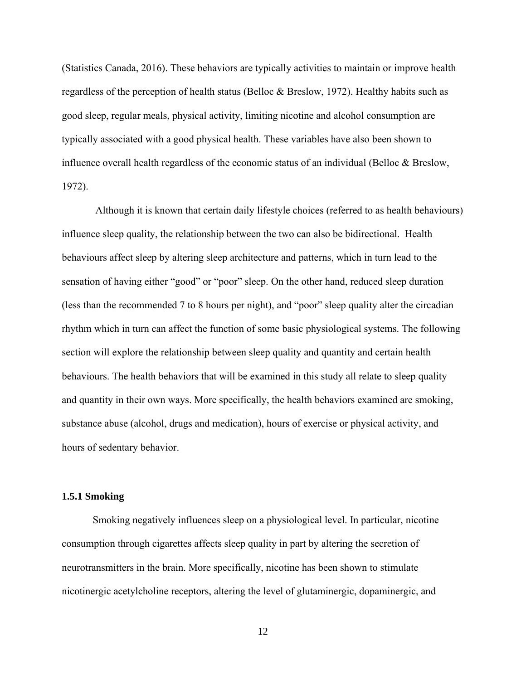(Statistics Canada, 2016). These behaviors are typically activities to maintain or improve health regardless of the perception of health status (Belloc & Breslow, 1972). Healthy habits such as good sleep, regular meals, physical activity, limiting nicotine and alcohol consumption are typically associated with a good physical health. These variables have also been shown to influence overall health regardless of the economic status of an individual (Belloc & Breslow, 1972).

Although it is known that certain daily lifestyle choices (referred to as health behaviours) influence sleep quality, the relationship between the two can also be bidirectional. Health behaviours affect sleep by altering sleep architecture and patterns, which in turn lead to the sensation of having either "good" or "poor" sleep. On the other hand, reduced sleep duration (less than the recommended 7 to 8 hours per night), and "poor" sleep quality alter the circadian rhythm which in turn can affect the function of some basic physiological systems. The following section will explore the relationship between sleep quality and quantity and certain health behaviours. The health behaviors that will be examined in this study all relate to sleep quality and quantity in their own ways. More specifically, the health behaviors examined are smoking, substance abuse (alcohol, drugs and medication), hours of exercise or physical activity, and hours of sedentary behavior.

#### <span id="page-25-0"></span>**1.5.1 Smoking**

Smoking negatively influences sleep on a physiological level. In particular, nicotine consumption through cigarettes affects sleep quality in part by altering the secretion of neurotransmitters in the brain. More specifically, nicotine has been shown to stimulate nicotinergic acetylcholine receptors, altering the level of glutaminergic, dopaminergic, and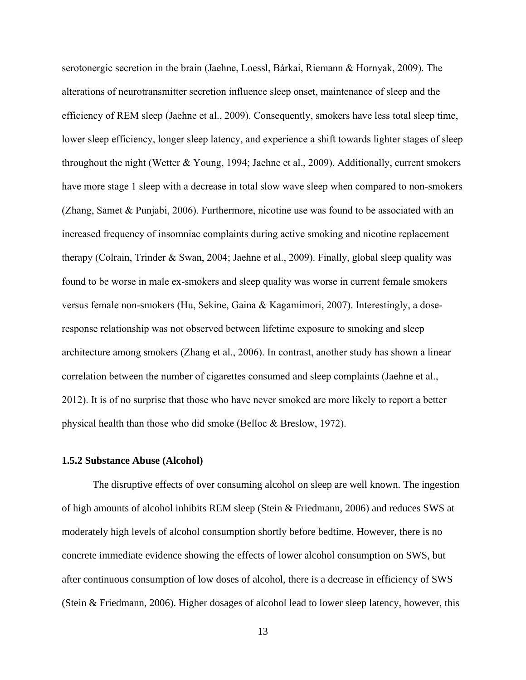serotonergic secretion in the brain (Jaehne, Loessl, Bárkai, Riemann & Hornyak, 2009). The alterations of neurotransmitter secretion influence sleep onset, maintenance of sleep and the efficiency of REM sleep (Jaehne et al., 2009). Consequently, smokers have less total sleep time, lower sleep efficiency, longer sleep latency, and experience a shift towards lighter stages of sleep throughout the night (Wetter & Young, 1994; Jaehne et al., 2009). Additionally, current smokers have more stage 1 sleep with a decrease in total slow wave sleep when compared to non-smokers (Zhang, Samet & Punjabi, 2006). Furthermore, nicotine use was found to be associated with an increased frequency of insomniac complaints during active smoking and nicotine replacement therapy (Colrain, Trinder & Swan, 2004; Jaehne et al., 2009). Finally, global sleep quality was found to be worse in male ex-smokers and sleep quality was worse in current female smokers versus female non-smokers (Hu, Sekine, Gaina & Kagamimori, 2007). Interestingly, a doseresponse relationship was not observed between lifetime exposure to smoking and sleep architecture among smokers (Zhang et al., 2006). In contrast, another study has shown a linear correlation between the number of cigarettes consumed and sleep complaints (Jaehne et al., 2012). It is of no surprise that those who have never smoked are more likely to report a better physical health than those who did smoke (Belloc & Breslow, 1972).

#### <span id="page-26-0"></span>**1.5.2 Substance Abuse (Alcohol)**

The disruptive effects of over consuming alcohol on sleep are well known. The ingestion of high amounts of alcohol inhibits REM sleep (Stein & Friedmann, 2006) and reduces SWS at moderately high levels of alcohol consumption shortly before bedtime. However, there is no concrete immediate evidence showing the effects of lower alcohol consumption on SWS, but after continuous consumption of low doses of alcohol, there is a decrease in efficiency of SWS (Stein & Friedmann, 2006). Higher dosages of alcohol lead to lower sleep latency, however, this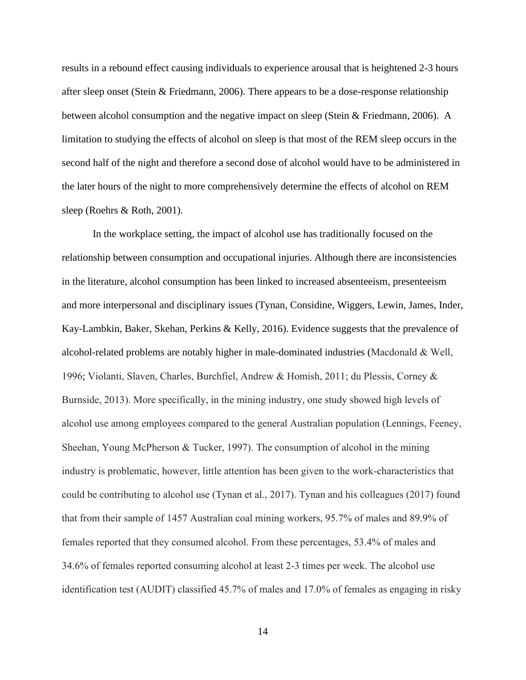results in a rebound effect causing individuals to experience arousal that is heightened 2-3 hours after sleep onset (Stein & Friedmann, 2006). There appears to be a dose-response relationship between alcohol consumption and the negative impact on sleep (Stein & Friedmann, 2006). A limitation to studying the effects of alcohol on sleep is that most of the REM sleep occurs in the second half of the night and therefore a second dose of alcohol would have to be administered in the later hours of the night to more comprehensively determine the effects of alcohol on REM sleep (Roehrs & Roth, 2001).

In the workplace setting, the impact of alcohol use has traditionally focused on the relationship between consumption and occupational injuries. Although there are inconsistencies in the literature, alcohol consumption has been linked to increased absenteeism, presenteeism and more interpersonal and disciplinary issues (Tynan, Considine, Wiggers, Lewin, James, Inder, Kay-Lambkin, Baker, Skehan, Perkins & Kelly, 2016). Evidence suggests that the prevalence of alcohol-related problems are notably higher in male-dominated industries (Macdonald & Well, 1996; Violanti, Slaven, Charles, Burchfiel, Andrew & Homish, 2011; du Plessis, Corney & Burnside, 2013). More specifically, in the mining industry, one study showed high levels of alcohol use among employees compared to the general Australian population (Lennings, Feeney, Sheehan, Young McPherson & Tucker, 1997). The consumption of alcohol in the mining industry is problematic, however, little attention has been given to the work-characteristics that could be contributing to alcohol use (Tynan et al., 2017). Tynan and his colleagues (2017) found that from their sample of 1457 Australian coal mining workers, 95.7% of males and 89.9% of females reported that they consumed alcohol. From these percentages, 53.4% of males and 34.6% of females reported consuming alcohol at least 2-3 times per week. The alcohol use identification test (AUDIT) classified 45.7% of males and 17.0% of females as engaging in risky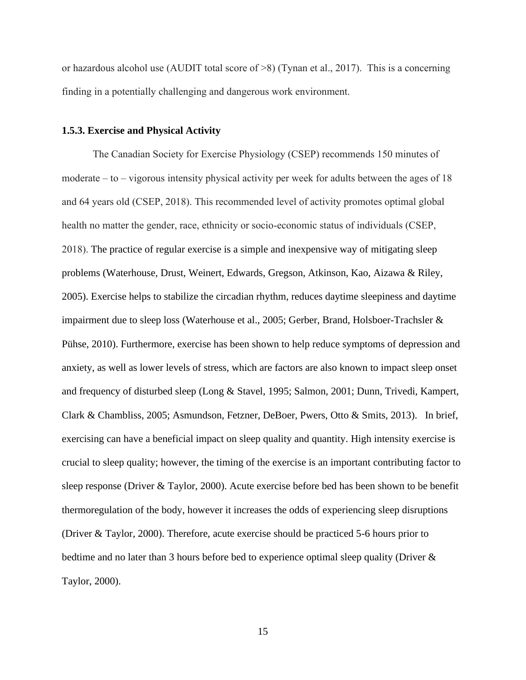or hazardous alcohol use (AUDIT total score of >8) (Tynan et al., 2017). This is a concerning finding in a potentially challenging and dangerous work environment.

#### <span id="page-28-0"></span>**1.5.3. Exercise and Physical Activity**

The Canadian Society for Exercise Physiology (CSEP) recommends 150 minutes of moderate – to – vigorous intensity physical activity per week for adults between the ages of 18 and 64 years old (CSEP, 2018). This recommended level of activity promotes optimal global health no matter the gender, race, ethnicity or socio-economic status of individuals (CSEP, 2018). The practice of regular exercise is a simple and inexpensive way of mitigating sleep problems (Waterhouse, Drust, Weinert, Edwards, Gregson, Atkinson, Kao, Aizawa & Riley, 2005). Exercise helps to stabilize the circadian rhythm, reduces daytime sleepiness and daytime impairment due to sleep loss (Waterhouse et al., 2005; Gerber, Brand, Holsboer-Trachsler & Pühse, 2010). Furthermore, exercise has been shown to help reduce symptoms of depression and anxiety, as well as lower levels of stress, which are factors are also known to impact sleep onset and frequency of disturbed sleep (Long & Stavel, 1995; Salmon, 2001; Dunn, Trivedi, Kampert, Clark & Chambliss, 2005; Asmundson, Fetzner, DeBoer, Pwers, Otto & Smits, 2013). In brief, exercising can have a beneficial impact on sleep quality and quantity. High intensity exercise is crucial to sleep quality; however, the timing of the exercise is an important contributing factor to sleep response (Driver & Taylor, 2000). Acute exercise before bed has been shown to be benefit thermoregulation of the body, however it increases the odds of experiencing sleep disruptions (Driver & Taylor, 2000). Therefore, acute exercise should be practiced 5-6 hours prior to bedtime and no later than 3 hours before bed to experience optimal sleep quality (Driver & Taylor, 2000).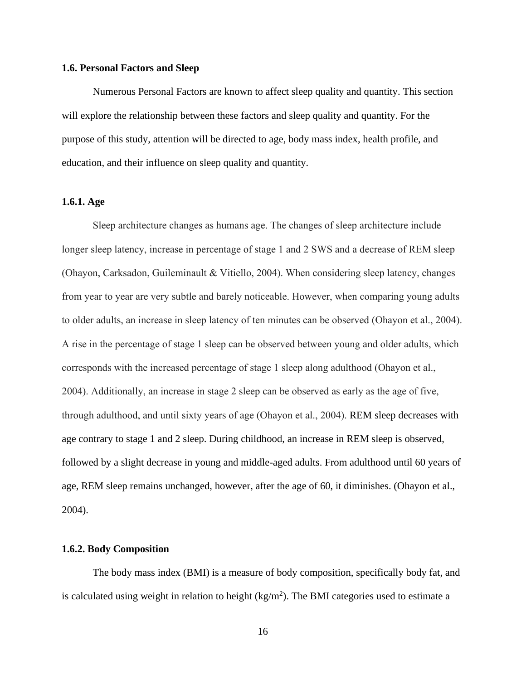#### <span id="page-29-0"></span>**1.6. Personal Factors and Sleep**

Numerous Personal Factors are known to affect sleep quality and quantity. This section will explore the relationship between these factors and sleep quality and quantity. For the purpose of this study, attention will be directed to age, body mass index, health profile, and education, and their influence on sleep quality and quantity.

#### <span id="page-29-1"></span>**1.6.1. Age**

Sleep architecture changes as humans age. The changes of sleep architecture include longer sleep latency, increase in percentage of stage 1 and 2 SWS and a decrease of REM sleep (Ohayon, Carksadon, Guileminault & Vitiello, 2004). When considering sleep latency, changes from year to year are very subtle and barely noticeable. However, when comparing young adults to older adults, an increase in sleep latency of ten minutes can be observed (Ohayon et al., 2004). A rise in the percentage of stage 1 sleep can be observed between young and older adults, which corresponds with the increased percentage of stage 1 sleep along adulthood (Ohayon et al., 2004). Additionally, an increase in stage 2 sleep can be observed as early as the age of five, through adulthood, and until sixty years of age (Ohayon et al., 2004). REM sleep decreases with age contrary to stage 1 and 2 sleep. During childhood, an increase in REM sleep is observed, followed by a slight decrease in young and middle-aged adults. From adulthood until 60 years of age, REM sleep remains unchanged, however, after the age of 60, it diminishes. (Ohayon et al., 2004).

#### <span id="page-29-2"></span>**1.6.2. Body Composition**

The body mass index (BMI) is a measure of body composition, specifically body fat, and is calculated using weight in relation to height  $(kg/m<sup>2</sup>)$ . The BMI categories used to estimate a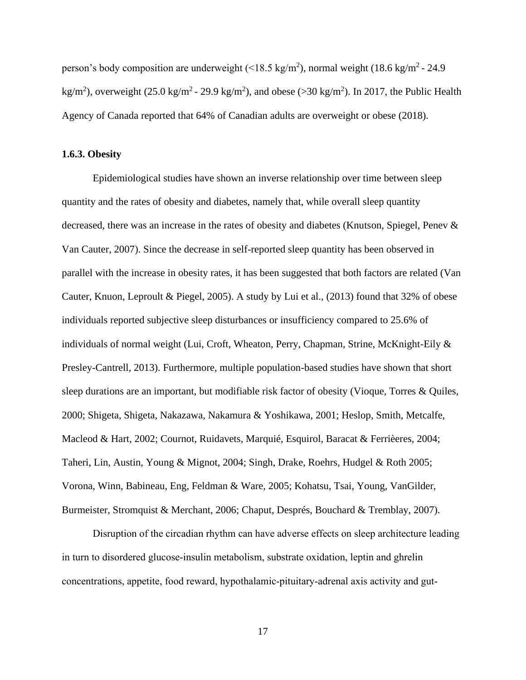person's body composition are underweight (<18.5 kg/m<sup>2</sup>), normal weight (18.6 kg/m<sup>2</sup> - 24.9 kg/m<sup>2</sup>), overweight (25.0 kg/m<sup>2</sup> - 29.9 kg/m<sup>2</sup>), and obese (>30 kg/m<sup>2</sup>). In 2017, the Public Health Agency of Canada reported that 64% of Canadian adults are overweight or obese (2018).

#### <span id="page-30-0"></span>**1.6.3. Obesity**

Epidemiological studies have shown an inverse relationship over time between sleep quantity and the rates of obesity and diabetes, namely that, while overall sleep quantity decreased, there was an increase in the rates of obesity and diabetes (Knutson, Spiegel, Penev & Van Cauter, 2007). Since the decrease in self-reported sleep quantity has been observed in parallel with the increase in obesity rates, it has been suggested that both factors are related (Van Cauter, Knuon, Leproult & Piegel, 2005). A study by Lui et al., (2013) found that 32% of obese individuals reported subjective sleep disturbances or insufficiency compared to 25.6% of individuals of normal weight (Lui, Croft, Wheaton, Perry, Chapman, Strine, McKnight-Eily & Presley-Cantrell, 2013). Furthermore, multiple population-based studies have shown that short sleep durations are an important, but modifiable risk factor of obesity (Vioque, Torres & Quiles, 2000; Shigeta, Shigeta, Nakazawa, Nakamura & Yoshikawa, 2001; Heslop, Smith, Metcalfe, Macleod & Hart, 2002; Cournot, Ruidavets, Marquié, Esquirol, Baracat & Ferrièeres, 2004; Taheri, Lin, Austin, Young & Mignot, 2004; Singh, Drake, Roehrs, Hudgel & Roth 2005; Vorona, Winn, Babineau, Eng, Feldman & Ware, 2005; Kohatsu, Tsai, Young, VanGilder, Burmeister, Stromquist & Merchant, 2006; Chaput, Després, Bouchard & Tremblay, 2007).

Disruption of the circadian rhythm can have adverse effects on sleep architecture leading in turn to disordered glucose-insulin metabolism, substrate oxidation, leptin and ghrelin concentrations, appetite, food reward, hypothalamic-pituitary-adrenal axis activity and gut-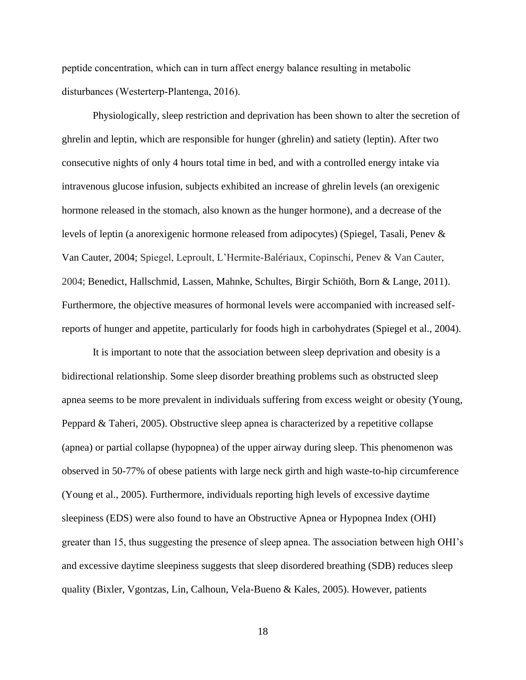peptide concentration, which can in turn affect energy balance resulting in metabolic disturbances (Westerterp-Plantenga, 2016).

Physiologically, sleep restriction and deprivation has been shown to alter the secretion of ghrelin and leptin, which are responsible for hunger (ghrelin) and satiety (leptin). After two consecutive nights of only 4 hours total time in bed, and with a controlled energy intake via intravenous glucose infusion, subjects exhibited an increase of ghrelin levels (an orexigenic hormone released in the stomach, also known as the hunger hormone), and a decrease of the levels of leptin (a anorexigenic hormone released from adipocytes) (Spiegel, Tasali, Penev & Van Cauter, 2004; Spiegel, Leproult, L'Hermite-Balériaux, Copinschi, Penev & Van Cauter, 2004; Benedict, Hallschmid, Lassen, Mahnke, Schultes, Birgir Schiöth, Born & Lange, 2011). Furthermore, the objective measures of hormonal levels were accompanied with increased selfreports of hunger and appetite, particularly for foods high in carbohydrates (Spiegel et al., 2004).

It is important to note that the association between sleep deprivation and obesity is a bidirectional relationship. Some sleep disorder breathing problems such as obstructed sleep apnea seems to be more prevalent in individuals suffering from excess weight or obesity (Young, Peppard & Taheri, 2005). Obstructive sleep apnea is characterized by a repetitive collapse (apnea) or partial collapse (hypopnea) of the upper airway during sleep. This phenomenon was observed in 50-77% of obese patients with large neck girth and high waste-to-hip circumference (Young et al., 2005). Furthermore, individuals reporting high levels of excessive daytime sleepiness (EDS) were also found to have an Obstructive Apnea or Hypopnea Index (OHI) greater than 15, thus suggesting the presence of sleep apnea. The association between high OHI's and excessive daytime sleepiness suggests that sleep disordered breathing (SDB) reduces sleep quality (Bixler, Vgontzas, Lin, Calhoun, Vela-Bueno & Kales, 2005). However, patients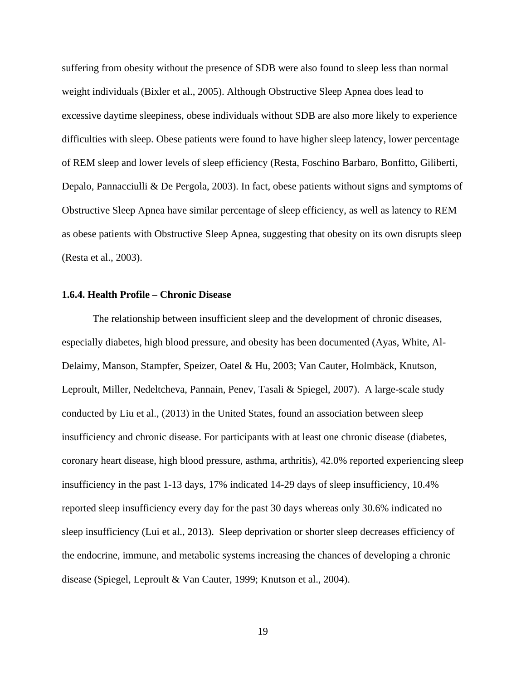suffering from obesity without the presence of SDB were also found to sleep less than normal weight individuals (Bixler et al., 2005). Although Obstructive Sleep Apnea does lead to excessive daytime sleepiness, obese individuals without SDB are also more likely to experience difficulties with sleep. Obese patients were found to have higher sleep latency, lower percentage of REM sleep and lower levels of sleep efficiency (Resta, Foschino Barbaro, Bonfitto, Giliberti, Depalo, Pannacciulli & De Pergola, 2003). In fact, obese patients without signs and symptoms of Obstructive Sleep Apnea have similar percentage of sleep efficiency, as well as latency to REM as obese patients with Obstructive Sleep Apnea, suggesting that obesity on its own disrupts sleep (Resta et al., 2003).

#### <span id="page-32-0"></span>**1.6.4. Health Profile – Chronic Disease**

The relationship between insufficient sleep and the development of chronic diseases, especially diabetes, high blood pressure, and obesity has been documented (Ayas, White, Al-Delaimy, Manson, Stampfer, Speizer, Oatel & Hu, 2003; Van Cauter, Holmbäck, Knutson, Leproult, Miller, Nedeltcheva, Pannain, Penev, Tasali & Spiegel, 2007). A large-scale study conducted by Liu et al., (2013) in the United States, found an association between sleep insufficiency and chronic disease. For participants with at least one chronic disease (diabetes, coronary heart disease, high blood pressure, asthma, arthritis), 42.0% reported experiencing sleep insufficiency in the past 1-13 days, 17% indicated 14-29 days of sleep insufficiency, 10.4% reported sleep insufficiency every day for the past 30 days whereas only 30.6% indicated no sleep insufficiency (Lui et al., 2013). Sleep deprivation or shorter sleep decreases efficiency of the endocrine, immune, and metabolic systems increasing the chances of developing a chronic disease (Spiegel, Leproult & Van Cauter, 1999; Knutson et al., 2004).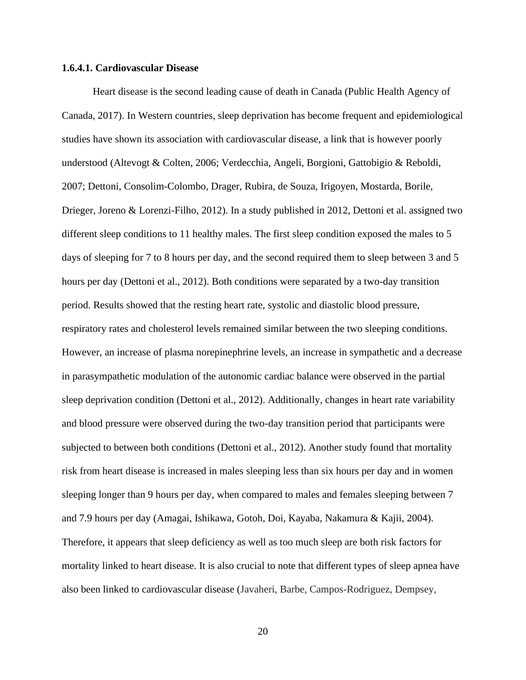#### **1.6.4.1. Cardiovascular Disease**

Heart disease is the second leading cause of death in Canada (Public Health Agency of Canada, 2017). In Western countries, sleep deprivation has become frequent and epidemiological studies have shown its association with cardiovascular disease, a link that is however poorly understood (Altevogt & Colten, 2006; Verdecchia, Angeli, Borgioni, Gattobigio & Reboldi, 2007; Dettoni, Consolim-Colombo, Drager, Rubira, de Souza, Irigoyen, Mostarda, Borile, Drieger, Joreno & Lorenzi-Filho, 2012). In a study published in 2012, Dettoni et al. assigned two different sleep conditions to 11 healthy males. The first sleep condition exposed the males to 5 days of sleeping for 7 to 8 hours per day, and the second required them to sleep between 3 and 5 hours per day (Dettoni et al., 2012). Both conditions were separated by a two-day transition period. Results showed that the resting heart rate, systolic and diastolic blood pressure, respiratory rates and cholesterol levels remained similar between the two sleeping conditions. However, an increase of plasma norepinephrine levels, an increase in sympathetic and a decrease in parasympathetic modulation of the autonomic cardiac balance were observed in the partial sleep deprivation condition (Dettoni et al., 2012). Additionally, changes in heart rate variability and blood pressure were observed during the two-day transition period that participants were subjected to between both conditions (Dettoni et al., 2012). Another study found that mortality risk from heart disease is increased in males sleeping less than six hours per day and in women sleeping longer than 9 hours per day, when compared to males and females sleeping between 7 and 7.9 hours per day (Amagai, Ishikawa, Gotoh, Doi, Kayaba, Nakamura & Kajii, 2004). Therefore, it appears that sleep deficiency as well as too much sleep are both risk factors for mortality linked to heart disease. It is also crucial to note that different types of sleep apnea have also been linked to cardiovascular disease (Javaheri, Barbe, Campos-Rodriguez, Dempsey,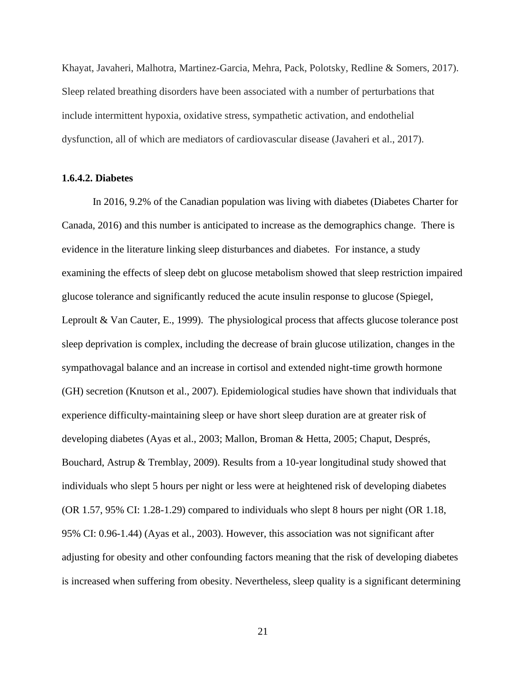Khayat, Javaheri, Malhotra, Martinez-Garcia, Mehra, Pack, Polotsky, Redline & Somers, 2017). Sleep related breathing disorders have been associated with a number of perturbations that include intermittent hypoxia, oxidative stress, sympathetic activation, and endothelial dysfunction, all of which are mediators of cardiovascular disease (Javaheri et al., 2017).

#### **1.6.4.2. Diabetes**

In 2016, 9.2% of the Canadian population was living with diabetes (Diabetes Charter for Canada, 2016) and this number is anticipated to increase as the demographics change. There is evidence in the literature linking sleep disturbances and diabetes. For instance, a study examining the effects of sleep debt on glucose metabolism showed that sleep restriction impaired glucose tolerance and significantly reduced the acute insulin response to glucose (Spiegel, Leproult & Van Cauter, E., 1999). The physiological process that affects glucose tolerance post sleep deprivation is complex, including the decrease of brain glucose utilization, changes in the sympathovagal balance and an increase in cortisol and extended night-time growth hormone (GH) secretion (Knutson et al., 2007). Epidemiological studies have shown that individuals that experience difficulty-maintaining sleep or have short sleep duration are at greater risk of developing diabetes (Ayas et al., 2003; Mallon, Broman & Hetta, 2005; Chaput, Després, Bouchard, Astrup & Tremblay, 2009). Results from a 10-year longitudinal study showed that individuals who slept 5 hours per night or less were at heightened risk of developing diabetes (OR 1.57, 95% CI: 1.28-1.29) compared to individuals who slept 8 hours per night (OR 1.18, 95% CI: 0.96-1.44) (Ayas et al., 2003). However, this association was not significant after adjusting for obesity and other confounding factors meaning that the risk of developing diabetes is increased when suffering from obesity. Nevertheless, sleep quality is a significant determining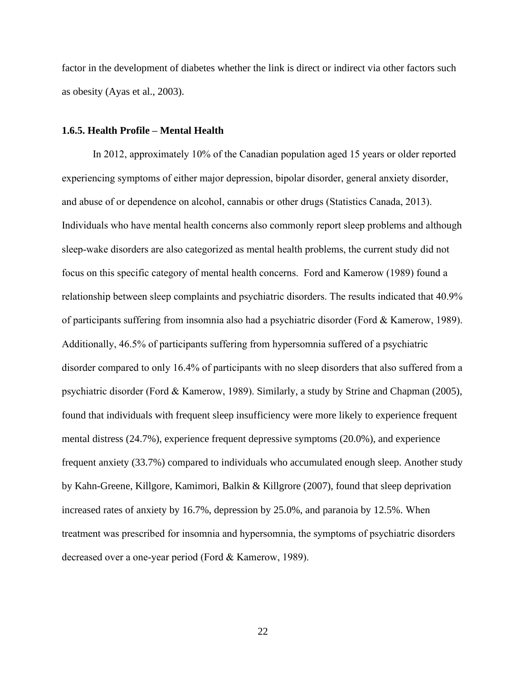factor in the development of diabetes whether the link is direct or indirect via other factors such as obesity (Ayas et al., 2003).

#### <span id="page-35-0"></span>**1.6.5. Health Profile – Mental Health**

In 2012, approximately 10% of the Canadian population aged 15 years or older reported experiencing symptoms of either major depression, bipolar disorder, general anxiety disorder, and abuse of or dependence on alcohol, cannabis or other drugs (Statistics Canada, 2013). Individuals who have mental health concerns also commonly report sleep problems and although sleep-wake disorders are also categorized as mental health problems, the current study did not focus on this specific category of mental health concerns. Ford and Kamerow (1989) found a relationship between sleep complaints and psychiatric disorders. The results indicated that 40.9% of participants suffering from insomnia also had a psychiatric disorder (Ford & Kamerow, 1989). Additionally, 46.5% of participants suffering from hypersomnia suffered of a psychiatric disorder compared to only 16.4% of participants with no sleep disorders that also suffered from a psychiatric disorder (Ford & Kamerow, 1989). Similarly, a study by Strine and Chapman (2005), found that individuals with frequent sleep insufficiency were more likely to experience frequent mental distress (24.7%), experience frequent depressive symptoms (20.0%), and experience frequent anxiety (33.7%) compared to individuals who accumulated enough sleep. Another study by Kahn-Greene, Killgore, Kamimori, Balkin & Killgrore (2007), found that sleep deprivation increased rates of anxiety by 16.7%, depression by 25.0%, and paranoia by 12.5%. When treatment was prescribed for insomnia and hypersomnia, the symptoms of psychiatric disorders decreased over a one-year period (Ford & Kamerow, 1989).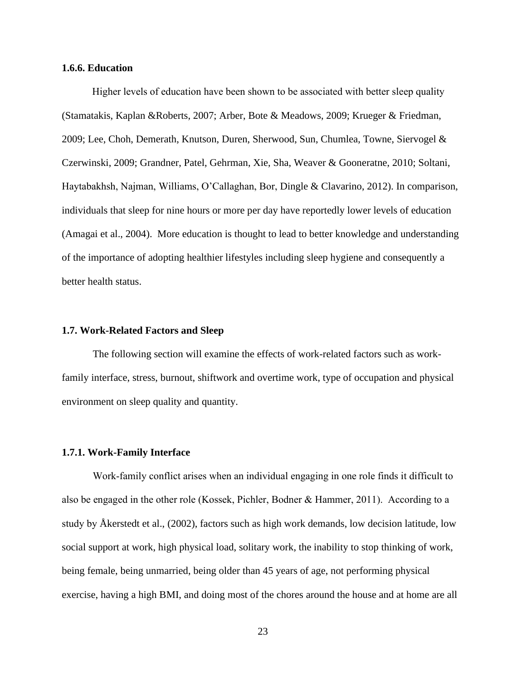#### **1.6.6. Education**

Higher levels of education have been shown to be associated with better sleep quality (Stamatakis, Kaplan &Roberts, 2007; Arber, Bote & Meadows, 2009; Krueger & Friedman, 2009; Lee, Choh, Demerath, Knutson, Duren, Sherwood, Sun, Chumlea, Towne, Siervogel & Czerwinski, 2009; Grandner, Patel, Gehrman, Xie, Sha, Weaver & Gooneratne, 2010; Soltani, Haytabakhsh, Najman, Williams, O'Callaghan, Bor, Dingle & Clavarino, 2012). In comparison, individuals that sleep for nine hours or more per day have reportedly lower levels of education (Amagai et al., 2004). More education is thought to lead to better knowledge and understanding of the importance of adopting healthier lifestyles including sleep hygiene and consequently a better health status.

#### **1.7. Work-Related Factors and Sleep**

The following section will examine the effects of work-related factors such as workfamily interface, stress, burnout, shiftwork and overtime work, type of occupation and physical environment on sleep quality and quantity.

## **1.7.1. Work-Family Interface**

Work-family conflict arises when an individual engaging in one role finds it difficult to also be engaged in the other role (Kossek, Pichler, Bodner & Hammer, 2011). According to a study by Åkerstedt et al., (2002), factors such as high work demands, low decision latitude, low social support at work, high physical load, solitary work, the inability to stop thinking of work, being female, being unmarried, being older than 45 years of age, not performing physical exercise, having a high BMI, and doing most of the chores around the house and at home are all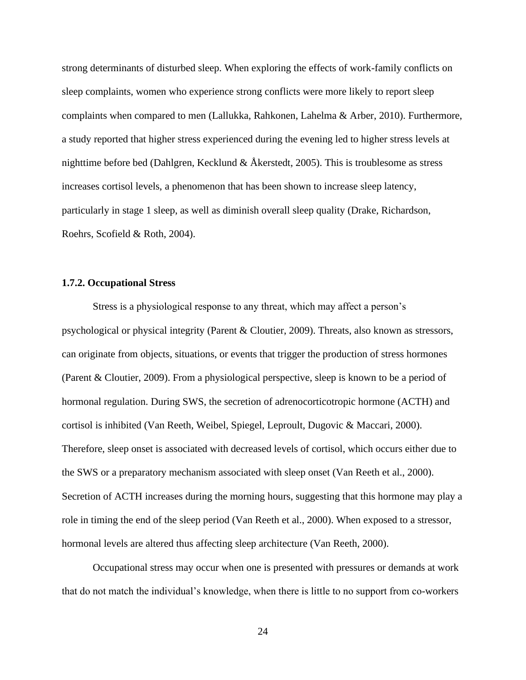strong determinants of disturbed sleep. When exploring the effects of work-family conflicts on sleep complaints, women who experience strong conflicts were more likely to report sleep complaints when compared to men (Lallukka, Rahkonen, Lahelma & Arber, 2010). Furthermore, a study reported that higher stress experienced during the evening led to higher stress levels at nighttime before bed (Dahlgren, Kecklund & Åkerstedt, 2005). This is troublesome as stress increases cortisol levels, a phenomenon that has been shown to increase sleep latency, particularly in stage 1 sleep, as well as diminish overall sleep quality (Drake, Richardson, Roehrs, Scofield & Roth, 2004).

## **1.7.2. Occupational Stress**

Stress is a physiological response to any threat, which may affect a person's psychological or physical integrity (Parent & Cloutier, 2009). Threats, also known as stressors, can originate from objects, situations, or events that trigger the production of stress hormones (Parent & Cloutier, 2009). From a physiological perspective, sleep is known to be a period of hormonal regulation. During SWS, the secretion of adrenocorticotropic hormone (ACTH) and cortisol is inhibited (Van Reeth, Weibel, Spiegel, Leproult, Dugovic & Maccari, 2000). Therefore, sleep onset is associated with decreased levels of cortisol, which occurs either due to the SWS or a preparatory mechanism associated with sleep onset (Van Reeth et al., 2000). Secretion of ACTH increases during the morning hours, suggesting that this hormone may play a role in timing the end of the sleep period (Van Reeth et al., 2000). When exposed to a stressor, hormonal levels are altered thus affecting sleep architecture (Van Reeth, 2000).

Occupational stress may occur when one is presented with pressures or demands at work that do not match the individual's knowledge, when there is little to no support from co-workers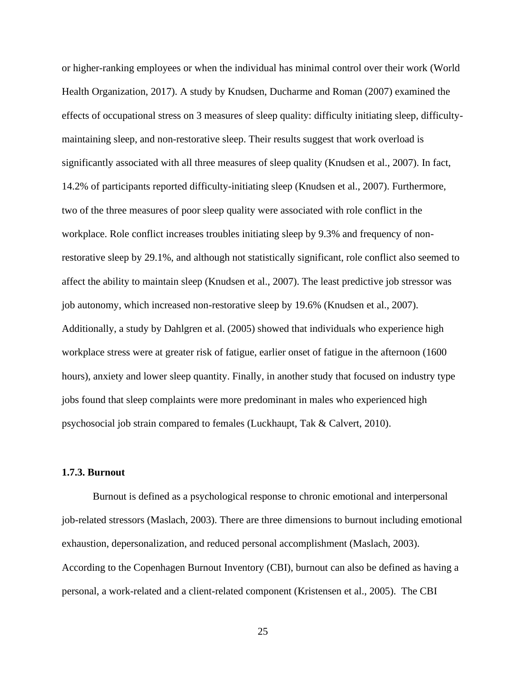or higher-ranking employees or when the individual has minimal control over their work (World Health Organization, 2017). A study by Knudsen, Ducharme and Roman (2007) examined the effects of occupational stress on 3 measures of sleep quality: difficulty initiating sleep, difficultymaintaining sleep, and non-restorative sleep. Their results suggest that work overload is significantly associated with all three measures of sleep quality (Knudsen et al., 2007). In fact, 14.2% of participants reported difficulty-initiating sleep (Knudsen et al., 2007). Furthermore, two of the three measures of poor sleep quality were associated with role conflict in the workplace. Role conflict increases troubles initiating sleep by 9.3% and frequency of nonrestorative sleep by 29.1%, and although not statistically significant, role conflict also seemed to affect the ability to maintain sleep (Knudsen et al., 2007). The least predictive job stressor was job autonomy, which increased non-restorative sleep by 19.6% (Knudsen et al., 2007). Additionally, a study by Dahlgren et al. (2005) showed that individuals who experience high workplace stress were at greater risk of fatigue, earlier onset of fatigue in the afternoon (1600 hours), anxiety and lower sleep quantity. Finally, in another study that focused on industry type jobs found that sleep complaints were more predominant in males who experienced high psychosocial job strain compared to females (Luckhaupt, Tak & Calvert, 2010).

# **1.7.3. Burnout**

Burnout is defined as a psychological response to chronic emotional and interpersonal job-related stressors (Maslach, 2003). There are three dimensions to burnout including emotional exhaustion, depersonalization, and reduced personal accomplishment (Maslach, 2003). According to the Copenhagen Burnout Inventory (CBI), burnout can also be defined as having a personal, a work-related and a client-related component (Kristensen et al., 2005). The CBI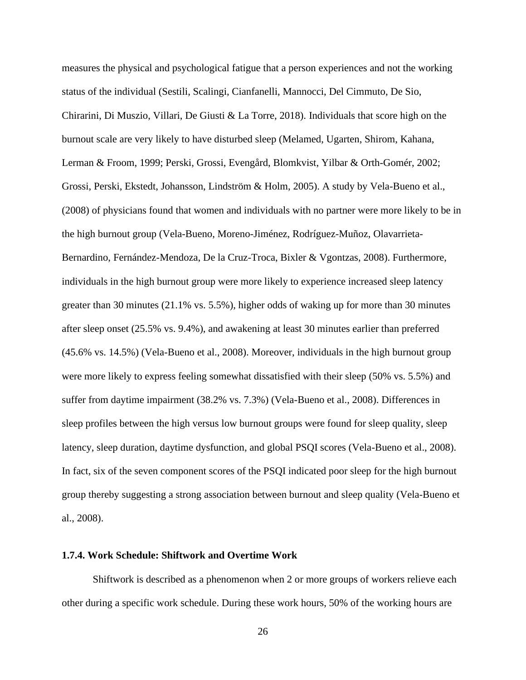measures the physical and psychological fatigue that a person experiences and not the working status of the individual (Sestili, Scalingi, Cianfanelli, Mannocci, Del Cimmuto, De Sio, Chirarini, Di Muszio, Villari, De Giusti & La Torre, 2018). Individuals that score high on the burnout scale are very likely to have disturbed sleep (Melamed, Ugarten, Shirom, Kahana, Lerman & Froom, 1999; Perski, Grossi, Evengård, Blomkvist, Yilbar & Orth-Gomér, 2002; Grossi, Perski, Ekstedt, Johansson, Lindström & Holm, 2005). A study by Vela-Bueno et al., (2008) of physicians found that women and individuals with no partner were more likely to be in the high burnout group (Vela-Bueno, Moreno-Jiménez, Rodríguez-Muñoz, Olavarrieta-Bernardino, Fernández-Mendoza, De la Cruz-Troca, Bixler & Vgontzas, 2008). Furthermore, individuals in the high burnout group were more likely to experience increased sleep latency greater than 30 minutes (21.1% vs. 5.5%), higher odds of waking up for more than 30 minutes after sleep onset (25.5% vs. 9.4%), and awakening at least 30 minutes earlier than preferred (45.6% vs. 14.5%) (Vela-Bueno et al., 2008). Moreover, individuals in the high burnout group were more likely to express feeling somewhat dissatisfied with their sleep (50% vs. 5.5%) and suffer from daytime impairment (38.2% vs. 7.3%) (Vela-Bueno et al., 2008). Differences in sleep profiles between the high versus low burnout groups were found for sleep quality, sleep latency, sleep duration, daytime dysfunction, and global PSQI scores (Vela-Bueno et al., 2008). In fact, six of the seven component scores of the PSQI indicated poor sleep for the high burnout group thereby suggesting a strong association between burnout and sleep quality (Vela-Bueno et al., 2008).

#### **1.7.4. Work Schedule: Shiftwork and Overtime Work**

Shiftwork is described as a phenomenon when 2 or more groups of workers relieve each other during a specific work schedule. During these work hours, 50% of the working hours are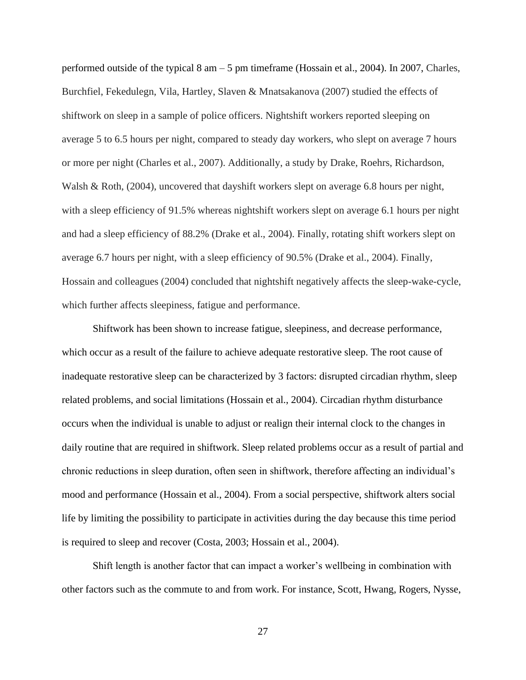performed outside of the typical 8 am – 5 pm timeframe (Hossain et al., 2004). In 2007, Charles, Burchfiel, Fekedulegn, Vila, Hartley, Slaven & Mnatsakanova (2007) studied the effects of shiftwork on sleep in a sample of police officers. Nightshift workers reported sleeping on average 5 to 6.5 hours per night, compared to steady day workers, who slept on average 7 hours or more per night (Charles et al., 2007). Additionally, a study by Drake, Roehrs, Richardson, Walsh & Roth, (2004), uncovered that dayshift workers slept on average 6.8 hours per night, with a sleep efficiency of 91.5% whereas nightshift workers slept on average 6.1 hours per night and had a sleep efficiency of 88.2% (Drake et al., 2004). Finally, rotating shift workers slept on average 6.7 hours per night, with a sleep efficiency of 90.5% (Drake et al., 2004). Finally, Hossain and colleagues (2004) concluded that nightshift negatively affects the sleep-wake-cycle, which further affects sleepiness, fatigue and performance.

Shiftwork has been shown to increase fatigue, sleepiness, and decrease performance, which occur as a result of the failure to achieve adequate restorative sleep. The root cause of inadequate restorative sleep can be characterized by 3 factors: disrupted circadian rhythm, sleep related problems, and social limitations (Hossain et al., 2004). Circadian rhythm disturbance occurs when the individual is unable to adjust or realign their internal clock to the changes in daily routine that are required in shiftwork. Sleep related problems occur as a result of partial and chronic reductions in sleep duration, often seen in shiftwork, therefore affecting an individual's mood and performance (Hossain et al., 2004). From a social perspective, shiftwork alters social life by limiting the possibility to participate in activities during the day because this time period is required to sleep and recover (Costa, 2003; Hossain et al., 2004).

Shift length is another factor that can impact a worker's wellbeing in combination with other factors such as the commute to and from work. For instance, Scott, Hwang, Rogers, Nysse,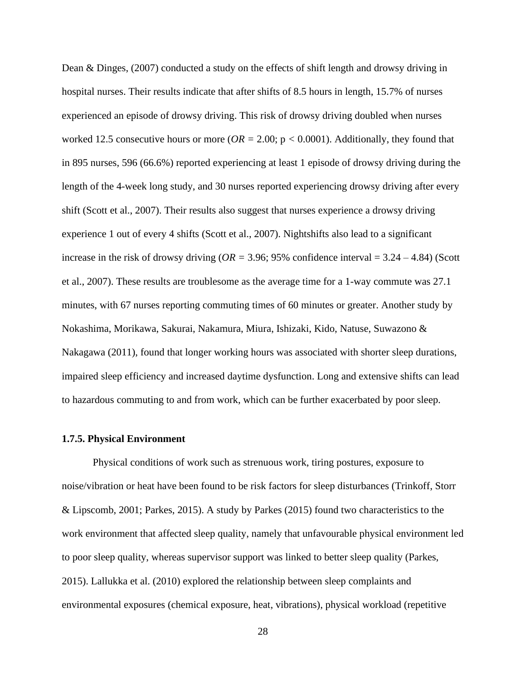Dean & Dinges, (2007) conducted a study on the effects of shift length and drowsy driving in hospital nurses. Their results indicate that after shifts of 8.5 hours in length, 15.7% of nurses experienced an episode of drowsy driving. This risk of drowsy driving doubled when nurses worked 12.5 consecutive hours or more ( $OR = 2.00$ ;  $p < 0.0001$ ). Additionally, they found that in 895 nurses, 596 (66.6%) reported experiencing at least 1 episode of drowsy driving during the length of the 4-week long study, and 30 nurses reported experiencing drowsy driving after every shift (Scott et al., 2007). Their results also suggest that nurses experience a drowsy driving experience 1 out of every 4 shifts (Scott et al., 2007). Nightshifts also lead to a significant increase in the risk of drowsy driving (*OR =* 3.96; 95% confidence interval = 3.24 – 4.84) (Scott et al., 2007). These results are troublesome as the average time for a 1-way commute was 27.1 minutes, with 67 nurses reporting commuting times of 60 minutes or greater. Another study by Nokashima, Morikawa, Sakurai, Nakamura, Miura, Ishizaki, Kido, Natuse, Suwazono & Nakagawa (2011), found that longer working hours was associated with shorter sleep durations, impaired sleep efficiency and increased daytime dysfunction. Long and extensive shifts can lead to hazardous commuting to and from work, which can be further exacerbated by poor sleep.

## **1.7.5. Physical Environment**

Physical conditions of work such as strenuous work, tiring postures, exposure to noise/vibration or heat have been found to be risk factors for sleep disturbances (Trinkoff, Storr & Lipscomb, 2001; Parkes, 2015). A study by Parkes (2015) found two characteristics to the work environment that affected sleep quality, namely that unfavourable physical environment led to poor sleep quality, whereas supervisor support was linked to better sleep quality (Parkes, 2015). Lallukka et al. (2010) explored the relationship between sleep complaints and environmental exposures (chemical exposure, heat, vibrations), physical workload (repetitive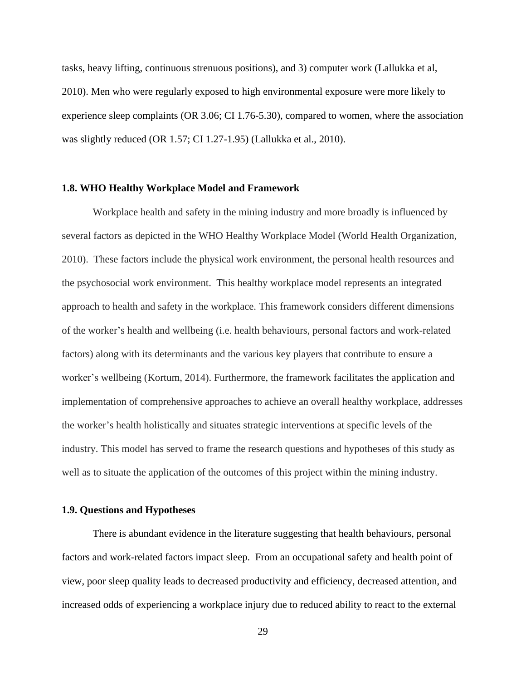tasks, heavy lifting, continuous strenuous positions), and 3) computer work (Lallukka et al, 2010). Men who were regularly exposed to high environmental exposure were more likely to experience sleep complaints (OR 3.06; CI 1.76-5.30), compared to women, where the association was slightly reduced (OR 1.57; CI 1.27-1.95) (Lallukka et al., 2010).

#### **1.8. WHO Healthy Workplace Model and Framework**

Workplace health and safety in the mining industry and more broadly is influenced by several factors as depicted in the WHO Healthy Workplace Model (World Health Organization, 2010). These factors include the physical work environment, the personal health resources and the psychosocial work environment. This healthy workplace model represents an integrated approach to health and safety in the workplace. This framework considers different dimensions of the worker's health and wellbeing (i.e. health behaviours, personal factors and work-related factors) along with its determinants and the various key players that contribute to ensure a worker's wellbeing (Kortum, 2014). Furthermore, the framework facilitates the application and implementation of comprehensive approaches to achieve an overall healthy workplace, addresses the worker's health holistically and situates strategic interventions at specific levels of the industry. This model has served to frame the research questions and hypotheses of this study as well as to situate the application of the outcomes of this project within the mining industry.

## **1.9. Questions and Hypotheses**

There is abundant evidence in the literature suggesting that health behaviours, personal factors and work-related factors impact sleep. From an occupational safety and health point of view, poor sleep quality leads to decreased productivity and efficiency, decreased attention, and increased odds of experiencing a workplace injury due to reduced ability to react to the external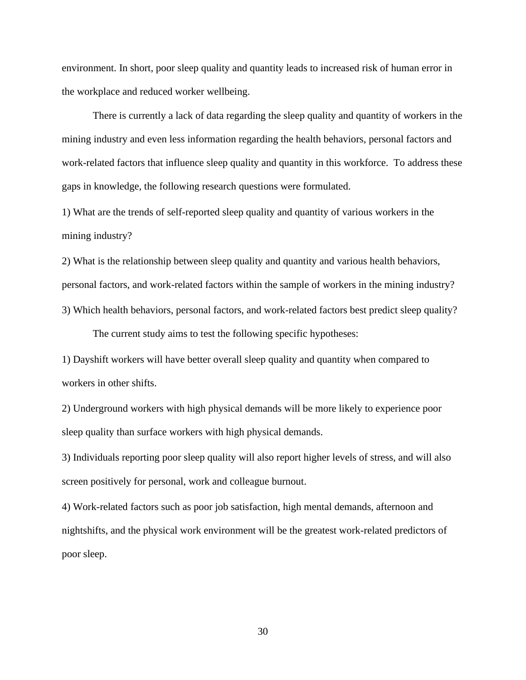environment. In short, poor sleep quality and quantity leads to increased risk of human error in the workplace and reduced worker wellbeing.

There is currently a lack of data regarding the sleep quality and quantity of workers in the mining industry and even less information regarding the health behaviors, personal factors and work-related factors that influence sleep quality and quantity in this workforce. To address these gaps in knowledge, the following research questions were formulated.

1) What are the trends of self-reported sleep quality and quantity of various workers in the mining industry?

2) What is the relationship between sleep quality and quantity and various health behaviors, personal factors, and work-related factors within the sample of workers in the mining industry? 3) Which health behaviors, personal factors, and work-related factors best predict sleep quality?

The current study aims to test the following specific hypotheses:

1) Dayshift workers will have better overall sleep quality and quantity when compared to workers in other shifts.

2) Underground workers with high physical demands will be more likely to experience poor sleep quality than surface workers with high physical demands.

3) Individuals reporting poor sleep quality will also report higher levels of stress, and will also screen positively for personal, work and colleague burnout.

4) Work-related factors such as poor job satisfaction, high mental demands, afternoon and nightshifts, and the physical work environment will be the greatest work-related predictors of poor sleep.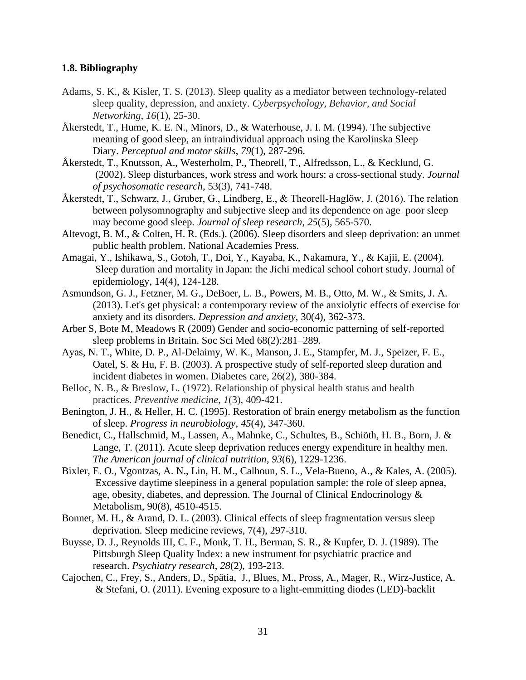## **1.8. Bibliography**

- Adams, S. K., & Kisler, T. S. (2013). Sleep quality as a mediator between technology-related sleep quality, depression, and anxiety. *Cyberpsychology, Behavior, and Social Networking*, *16*(1), 25-30.
- Åkerstedt, T., Hume, K. E. N., Minors, D., & Waterhouse, J. I. M. (1994). The subjective meaning of good sleep, an intraindividual approach using the Karolinska Sleep Diary. *Perceptual and motor skills*, *79*(1), 287-296.
- Åkerstedt, T., Knutsson, A., Westerholm, P., Theorell, T., Alfredsson, L., & Kecklund, G. (2002). Sleep disturbances, work stress and work hours: a cross-sectional study*. Journal of psychosomatic research,* 53(3), 741-748.
- Åkerstedt, T., Schwarz, J., Gruber, G., Lindberg, E., & Theorell-Haglöw, J. (2016). The relation between polysomnography and subjective sleep and its dependence on age–poor sleep may become good sleep. *Journal of sleep research*, *25*(5), 565-570.
- Altevogt, B. M., & Colten, H. R. (Eds.). (2006). Sleep disorders and sleep deprivation: an unmet public health problem. National Academies Press.
- Amagai, Y., Ishikawa, S., Gotoh, T., Doi, Y., Kayaba, K., Nakamura, Y., & Kajii, E. (2004). Sleep duration and mortality in Japan: the Jichi medical school cohort study. Journal of epidemiology, 14(4), 124-128.
- Asmundson, G. J., Fetzner, M. G., DeBoer, L. B., Powers, M. B., Otto, M. W., & Smits, J. A. (2013). Let's get physical: a contemporary review of the anxiolytic effects of exercise for anxiety and its disorders. *Depression and anxiety*, 30(4), 362-373.
- Arber S, Bote M, Meadows R (2009) Gender and socio-economic patterning of self-reported sleep problems in Britain. Soc Sci Med 68(2):281–289.
- Ayas, N. T., White, D. P., Al-Delaimy, W. K., Manson, J. E., Stampfer, M. J., Speizer, F. E., Oatel, S. & Hu, F. B. (2003). A prospective study of self-reported sleep duration and incident diabetes in women. Diabetes care, 26(2), 380-384.
- Belloc, N. B., & Breslow, L. (1972). Relationship of physical health status and health practices. *Preventive medicine*, *1*(3), 409-421.
- Benington, J. H., & Heller, H. C. (1995). Restoration of brain energy metabolism as the function of sleep. *Progress in neurobiology*, *45*(4), 347-360.
- Benedict, C., Hallschmid, M., Lassen, A., Mahnke, C., Schultes, B., Schiöth, H. B., Born, J. & Lange, T. (2011). Acute sleep deprivation reduces energy expenditure in healthy men. *The American journal of clinical nutrition*, *93*(6), 1229-1236.
- Bixler, E. O., Vgontzas, A. N., Lin, H. M., Calhoun, S. L., Vela-Bueno, A., & Kales, A. (2005). Excessive daytime sleepiness in a general population sample: the role of sleep apnea, age, obesity, diabetes, and depression. The Journal of Clinical Endocrinology  $\&$ Metabolism, 90(8), 4510-4515.
- Bonnet, M. H., & Arand, D. L. (2003). Clinical effects of sleep fragmentation versus sleep deprivation. Sleep medicine reviews, 7(4), 297-310.
- Buysse, D. J., Reynolds III, C. F., Monk, T. H., Berman, S. R., & Kupfer, D. J. (1989). The Pittsburgh Sleep Quality Index: a new instrument for psychiatric practice and research. *Psychiatry research*, *28*(2), 193-213.
- Cajochen, C., Frey, S., Anders, D., Spätia, J., Blues, M., Pross, A., Mager, R., Wirz-Justice, A. & Stefani, O. (2011). Evening exposure to a light-emmitting diodes (LED)-backlit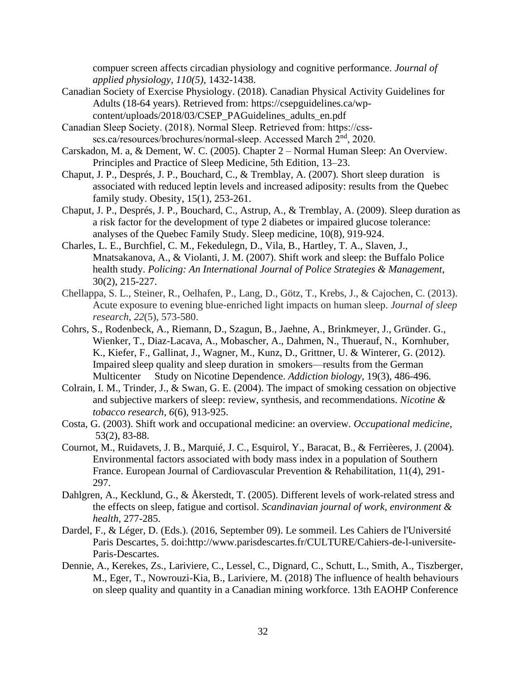compuer screen affects circadian physiology and cognitive performance. *Journal of applied physiology, 110(5),* 1432-1438.

- Canadian Society of Exercise Physiology. (2018). Canadian Physical Activity Guidelines for Adults (18-64 years). Retrieved from: [https://csepguidelines.ca/wp](https://csepguidelines.ca/wp-%09content/uploads/2018/03/CSEP_PAGuidelines_adults_en.pdf)[content/uploads/2018/03/CSEP\\_PAGuidelines\\_adults\\_en.pdf](https://csepguidelines.ca/wp-%09content/uploads/2018/03/CSEP_PAGuidelines_adults_en.pdf)
- Canadian Sleep Society. (2018). Normal Sleep. Retrieved from: https://cssscs.ca/resources/brochures/normal-sleep. Accessed March 2<sup>nd</sup>, 2020.
- Carskadon, M. a, & Dement, W. C. (2005). Chapter 2 Normal Human Sleep: An Overview. Principles and Practice of Sleep Medicine, 5th Edition, 13–23.
- Chaput, J. P., Després, J. P., Bouchard, C., & Tremblay, A. (2007). Short sleep duration is associated with reduced leptin levels and increased adiposity: results from the Quebec family study. Obesity, 15(1), 253-261.
- Chaput, J. P., Després, J. P., Bouchard, C., Astrup, A., & Tremblay, A. (2009). Sleep duration as a risk factor for the development of type 2 diabetes or impaired glucose tolerance: analyses of the Quebec Family Study. Sleep medicine, 10(8), 919-924.
- Charles, L. E., Burchfiel, C. M., Fekedulegn, D., Vila, B., Hartley, T. A., Slaven, J., Mnatsakanova, A., & Violanti, J. M. (2007). Shift work and sleep: the Buffalo Police health study. *Policing: An International Journal of Police Strategies & Management*, 30(2), 215-227.
- Chellappa, S. L., Steiner, R., Oelhafen, P., Lang, D., Götz, T., Krebs, J., & Cajochen, C. (2013). Acute exposure to evening blue‐enriched light impacts on human sleep. *Journal of sleep research*, *22*(5), 573-580.
- Cohrs, S., Rodenbeck, A., Riemann, D., Szagun, B., Jaehne, A., Brinkmeyer, J., Gründer. G., Wienker, T., Diaz-Lacava, A., Mobascher, A., Dahmen, N., Thuerauf, N., Kornhuber, K., Kiefer, F., Gallinat, J., Wagner, M., Kunz, D., Grittner, U. & Winterer, G. (2012). Impaired sleep quality and sleep duration in smokers—results from the German Multicenter Study on Nicotine Dependence. *Addiction biology,* 19(3), 486-496*.*
- Colrain, I. M., Trinder, J., & Swan, G. E. (2004). The impact of smoking cessation on objective and subjective markers of sleep: review, synthesis, and recommendations. *Nicotine & tobacco research*, *6*(6), 913-925.
- Costa, G. (2003). Shift work and occupational medicine: an overview*. Occupational medicine*, 53(2), 83-88.
- Cournot, M., Ruidavets, J. B., Marquié, J. C., Esquirol, Y., Baracat, B., & Ferrièeres, J. (2004). Environmental factors associated with body mass index in a population of Southern France. European Journal of Cardiovascular Prevention & Rehabilitation, 11(4), 291- 297.
- Dahlgren, A., Kecklund, G., & Åkerstedt, T. (2005). Different levels of work-related stress and the effects on sleep, fatigue and cortisol. *Scandinavian journal of work, environment & health*, 277-285.
- Dardel, F., & Léger, D. (Eds.). (2016, September 09). Le sommeil. Les Cahiers de l'Université Paris Descartes, 5. doi:http://www.parisdescartes.fr/CULTURE/Cahiers-de-l-universite-Paris-Descartes.
- Dennie, A., Kerekes, Zs., Lariviere, C., Lessel, C., Dignard, C., Schutt, L., Smith, A., Tiszberger, M., Eger, T., Nowrouzi-Kia, B., Lariviere, M. (2018) The influence of health behaviours on sleep quality and quantity in a Canadian mining workforce. 13th EAOHP Conference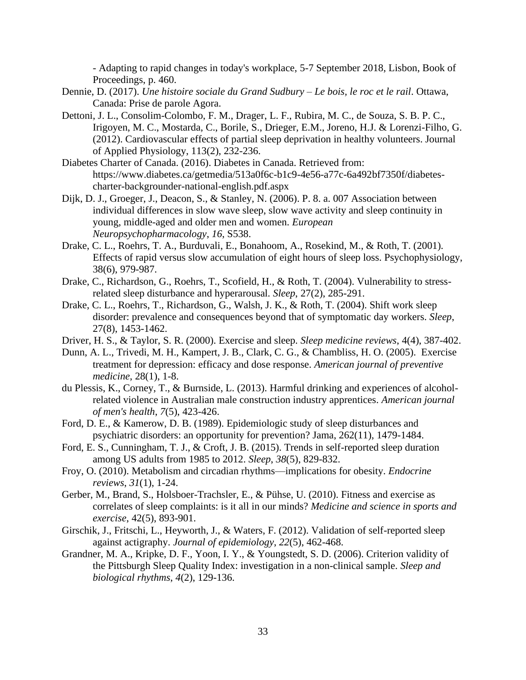- Adapting to rapid changes in today's workplace, 5-7 September 2018, Lisbon, Book of Proceedings, p. 460.

- Dennie, D. (2017). *Une histoire sociale du Grand Sudbury – Le bois, le roc et le rail*. Ottawa, Canada: Prise de parole Agora.
- Dettoni, J. L., Consolim-Colombo, F. M., Drager, L. F., Rubira, M. C., de Souza, S. B. P. C., Irigoyen, M. C., Mostarda, C., Borile, S., Drieger, E.M., Joreno, H.J. & Lorenzi-Filho, G. (2012). Cardiovascular effects of partial sleep deprivation in healthy volunteers. Journal of Applied Physiology, 113(2), 232-236.
- Diabetes Charter of Canada. (2016). Diabetes in Canada. Retrieved from: [https://www.diabetes.ca/getmedia/513a0f6c-b1c9-4e56-a77c-6a492bf7350f/diabetes](https://www.diabetes.ca/getmedia/513a0f6c-b1c9-4e56-a77c-6a492bf7350f/diabetes-)charter-backgrounder-national-english.pdf.aspx
- Dijk, D. J., Groeger, J., Deacon, S., & Stanley, N. (2006). P. 8. a. 007 Association between individual differences in slow wave sleep, slow wave activity and sleep continuity in young, middle-aged and older men and women. *European Neuropsychopharmacology*, *16*, S538.
- Drake, C. L., Roehrs, T. A., Burduvali, E., Bonahoom, A., Rosekind, M., & Roth, T. (2001). Effects of rapid versus slow accumulation of eight hours of sleep loss. Psychophysiology, 38(6), 979-987.
- Drake, C., Richardson, G., Roehrs, T., Scofield, H., & Roth, T. (2004). Vulnerability to stressrelated sleep disturbance and hyperarousal*. Sleep*, 27(2), 285-291.
- Drake, C. L., Roehrs, T., Richardson, G., Walsh, J. K., & Roth, T. (2004). Shift work sleep disorder: prevalence and consequences beyond that of symptomatic day workers. *Sleep*, 27(8), 1453-1462.
- Driver, H. S., & Taylor, S. R. (2000). Exercise and sleep. *Sleep medicine reviews*, 4(4), 387-402.
- Dunn, A. L., Trivedi, M. H., Kampert, J. B., Clark, C. G., & Chambliss, H. O. (2005). Exercise treatment for depression: efficacy and dose response. *American journal of preventive medicine*, 28(1), 1-8.
- du Plessis, K., Corney, T., & Burnside, L. (2013). Harmful drinking and experiences of alcoholrelated violence in Australian male construction industry apprentices. *American journal of men's health*, *7*(5), 423-426.
- Ford, D. E., & Kamerow, D. B. (1989). Epidemiologic study of sleep disturbances and psychiatric disorders: an opportunity for prevention? Jama, 262(11), 1479-1484.
- Ford, E. S., Cunningham, T. J., & Croft, J. B. (2015). Trends in self-reported sleep duration among US adults from 1985 to 2012. *Sleep*, *38*(5), 829-832.
- Froy, O. (2010). Metabolism and circadian rhythms—implications for obesity. *Endocrine reviews*, *31*(1), 1-24.
- Gerber, M., Brand, S., Holsboer-Trachsler, E., & Pühse, U. (2010). Fitness and exercise as correlates of sleep complaints: is it all in our minds? *Medicine and science in sports and exercise*, 42(5), 893-901.
- Girschik, J., Fritschi, L., Heyworth, J., & Waters, F. (2012). Validation of self-reported sleep against actigraphy. *Journal of epidemiology*, *22*(5), 462-468.
- Grandner, M. A., Kripke, D. F., Yoon, I. Y., & Youngstedt, S. D. (2006). Criterion validity of the Pittsburgh Sleep Quality Index: investigation in a non-clinical sample. *Sleep and biological rhythms*, *4*(2), 129-136.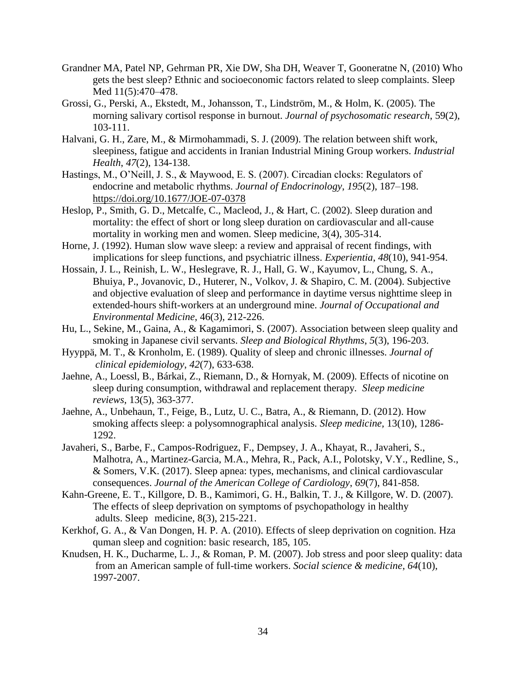- Grandner MA, Patel NP, Gehrman PR, Xie DW, Sha DH, Weaver T, Gooneratne N, (2010) Who gets the best sleep? Ethnic and socioeconomic factors related to sleep complaints. Sleep Med 11(5):470–478.
- Grossi, G., Perski, A., Ekstedt, M., Johansson, T., Lindström, M., & Holm, K. (2005). The morning salivary cortisol response in burnout. *Journal of psychosomatic research*, 59(2), 103-111.
- Halvani, G. H., Zare, M., & Mirmohammadi, S. J. (2009). The relation between shift work, sleepiness, fatigue and accidents in Iranian Industrial Mining Group workers. *Industrial Health*, *47*(2), 134-138.
- Hastings, M., O'Neill, J. S., & Maywood, E. S. (2007). Circadian clocks: Regulators of endocrine and metabolic rhythms. *Journal of Endocrinology*, *195*(2), 187–198. <https://doi.org/10.1677/JOE-07-0378>
- Heslop, P., Smith, G. D., Metcalfe, C., Macleod, J., & Hart, C. (2002). Sleep duration and mortality: the effect of short or long sleep duration on cardiovascular and all-cause mortality in working men and women. Sleep medicine, 3(4), 305-314.
- Horne, J. (1992). Human slow wave sleep: a review and appraisal of recent findings, with implications for sleep functions, and psychiatric illness. *Experientia*, *48*(10), 941-954.
- Hossain, J. L., Reinish, L. W., Heslegrave, R. J., Hall, G. W., Kayumov, L., Chung, S. A., Bhuiya, P., Jovanovic, D., Huterer, N., Volkov, J. & Shapiro, C. M. (2004). Subjective and objective evaluation of sleep and performance in daytime versus nighttime sleep in extended-hours shift-workers at an underground mine. *Journal of Occupational and Environmental Medicine*, 46(3), 212-226.
- Hu, L., Sekine, M., Gaina, A., & Kagamimori, S. (2007). Association between sleep quality and smoking in Japanese civil servants. *Sleep and Biological Rhythms*, *5*(3), 196-203.
- Hyyppä, M. T., & Kronholm, E. (1989). Quality of sleep and chronic illnesses. *Journal of clinical epidemiology*, *42*(7), 633-638.
- Jaehne, A., Loessl, B., Bárkai, Z., Riemann, D., & Hornyak, M. (2009). Effects of nicotine on sleep during consumption, withdrawal and replacement therapy*. Sleep medicine reviews,* 13(5), 363-377.
- Jaehne, A., Unbehaun, T., Feige, B., Lutz, U. C., Batra, A., & Riemann, D. (2012). How smoking affects sleep: a polysomnographical analysis. *Sleep medicine,* 13(10), 1286- 1292.
- Javaheri, S., Barbe, F., Campos-Rodriguez, F., Dempsey, J. A., Khayat, R., Javaheri, S., Malhotra, A., Martinez-Garcia, M.A., Mehra, R., Pack, A.I., Polotsky, V.Y., Redline, S., & Somers, V.K. (2017). Sleep apnea: types, mechanisms, and clinical cardiovascular consequences. *Journal of the American College of Cardiology*, *69*(7), 841-858.
- Kahn-Greene, E. T., Killgore, D. B., Kamimori, G. H., Balkin, T. J., & Killgore, W. D. (2007). The effects of sleep deprivation on symptoms of psychopathology in healthy adults. Sleep medicine, 8(3), 215-221.
- Kerkhof, G. A., & Van Dongen, H. P. A. (2010). Effects of sleep deprivation on cognition. Hza quman sleep and cognition: basic research, 185, 105.
- Knudsen, H. K., Ducharme, L. J., & Roman, P. M. (2007). Job stress and poor sleep quality: data from an American sample of full-time workers. *Social science & medicine*, *64*(10), 1997-2007.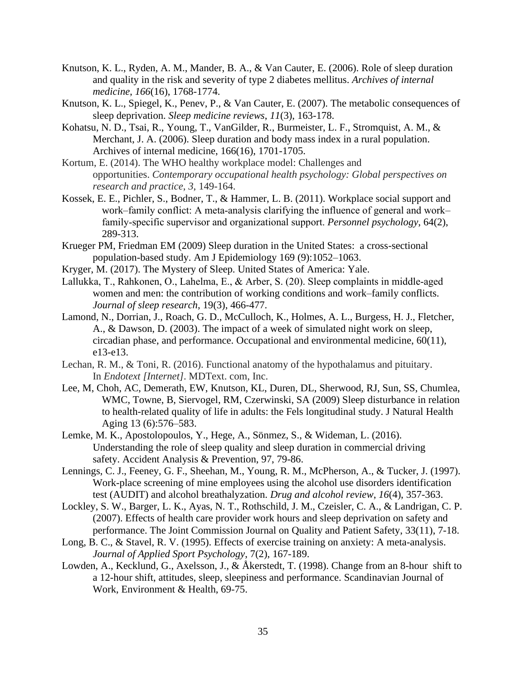- Knutson, K. L., Ryden, A. M., Mander, B. A., & Van Cauter, E. (2006). Role of sleep duration and quality in the risk and severity of type 2 diabetes mellitus. *Archives of internal medicine*, *166*(16), 1768-1774.
- Knutson, K. L., Spiegel, K., Penev, P., & Van Cauter, E. (2007). The metabolic consequences of sleep deprivation. *Sleep medicine reviews*, *11*(3), 163-178.
- Kohatsu, N. D., Tsai, R., Young, T., VanGilder, R., Burmeister, L. F., Stromquist, A. M., & Merchant, J. A. (2006). Sleep duration and body mass index in a rural population. Archives of internal medicine, 166(16), 1701-1705.
- Kortum, E. (2014). The WHO healthy workplace model: Challenges and opportunities. *Contemporary occupational health psychology: Global perspectives on research and practice*, *3*, 149-164.
- Kossek, E. E., Pichler, S., Bodner, T., & Hammer, L. B. (2011). Workplace social support and work–family conflict: A meta-analysis clarifying the influence of general and work– family‐specific supervisor and organizational support. *Personnel psychology*, 64(2), 289-313.
- Krueger PM, Friedman EM (2009) Sleep duration in the United States: a cross-sectional population-based study. Am J Epidemiology 169 (9):1052–1063.
- Kryger, M. (2017). The Mystery of Sleep. United States of America: Yale.
- Lallukka, T., Rahkonen, O., Lahelma, E., & Arber, S. (20). Sleep complaints in middle‐aged women and men: the contribution of working conditions and work–family conflicts. *Journal of sleep research*, 19(3), 466-477.
- Lamond, N., Dorrian, J., Roach, G. D., McCulloch, K., Holmes, A. L., Burgess, H. J., Fletcher, A., & Dawson, D. (2003). The impact of a week of simulated night work on sleep, circadian phase, and performance. Occupational and environmental medicine, 60(11), e13-e13.
- Lechan, R. M., & Toni, R. (2016). Functional anatomy of the hypothalamus and pituitary. In *Endotext [Internet]*. MDText. com, Inc.
- Lee, M, Choh, AC, Demerath, EW, Knutson, KL, Duren, DL, Sherwood, RJ, Sun, SS, Chumlea, WMC, Towne, B, Siervogel, RM, Czerwinski, SA (2009) Sleep disturbance in relation to health-related quality of life in adults: the Fels longitudinal study. J Natural Health Aging 13 (6):576–583.
- Lemke, M. K., Apostolopoulos, Y., Hege, A., Sönmez, S., & Wideman, L. (2016). Understanding the role of sleep quality and sleep duration in commercial driving safety. Accident Analysis & Prevention, 97, 79-86.
- Lennings, C. J., Feeney, G. F., Sheehan, M., Young, R. M., McPherson, A., & Tucker, J. (1997). Work-place screening of mine employees using the alcohol use disorders identification test (AUDIT) and alcohol breathalyzation. *Drug and alcohol review*, *16*(4), 357-363.
- Lockley, S. W., Barger, L. K., Ayas, N. T., Rothschild, J. M., Czeisler, C. A., & Landrigan, C. P. (2007). Effects of health care provider work hours and sleep deprivation on safety and performance. The Joint Commission Journal on Quality and Patient Safety, 33(11), 7-18.
- Long, B. C., & Stavel, R. V. (1995). Effects of exercise training on anxiety: A meta-analysis. *Journal of Applied Sport Psychology*, 7(2), 167-189.
- Lowden, A., Kecklund, G., Axelsson, J., & Åkerstedt, T. (1998). Change from an 8-hour shift to a 12-hour shift, attitudes, sleep, sleepiness and performance. Scandinavian Journal of Work, Environment & Health, 69-75.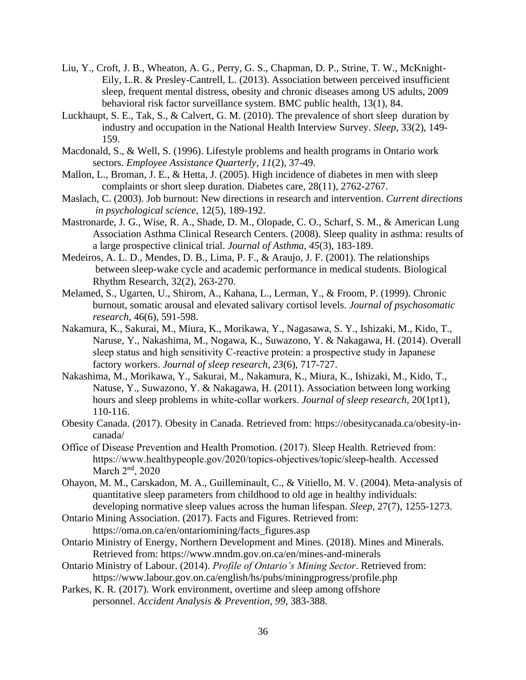- Liu, Y., Croft, J. B., Wheaton, A. G., Perry, G. S., Chapman, D. P., Strine, T. W., McKnight-Eily, L.R. & Presley-Cantrell, L. (2013). Association between perceived insufficient sleep, frequent mental distress, obesity and chronic diseases among US adults, 2009 behavioral risk factor surveillance system. BMC public health, 13(1), 84.
- Luckhaupt, S. E., Tak, S., & Calvert, G. M. (2010). The prevalence of short sleep duration by industry and occupation in the National Health Interview Survey. *Sleep*, 33(2), 149- 159.
- Macdonald, S., & Well, S. (1996). Lifestyle problems and health programs in Ontario work sectors. *Employee Assistance Quarterly*, *11*(2), 37-49.
- Mallon, L., Broman, J. E., & Hetta, J. (2005). High incidence of diabetes in men with sleep complaints or short sleep duration. Diabetes care, 28(11), 2762-2767.
- Maslach, C. (2003). Job burnout: New directions in research and intervention. *Current directions in psychological science,* 12(5), 189-192.
- Mastronarde, J. G., Wise, R. A., Shade, D. M., Olopade, C. O., Scharf, S. M., & American Lung Association Asthma Clinical Research Centers. (2008). Sleep quality in asthma: results of a large prospective clinical trial. *Journal of Asthma*, *45*(3), 183-189.
- Medeiros, A. L. D., Mendes, D. B., Lima, P. F., & Araujo, J. F. (2001). The relationships between sleep-wake cycle and academic performance in medical students. Biological Rhythm Research, 32(2), 263-270.
- Melamed, S., Ugarten, U., Shirom, A., Kahana, L., Lerman, Y., & Froom, P. (1999). Chronic burnout, somatic arousal and elevated salivary cortisol levels. *Journal of psychosomatic research*, 46(6), 591-598.
- Nakamura, K., Sakurai, M., Miura, K., Morikawa, Y., Nagasawa, S. Y., Ishizaki, M., Kido, T., Naruse, Y., Nakashima, M., Nogawa, K., Suwazono, Y. & Nakagawa, H. (2014). Overall sleep status and high sensitivity C-reactive protein: a prospective study in Japanese factory workers. *Journal of sleep research*, *23*(6), 717-727.
- Nakashima, M., Morikawa, Y., Sakurai, M., Nakamura, K., Miura, K., Ishizaki, M., Kido, T., Natuse, Y., Suwazono, Y. & Nakagawa, H. (2011). Association between long working hours and sleep problems in white‐collar workers. *Journal of sleep research*, 20(1pt1), 110-116.
- Obesity Canada. (2017). Obesity in Canada. Retrieved from: [https://obesitycanada.ca/obesity-in](https://obesitycanada.ca/obesity-in-)canada/
- Office of Disease Prevention and Health Promotion. (2017). Sleep Health. Retrieved from: [https://www.healthypeople.gov/2020/topics-objectives/topic/sleep-health.](https://www.healthypeople.gov/2020/topics-objectives/topic/sleep-health) Accessed March 2<sup>nd</sup>, 2020
- Ohayon, M. M., Carskadon, M. A., Guilleminault, C., & Vitiello, M. V. (2004). Meta-analysis of quantitative sleep parameters from childhood to old age in healthy individuals: developing normative sleep values across the human lifespan. *Sleep*, 27(7), 1255-1273.
- Ontario Mining Association. (2017). Facts and Figures. Retrieved from: [https://oma.on.ca/en/ontariomining/facts\\_figures.asp](https://oma.on.ca/en/ontariomining/facts_figures.asp)
- Ontario Ministry of Energy, Northern Development and Mines. (2018). Mines and Minerals. Retrieved from:<https://www.mndm.gov.on.ca/en/mines-and-minerals>
- Ontario Ministry of Labour. (2014). *Profile of Ontario's Mining Sector*. Retrieved from: <https://www.labour.gov.on.ca/english/hs/pubs/miningprogress/profile.php>
- Parkes, K. R. (2017). Work environment, overtime and sleep among offshore personnel. *Accident Analysis & Prevention*, *99*, 383-388.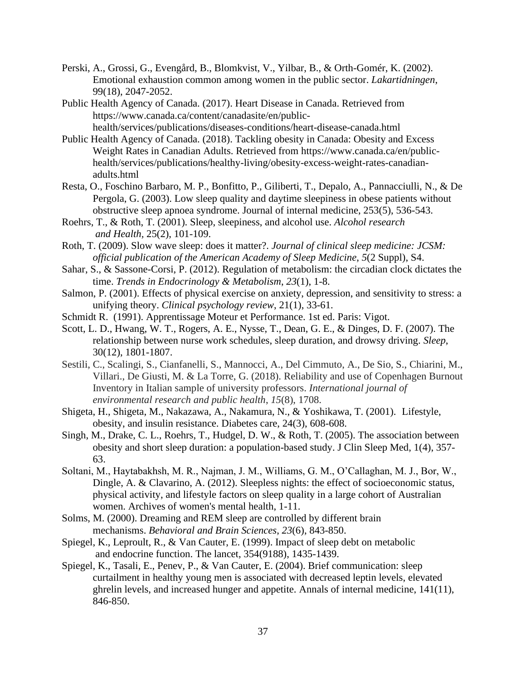- Perski, A., Grossi, G., Evengård, B., Blomkvist, V., Yilbar, B., & Orth-Gomér, K. (2002). Emotional exhaustion common among women in the public sector. *Lakartidningen*, 99(18), 2047-2052.
- Public Health Agency of Canada. (2017). Heart Disease in Canada. Retrieved from [https://www.canada.ca/content/canadasite/en/public](https://www.canada.ca/content/canadasite/en/public-)health/services/publications/diseases-conditions/heart-disease-canada.html
- Public Health Agency of Canada. (2018). Tackling obesity in Canada: Obesity and Excess Weight Rates in Canadian Adults. Retrieved from [https://www.canada.ca/en/public](https://www.canada.ca/en/public-%09health/services/publications/healthy-living/obesity-excess-weight-rates-canadian-%09adults.html)[health/services/publications/healthy-living/obesity-excess-weight-rates-canadian](https://www.canada.ca/en/public-%09health/services/publications/healthy-living/obesity-excess-weight-rates-canadian-%09adults.html)[adults.html](https://www.canada.ca/en/public-%09health/services/publications/healthy-living/obesity-excess-weight-rates-canadian-%09adults.html)
- Resta, O., Foschino Barbaro, M. P., Bonfitto, P., Giliberti, T., Depalo, A., Pannacciulli, N., & De Pergola, G. (2003). Low sleep quality and daytime sleepiness in obese patients without obstructive sleep apnoea syndrome. Journal of internal medicine, 253(5), 536-543.
- Roehrs, T., & Roth, T. (2001). Sleep, sleepiness, and alcohol use. *Alcohol research and Health,* 25(2), 101-109.
- Roth, T. (2009). Slow wave sleep: does it matter?. *Journal of clinical sleep medicine: JCSM: official publication of the American Academy of Sleep Medicine*, *5*(2 Suppl), S4.
- Sahar, S., & Sassone-Corsi, P. (2012). Regulation of metabolism: the circadian clock dictates the time. *Trends in Endocrinology & Metabolism*, *23*(1), 1-8.
- Salmon, P. (2001). Effects of physical exercise on anxiety, depression, and sensitivity to stress: a unifying theory. *Clinical psychology review*, 21(1), 33-61.
- Schmidt R. (1991). Apprentissage Moteur et Performance. 1st ed. Paris: Vigot.
- Scott, L. D., Hwang, W. T., Rogers, A. E., Nysse, T., Dean, G. E., & Dinges, D. F. (2007). The relationship between nurse work schedules, sleep duration, and drowsy driving. *Sleep*, 30(12), 1801-1807.
- Sestili, C., Scalingi, S., Cianfanelli, S., Mannocci, A., Del Cimmuto, A., De Sio, S., Chiarini, M., Villari., De Giusti, M. & La Torre, G. (2018). Reliability and use of Copenhagen Burnout Inventory in Italian sample of university professors. *International journal of environmental research and public health*, *15*(8), 1708.
- Shigeta, H., Shigeta, M., Nakazawa, A., Nakamura, N., & Yoshikawa, T. (2001). Lifestyle, obesity, and insulin resistance. Diabetes care, 24(3), 608-608.
- Singh, M., Drake, C. L., Roehrs, T., Hudgel, D. W., & Roth, T. (2005). The association between obesity and short sleep duration: a population-based study. J Clin Sleep Med, 1(4), 357- 63.
- Soltani, M., Haytabakhsh, M. R., Najman, J. M., Williams, G. M., O'Callaghan, M. J., Bor, W., Dingle, A. & Clavarino, A. (2012). Sleepless nights: the effect of socioeconomic status, physical activity, and lifestyle factors on sleep quality in a large cohort of Australian women. Archives of women's mental health, 1-11.
- Solms, M. (2000). Dreaming and REM sleep are controlled by different brain mechanisms. *Behavioral and Brain Sciences*, *23*(6), 843-850.
- Spiegel, K., Leproult, R., & Van Cauter, E. (1999). Impact of sleep debt on metabolic and endocrine function. The lancet, 354(9188), 1435-1439.
- Spiegel, K., Tasali, E., Penev, P., & Van Cauter, E. (2004). Brief communication: sleep curtailment in healthy young men is associated with decreased leptin levels, elevated ghrelin levels, and increased hunger and appetite. Annals of internal medicine, 141(11), 846-850.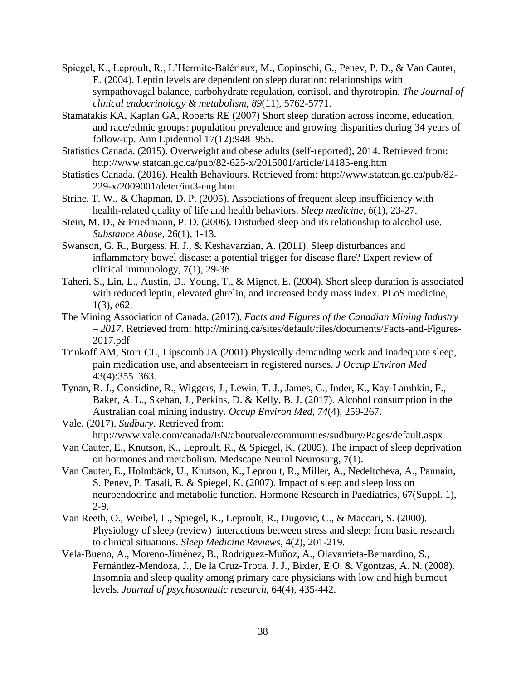- Spiegel, K., Leproult, R., L'Hermite-Balériaux, M., Copinschi, G., Penev, P. D., & Van Cauter, E. (2004). Leptin levels are dependent on sleep duration: relationships with sympathovagal balance, carbohydrate regulation, cortisol, and thyrotropin. *The Journal of clinical endocrinology & metabolism*, *89*(11), 5762-5771.
- Stamatakis KA, Kaplan GA, Roberts RE (2007) Short sleep duration across income, education, and race/ethnic groups: population prevalence and growing disparities during 34 years of follow-up. Ann Epidemiol 17(12):948–955.
- Statistics Canada. (2015). Overweight and obese adults (self-reported), 2014. Retrieved from: http://www.statcan.gc.ca/pub/82-625-x/2015001/article/14185-eng.htm
- Statistics Canada. (2016). Health Behaviours. Retrieved from:<http://www.statcan.gc.ca/pub/82-> 229-x/2009001/deter/int3-eng.htm
- Strine, T. W., & Chapman, D. P. (2005). Associations of frequent sleep insufficiency with health-related quality of life and health behaviors. *Sleep medicine*, *6*(1), 23-27.
- Stein, M. D., & Friedmann, P. D. (2006). Disturbed sleep and its relationship to alcohol use. *Substance Abuse*, 26(1), 1-13.
- Swanson, G. R., Burgess, H. J., & Keshavarzian, A. (2011). Sleep disturbances and inflammatory bowel disease: a potential trigger for disease flare? Expert review of clinical immunology, 7(1), 29-36.
- Taheri, S., Lin, L., Austin, D., Young, T., & Mignot, E. (2004). Short sleep duration is associated with reduced leptin, elevated ghrelin, and increased body mass index. PLoS medicine, 1(3), e62.
- The Mining Association of Canada. (2017). *Facts and Figures of the Canadian Mining Industry – 2017*. Retrieved from:<http://mining.ca/sites/default/files/documents/Facts-and-Figures->2017.pdf
- Trinkoff AM, Storr CL, Lipscomb JA (2001) Physically demanding work and inadequate sleep, pain medication use, and absenteeism in registered nurses. *J Occup Environ Med* 43(4):355–363.
- Tynan, R. J., Considine, R., Wiggers, J., Lewin, T. J., James, C., Inder, K., Kay-Lambkin, F., Baker, A. L., Skehan, J., Perkins, D. & Kelly, B. J. (2017). Alcohol consumption in the Australian coal mining industry. *Occup Environ Med*, *74*(4), 259-267.
- Vale. (2017). *Sudbury*. Retrieved from: <http://www.vale.com/canada/EN/aboutvale/communities/sudbury/Pages/default.aspx>
- Van Cauter, E., Knutson, K., Leproult, R., & Spiegel, K. (2005). The impact of sleep deprivation on hormones and metabolism. Medscape Neurol Neurosurg, 7(1).
- Van Cauter, E., Holmbäck, U., Knutson, K., Leproult, R., Miller, A., Nedeltcheva, A., Pannain, S. Penev, P. Tasali, E. & Spiegel, K. (2007). Impact of sleep and sleep loss on neuroendocrine and metabolic function. Hormone Research in Paediatrics, 67(Suppl. 1), 2-9.
- Van Reeth, O., Weibel, L., Spiegel, K., Leproult, R., Dugovic, C., & Maccari, S. (2000). Physiology of sleep (review)–interactions between stress and sleep: from basic research to clinical situations. *Sleep Medicine Reviews*, 4(2), 201-219.
- Vela-Bueno, A., Moreno-Jiménez, B., Rodríguez-Muñoz, A., Olavarrieta-Bernardino, S., Fernández-Mendoza, J., De la Cruz-Troca, J. J., Bixler, E.O. & Vgontzas, A. N. (2008). Insomnia and sleep quality among primary care physicians with low and high burnout levels. *Journal of psychosomatic research*, 64(4), 435-442.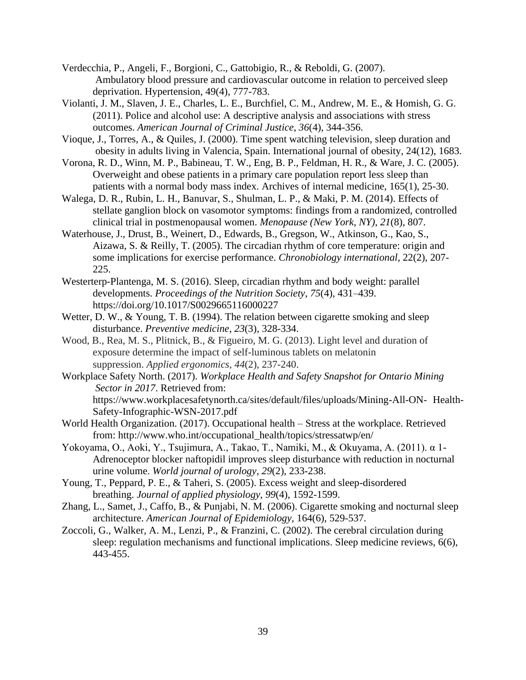- Verdecchia, P., Angeli, F., Borgioni, C., Gattobigio, R., & Reboldi, G. (2007). Ambulatory blood pressure and cardiovascular outcome in relation to perceived sleep deprivation. Hypertension, 49(4), 777-783.
- Violanti, J. M., Slaven, J. E., Charles, L. E., Burchfiel, C. M., Andrew, M. E., & Homish, G. G. (2011). Police and alcohol use: A descriptive analysis and associations with stress outcomes. *American Journal of Criminal Justice*, *36*(4), 344-356.
- Vioque, J., Torres, A., & Quiles, J. (2000). Time spent watching television, sleep duration and obesity in adults living in Valencia, Spain. International journal of obesity, 24(12), 1683.
- Vorona, R. D., Winn, M. P., Babineau, T. W., Eng, B. P., Feldman, H. R., & Ware, J. C. (2005). Overweight and obese patients in a primary care population report less sleep than patients with a normal body mass index. Archives of internal medicine, 165(1), 25-30.
- Walega, D. R., Rubin, L. H., Banuvar, S., Shulman, L. P., & Maki, P. M. (2014). Effects of stellate ganglion block on vasomotor symptoms: findings from a randomized, controlled clinical trial in postmenopausal women. *Menopause (New York, NY)*, *21*(8), 807.
- Waterhouse, J., Drust, B., Weinert, D., Edwards, B., Gregson, W., Atkinson, G., Kao, S., Aizawa, S. & Reilly, T. (2005). The circadian rhythm of core temperature: origin and some implications for exercise performance. *Chronobiology international*, 22(2), 207- 225.
- Westerterp-Plantenga, M. S. (2016). Sleep, circadian rhythm and body weight: parallel developments. *Proceedings of the Nutrition Society*, *75*(4), 431–439. <https://doi.org/10.1017/S0029665116000227>
- Wetter, D. W., & Young, T. B. (1994). The relation between cigarette smoking and sleep disturbance. *Preventive medicine*, *23*(3), 328-334.
- Wood, B., Rea, M. S., Plitnick, B., & Figueiro, M. G. (2013). Light level and duration of exposure determine the impact of self-luminous tablets on melatonin suppression. *Applied ergonomics*, *44*(2), 237-240.
- Workplace Safety North. (2017). *Workplace Health and Safety Snapshot for Ontario Mining Sector in 2017*. Retrieved from: [https://www.workplacesafetynorth.ca/sites/default/files/uploads/Mining-All-ON-](https://www.workplacesafetynorth.ca/sites/default/files/uploads/Mining-All-ON-%09Health-%09Safety-Infographic-WSN-2017.pdf) Health-[Safety-Infographic-WSN-2017.pdf](https://www.workplacesafetynorth.ca/sites/default/files/uploads/Mining-All-ON-%09Health-%09Safety-Infographic-WSN-2017.pdf)
- World Health Organization. (2017). Occupational health Stress at the workplace. Retrieved from: http://www.who.int/occupational\_health/topics/stressatwp/en/
- Yokoyama, O., Aoki, Y., Tsujimura, A., Takao, T., Namiki, M., & Okuyama, A. (2011). α 1- Adrenoceptor blocker naftopidil improves sleep disturbance with reduction in nocturnal urine volume. *World journal of urology*, *29*(2), 233-238.
- Young, T., Peppard, P. E., & Taheri, S. (2005). Excess weight and sleep-disordered breathing. *Journal of applied physiology*, *99*(4), 1592-1599.
- Zhang, L., Samet, J., Caffo, B., & Punjabi, N. M. (2006). Cigarette smoking and nocturnal sleep architecture. *American Journal of Epidemiology,* 164(6), 529-537.
- Zoccoli, G., Walker, A. M., Lenzi, P., & Franzini, C. (2002). The cerebral circulation during sleep: regulation mechanisms and functional implications. Sleep medicine reviews, 6(6), 443-455.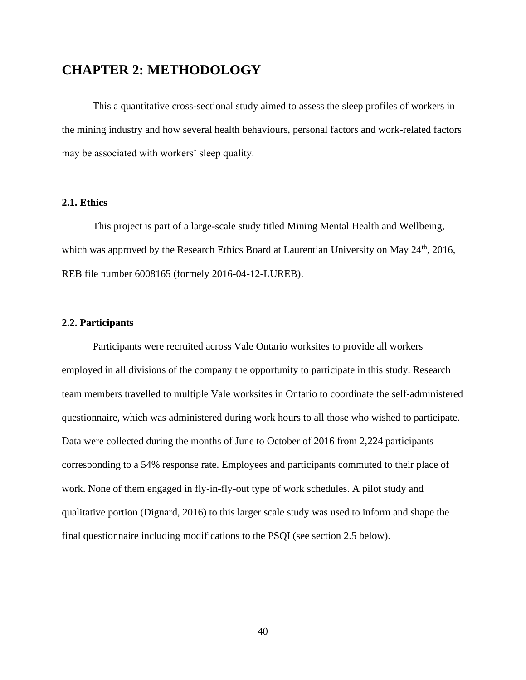# **CHAPTER 2: METHODOLOGY**

This a quantitative cross-sectional study aimed to assess the sleep profiles of workers in the mining industry and how several health behaviours, personal factors and work-related factors may be associated with workers' sleep quality.

## **2.1. Ethics**

This project is part of a large-scale study titled Mining Mental Health and Wellbeing, which was approved by the Research Ethics Board at Laurentian University on May 24<sup>th</sup>, 2016, REB file number 6008165 (formely 2016-04-12-LUREB).

## **2.2. Participants**

Participants were recruited across Vale Ontario worksites to provide all workers employed in all divisions of the company the opportunity to participate in this study. Research team members travelled to multiple Vale worksites in Ontario to coordinate the self-administered questionnaire, which was administered during work hours to all those who wished to participate. Data were collected during the months of June to October of 2016 from 2,224 participants corresponding to a 54% response rate. Employees and participants commuted to their place of work. None of them engaged in fly-in-fly-out type of work schedules. A pilot study and qualitative portion (Dignard, 2016) to this larger scale study was used to inform and shape the final questionnaire including modifications to the PSQI (see section 2.5 below).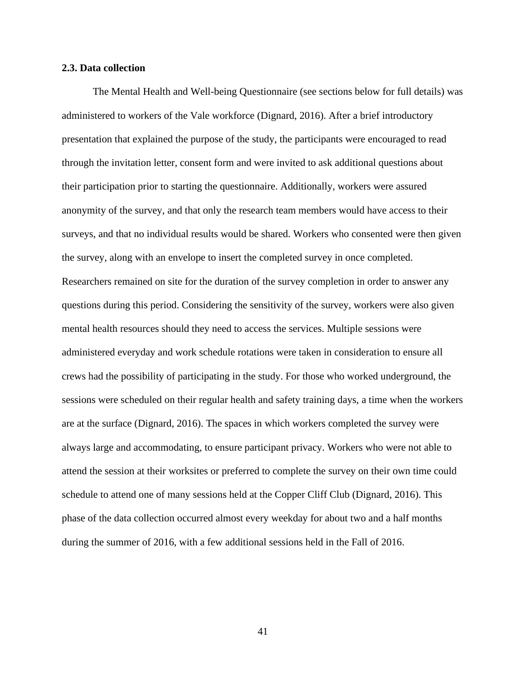#### **2.3. Data collection**

The Mental Health and Well-being Questionnaire (see sections below for full details) was administered to workers of the Vale workforce (Dignard, 2016). After a brief introductory presentation that explained the purpose of the study, the participants were encouraged to read through the invitation letter, consent form and were invited to ask additional questions about their participation prior to starting the questionnaire. Additionally, workers were assured anonymity of the survey, and that only the research team members would have access to their surveys, and that no individual results would be shared. Workers who consented were then given the survey, along with an envelope to insert the completed survey in once completed. Researchers remained on site for the duration of the survey completion in order to answer any questions during this period. Considering the sensitivity of the survey, workers were also given mental health resources should they need to access the services. Multiple sessions were administered everyday and work schedule rotations were taken in consideration to ensure all crews had the possibility of participating in the study. For those who worked underground, the sessions were scheduled on their regular health and safety training days, a time when the workers are at the surface (Dignard, 2016). The spaces in which workers completed the survey were always large and accommodating, to ensure participant privacy. Workers who were not able to attend the session at their worksites or preferred to complete the survey on their own time could schedule to attend one of many sessions held at the Copper Cliff Club (Dignard, 2016). This phase of the data collection occurred almost every weekday for about two and a half months during the summer of 2016, with a few additional sessions held in the Fall of 2016.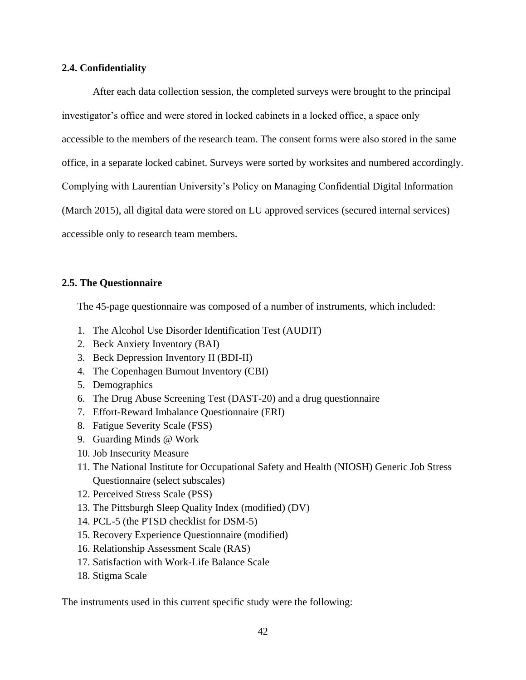## **2.4. Confidentiality**

After each data collection session, the completed surveys were brought to the principal investigator's office and were stored in locked cabinets in a locked office, a space only accessible to the members of the research team. The consent forms were also stored in the same office, in a separate locked cabinet. Surveys were sorted by worksites and numbered accordingly. Complying with Laurentian University's Policy on Managing Confidential Digital Information (March 2015), all digital data were stored on LU approved services (secured internal services) accessible only to research team members.

## **2.5. The Questionnaire**

The 45-page questionnaire was composed of a number of instruments, which included:

- 1. The Alcohol Use Disorder Identification Test (AUDIT)
- 2. Beck Anxiety Inventory (BAI)
- 3. Beck Depression Inventory II (BDI-II)
- 4. The Copenhagen Burnout Inventory (CBI)
- 5. Demographics
- 6. The Drug Abuse Screening Test (DAST-20) and a drug questionnaire
- 7. Effort-Reward Imbalance Questionnaire (ERI)
- 8. Fatigue Severity Scale (FSS)
- 9. Guarding Minds @ Work
- 10. Job Insecurity Measure
- 11. The National Institute for Occupational Safety and Health (NIOSH) Generic Job Stress Questionnaire (select subscales)
- 12. Perceived Stress Scale (PSS)
- 13. The Pittsburgh Sleep Quality Index (modified) (DV)
- 14. PCL-5 (the PTSD checklist for DSM-5)
- 15. Recovery Experience Questionnaire (modified)
- 16. Relationship Assessment Scale (RAS)
- 17. Satisfaction with Work-Life Balance Scale
- 18. Stigma Scale

The instruments used in this current specific study were the following: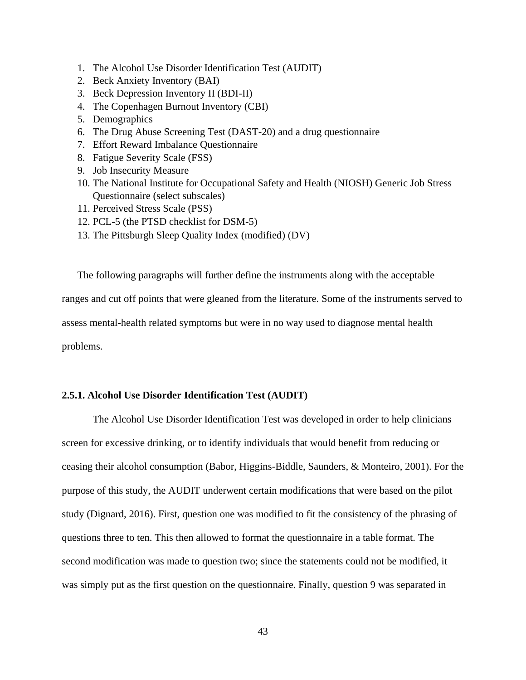- 1. The Alcohol Use Disorder Identification Test (AUDIT)
- 2. Beck Anxiety Inventory (BAI)
- 3. Beck Depression Inventory II (BDI-II)
- 4. The Copenhagen Burnout Inventory (CBI)
- 5. Demographics
- 6. The Drug Abuse Screening Test (DAST-20) and a drug questionnaire
- 7. Effort Reward Imbalance Questionnaire
- 8. Fatigue Severity Scale (FSS)
- 9. Job Insecurity Measure
- 10. The National Institute for Occupational Safety and Health (NIOSH) Generic Job Stress Questionnaire (select subscales)
- 11. Perceived Stress Scale (PSS)
- 12. PCL-5 (the PTSD checklist for DSM-5)
- 13. The Pittsburgh Sleep Quality Index (modified) (DV)

The following paragraphs will further define the instruments along with the acceptable ranges and cut off points that were gleaned from the literature. Some of the instruments served to assess mental-health related symptoms but were in no way used to diagnose mental health problems.

## **2.5.1. Alcohol Use Disorder Identification Test (AUDIT)**

The Alcohol Use Disorder Identification Test was developed in order to help clinicians screen for excessive drinking, or to identify individuals that would benefit from reducing or ceasing their alcohol consumption (Babor, Higgins-Biddle, Saunders, & Monteiro, 2001). For the purpose of this study, the AUDIT underwent certain modifications that were based on the pilot study (Dignard, 2016). First, question one was modified to fit the consistency of the phrasing of questions three to ten. This then allowed to format the questionnaire in a table format. The second modification was made to question two; since the statements could not be modified, it was simply put as the first question on the questionnaire. Finally, question 9 was separated in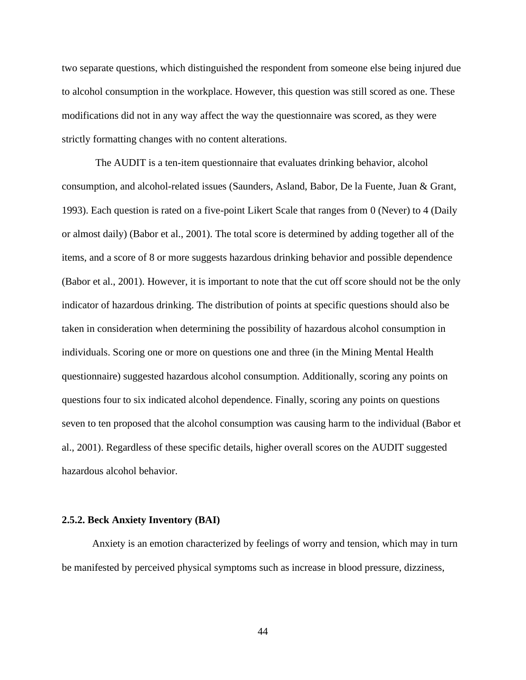two separate questions, which distinguished the respondent from someone else being injured due to alcohol consumption in the workplace. However, this question was still scored as one. These modifications did not in any way affect the way the questionnaire was scored, as they were strictly formatting changes with no content alterations.

The AUDIT is a ten-item questionnaire that evaluates drinking behavior, alcohol consumption, and alcohol-related issues (Saunders, Asland, Babor, De la Fuente, Juan & Grant, 1993). Each question is rated on a five-point Likert Scale that ranges from 0 (Never) to 4 (Daily or almost daily) (Babor et al., 2001). The total score is determined by adding together all of the items, and a score of 8 or more suggests hazardous drinking behavior and possible dependence (Babor et al., 2001). However, it is important to note that the cut off score should not be the only indicator of hazardous drinking. The distribution of points at specific questions should also be taken in consideration when determining the possibility of hazardous alcohol consumption in individuals. Scoring one or more on questions one and three (in the Mining Mental Health questionnaire) suggested hazardous alcohol consumption. Additionally, scoring any points on questions four to six indicated alcohol dependence. Finally, scoring any points on questions seven to ten proposed that the alcohol consumption was causing harm to the individual (Babor et al., 2001). Regardless of these specific details, higher overall scores on the AUDIT suggested hazardous alcohol behavior.

#### **2.5.2. Beck Anxiety Inventory (BAI)**

Anxiety is an emotion characterized by feelings of worry and tension, which may in turn be manifested by perceived physical symptoms such as increase in blood pressure, dizziness,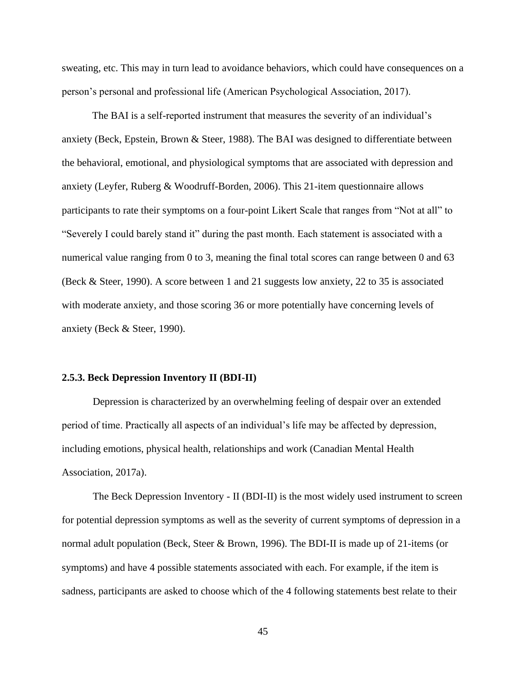sweating, etc. This may in turn lead to avoidance behaviors, which could have consequences on a person's personal and professional life (American Psychological Association, 2017).

The BAI is a self-reported instrument that measures the severity of an individual's anxiety (Beck, Epstein, Brown & Steer, 1988). The BAI was designed to differentiate between the behavioral, emotional, and physiological symptoms that are associated with depression and anxiety (Leyfer, Ruberg & Woodruff-Borden, 2006). This 21-item questionnaire allows participants to rate their symptoms on a four-point Likert Scale that ranges from "Not at all" to "Severely I could barely stand it" during the past month. Each statement is associated with a numerical value ranging from 0 to 3, meaning the final total scores can range between 0 and 63 (Beck & Steer, 1990). A score between 1 and 21 suggests low anxiety, 22 to 35 is associated with moderate anxiety, and those scoring 36 or more potentially have concerning levels of anxiety (Beck & Steer, 1990).

#### **2.5.3. Beck Depression Inventory II (BDI-II)**

Depression is characterized by an overwhelming feeling of despair over an extended period of time. Practically all aspects of an individual's life may be affected by depression, including emotions, physical health, relationships and work (Canadian Mental Health Association, 2017a).

The Beck Depression Inventory - II (BDI-II) is the most widely used instrument to screen for potential depression symptoms as well as the severity of current symptoms of depression in a normal adult population (Beck, Steer & Brown, 1996). The BDI-II is made up of 21-items (or symptoms) and have 4 possible statements associated with each. For example, if the item is sadness, participants are asked to choose which of the 4 following statements best relate to their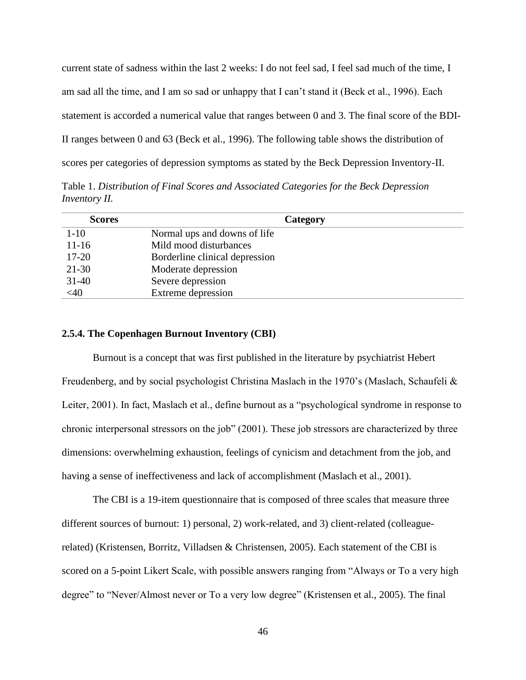current state of sadness within the last 2 weeks: I do not feel sad, I feel sad much of the time, I am sad all the time, and I am so sad or unhappy that I can't stand it (Beck et al., 1996). Each statement is accorded a numerical value that ranges between 0 and 3. The final score of the BDI-II ranges between 0 and 63 (Beck et al., 1996). The following table shows the distribution of scores per categories of depression symptoms as stated by the Beck Depression Inventory-II.

Table 1. *Distribution of Final Scores and Associated Categories for the Beck Depression Inventory II.*

| <b>Scores</b> | Category                       |
|---------------|--------------------------------|
| $1 - 10$      | Normal ups and downs of life   |
| $11 - 16$     | Mild mood disturbances         |
| $17 - 20$     | Borderline clinical depression |
| $21 - 30$     | Moderate depression            |
| $31 - 40$     | Severe depression              |
| <40           | Extreme depression             |

#### **2.5.4. The Copenhagen Burnout Inventory (CBI)**

Burnout is a concept that was first published in the literature by psychiatrist Hebert Freudenberg, and by social psychologist Christina Maslach in the 1970's (Maslach, Schaufeli & Leiter, 2001). In fact, Maslach et al., define burnout as a "psychological syndrome in response to chronic interpersonal stressors on the job" (2001). These job stressors are characterized by three dimensions: overwhelming exhaustion, feelings of cynicism and detachment from the job, and having a sense of ineffectiveness and lack of accomplishment (Maslach et al., 2001).

The CBI is a 19-item questionnaire that is composed of three scales that measure three different sources of burnout: 1) personal, 2) work-related, and 3) client-related (colleaguerelated) (Kristensen, Borritz, Villadsen & Christensen, 2005). Each statement of the CBI is scored on a 5-point Likert Scale, with possible answers ranging from "Always or To a very high degree" to "Never/Almost never or To a very low degree" (Kristensen et al., 2005). The final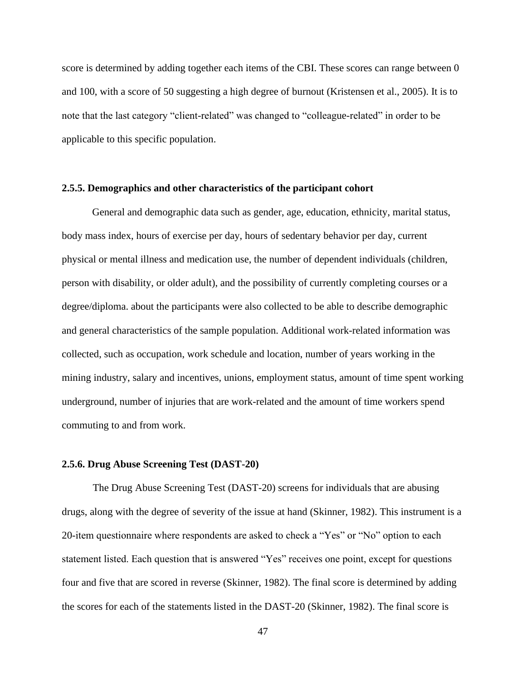score is determined by adding together each items of the CBI. These scores can range between 0 and 100, with a score of 50 suggesting a high degree of burnout (Kristensen et al., 2005). It is to note that the last category "client-related" was changed to "colleague-related" in order to be applicable to this specific population.

#### **2.5.5. Demographics and other characteristics of the participant cohort**

General and demographic data such as gender, age, education, ethnicity, marital status, body mass index, hours of exercise per day, hours of sedentary behavior per day, current physical or mental illness and medication use, the number of dependent individuals (children, person with disability, or older adult), and the possibility of currently completing courses or a degree/diploma. about the participants were also collected to be able to describe demographic and general characteristics of the sample population. Additional work-related information was collected, such as occupation, work schedule and location, number of years working in the mining industry, salary and incentives, unions, employment status, amount of time spent working underground, number of injuries that are work-related and the amount of time workers spend commuting to and from work.

#### **2.5.6. Drug Abuse Screening Test (DAST-20)**

The Drug Abuse Screening Test (DAST-20) screens for individuals that are abusing drugs, along with the degree of severity of the issue at hand (Skinner, 1982). This instrument is a 20-item questionnaire where respondents are asked to check a "Yes" or "No" option to each statement listed. Each question that is answered "Yes" receives one point, except for questions four and five that are scored in reverse (Skinner, 1982). The final score is determined by adding the scores for each of the statements listed in the DAST-20 (Skinner, 1982). The final score is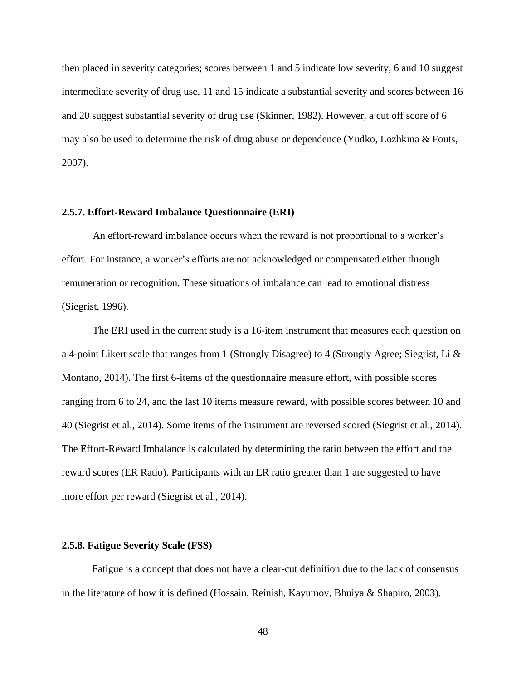then placed in severity categories; scores between 1 and 5 indicate low severity, 6 and 10 suggest intermediate severity of drug use, 11 and 15 indicate a substantial severity and scores between 16 and 20 suggest substantial severity of drug use (Skinner, 1982). However, a cut off score of 6 may also be used to determine the risk of drug abuse or dependence (Yudko, Lozhkina & Fouts, 2007).

#### **2.5.7. Effort-Reward Imbalance Questionnaire (ERI)**

An effort-reward imbalance occurs when the reward is not proportional to a worker's effort. For instance, a worker's efforts are not acknowledged or compensated either through remuneration or recognition. These situations of imbalance can lead to emotional distress (Siegrist, 1996).

The ERI used in the current study is a 16-item instrument that measures each question on a 4-point Likert scale that ranges from 1 (Strongly Disagree) to 4 (Strongly Agree; Siegrist, Li & Montano, 2014). The first 6-items of the questionnaire measure effort, with possible scores ranging from 6 to 24, and the last 10 items measure reward, with possible scores between 10 and 40 (Siegrist et al., 2014). Some items of the instrument are reversed scored (Siegrist et al., 2014). The Effort-Reward Imbalance is calculated by determining the ratio between the effort and the reward scores (ER Ratio). Participants with an ER ratio greater than 1 are suggested to have more effort per reward (Siegrist et al., 2014).

## **2.5.8. Fatigue Severity Scale (FSS)**

Fatigue is a concept that does not have a clear-cut definition due to the lack of consensus in the literature of how it is defined (Hossain, Reinish, Kayumov, Bhuiya & Shapiro, 2003).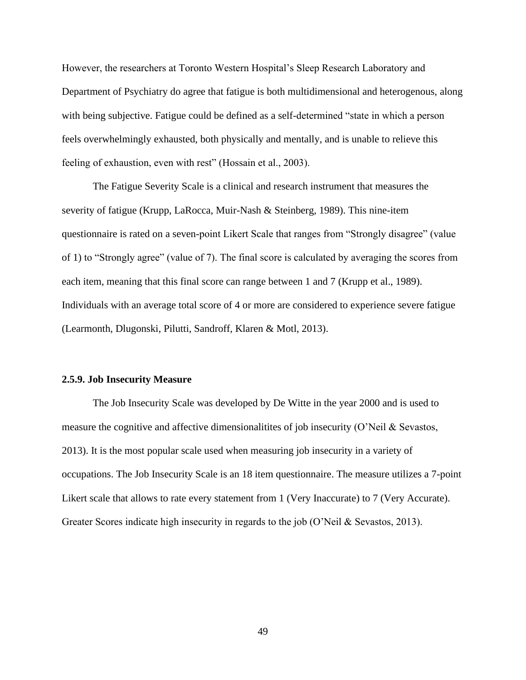However, the researchers at Toronto Western Hospital's Sleep Research Laboratory and Department of Psychiatry do agree that fatigue is both multidimensional and heterogenous, along with being subjective. Fatigue could be defined as a self-determined "state in which a person feels overwhelmingly exhausted, both physically and mentally, and is unable to relieve this feeling of exhaustion, even with rest" (Hossain et al., 2003).

The Fatigue Severity Scale is a clinical and research instrument that measures the severity of fatigue (Krupp, LaRocca, Muir-Nash & Steinberg, 1989). This nine-item questionnaire is rated on a seven-point Likert Scale that ranges from "Strongly disagree" (value of 1) to "Strongly agree" (value of 7). The final score is calculated by averaging the scores from each item, meaning that this final score can range between 1 and 7 (Krupp et al., 1989). Individuals with an average total score of 4 or more are considered to experience severe fatigue (Learmonth, Dlugonski, Pilutti, Sandroff, Klaren & Motl, 2013).

#### **2.5.9. Job Insecurity Measure**

The Job Insecurity Scale was developed by De Witte in the year 2000 and is used to measure the cognitive and affective dimensionalitites of job insecurity (O'Neil & Sevastos, 2013). It is the most popular scale used when measuring job insecurity in a variety of occupations. The Job Insecurity Scale is an 18 item questionnaire. The measure utilizes a 7-point Likert scale that allows to rate every statement from 1 (Very Inaccurate) to 7 (Very Accurate). Greater Scores indicate high insecurity in regards to the job (O'Neil & Sevastos, 2013).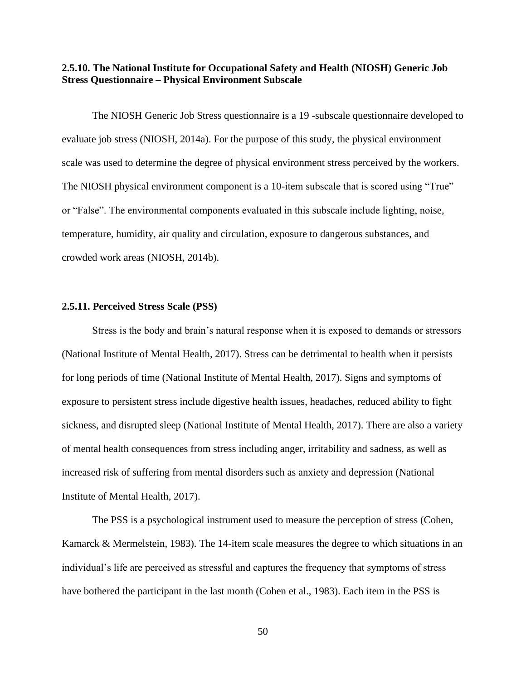**2.5.10. The National Institute for Occupational Safety and Health (NIOSH) Generic Job Stress Questionnaire – Physical Environment Subscale**

The NIOSH Generic Job Stress questionnaire is a 19 -subscale questionnaire developed to evaluate job stress (NIOSH, 2014a). For the purpose of this study, the physical environment scale was used to determine the degree of physical environment stress perceived by the workers. The NIOSH physical environment component is a 10-item subscale that is scored using "True" or "False". The environmental components evaluated in this subscale include lighting, noise, temperature, humidity, air quality and circulation, exposure to dangerous substances, and crowded work areas (NIOSH, 2014b).

#### **2.5.11. Perceived Stress Scale (PSS)**

Stress is the body and brain's natural response when it is exposed to demands or stressors (National Institute of Mental Health, 2017). Stress can be detrimental to health when it persists for long periods of time (National Institute of Mental Health, 2017). Signs and symptoms of exposure to persistent stress include digestive health issues, headaches, reduced ability to fight sickness, and disrupted sleep (National Institute of Mental Health, 2017). There are also a variety of mental health consequences from stress including anger, irritability and sadness, as well as increased risk of suffering from mental disorders such as anxiety and depression (National Institute of Mental Health, 2017).

The PSS is a psychological instrument used to measure the perception of stress (Cohen, Kamarck & Mermelstein, 1983). The 14-item scale measures the degree to which situations in an individual's life are perceived as stressful and captures the frequency that symptoms of stress have bothered the participant in the last month (Cohen et al., 1983). Each item in the PSS is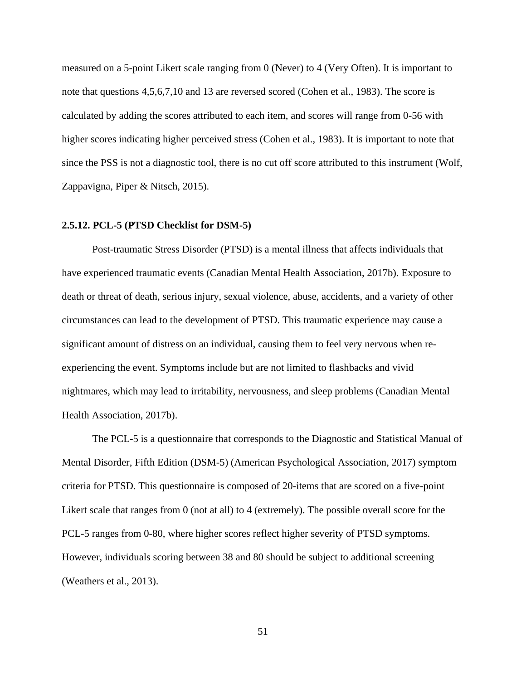measured on a 5-point Likert scale ranging from 0 (Never) to 4 (Very Often). It is important to note that questions 4,5,6,7,10 and 13 are reversed scored (Cohen et al., 1983). The score is calculated by adding the scores attributed to each item, and scores will range from 0-56 with higher scores indicating higher perceived stress (Cohen et al., 1983). It is important to note that since the PSS is not a diagnostic tool, there is no cut off score attributed to this instrument (Wolf, Zappavigna, Piper & Nitsch, 2015).

#### **2.5.12. PCL-5 (PTSD Checklist for DSM-5)**

Post-traumatic Stress Disorder (PTSD) is a mental illness that affects individuals that have experienced traumatic events (Canadian Mental Health Association, 2017b). Exposure to death or threat of death, serious injury, sexual violence, abuse, accidents, and a variety of other circumstances can lead to the development of PTSD. This traumatic experience may cause a significant amount of distress on an individual, causing them to feel very nervous when reexperiencing the event. Symptoms include but are not limited to flashbacks and vivid nightmares, which may lead to irritability, nervousness, and sleep problems (Canadian Mental Health Association, 2017b).

The PCL-5 is a questionnaire that corresponds to the Diagnostic and Statistical Manual of Mental Disorder, Fifth Edition (DSM-5) (American Psychological Association, 2017) symptom criteria for PTSD. This questionnaire is composed of 20-items that are scored on a five-point Likert scale that ranges from 0 (not at all) to 4 (extremely). The possible overall score for the PCL-5 ranges from 0-80, where higher scores reflect higher severity of PTSD symptoms. However, individuals scoring between 38 and 80 should be subject to additional screening (Weathers et al., 2013).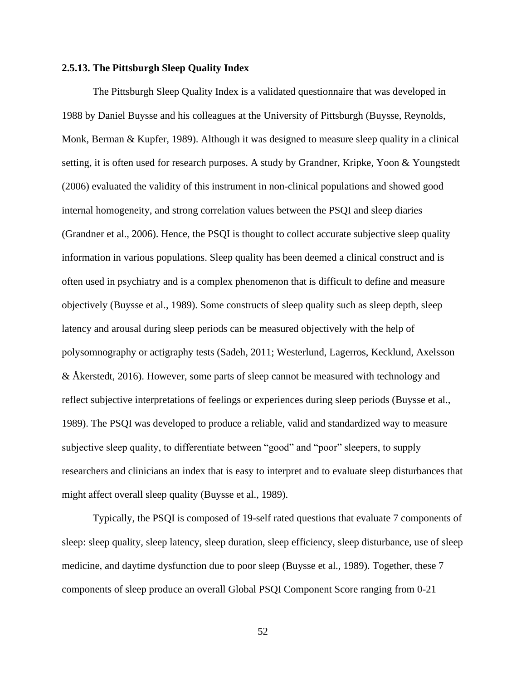## **2.5.13. The Pittsburgh Sleep Quality Index**

 The Pittsburgh Sleep Quality Index is a validated questionnaire that was developed in 1988 by Daniel Buysse and his colleagues at the University of Pittsburgh (Buysse, Reynolds, Monk, Berman & Kupfer, 1989). Although it was designed to measure sleep quality in a clinical setting, it is often used for research purposes. A study by Grandner, Kripke, Yoon & Youngstedt (2006) evaluated the validity of this instrument in non-clinical populations and showed good internal homogeneity, and strong correlation values between the PSQI and sleep diaries (Grandner et al., 2006). Hence, the PSQI is thought to collect accurate subjective sleep quality information in various populations. Sleep quality has been deemed a clinical construct and is often used in psychiatry and is a complex phenomenon that is difficult to define and measure objectively (Buysse et al., 1989). Some constructs of sleep quality such as sleep depth, sleep latency and arousal during sleep periods can be measured objectively with the help of polysomnography or actigraphy tests (Sadeh, 2011; Westerlund, Lagerros, Kecklund, Axelsson & Åkerstedt, 2016). However, some parts of sleep cannot be measured with technology and reflect subjective interpretations of feelings or experiences during sleep periods (Buysse et al., 1989). The PSQI was developed to produce a reliable, valid and standardized way to measure subjective sleep quality, to differentiate between "good" and "poor" sleepers, to supply researchers and clinicians an index that is easy to interpret and to evaluate sleep disturbances that might affect overall sleep quality (Buysse et al., 1989).

Typically, the PSQI is composed of 19-self rated questions that evaluate 7 components of sleep: sleep quality, sleep latency, sleep duration, sleep efficiency, sleep disturbance, use of sleep medicine, and daytime dysfunction due to poor sleep (Buysse et al., 1989). Together, these 7 components of sleep produce an overall Global PSQI Component Score ranging from 0-21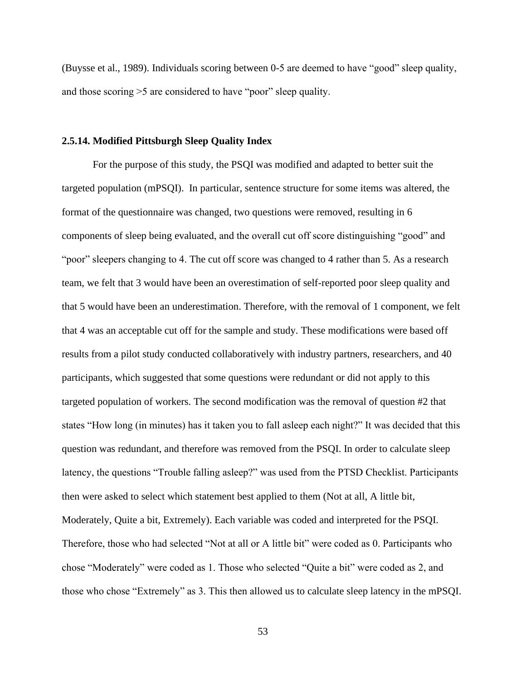(Buysse et al., 1989). Individuals scoring between 0-5 are deemed to have "good" sleep quality, and those scoring >5 are considered to have "poor" sleep quality.

#### **2.5.14. Modified Pittsburgh Sleep Quality Index**

For the purpose of this study, the PSQI was modified and adapted to better suit the targeted population (mPSQI). In particular, sentence structure for some items was altered, the format of the questionnaire was changed, two questions were removed, resulting in 6 components of sleep being evaluated, and the overall cut off score distinguishing "good" and "poor" sleepers changing to 4. The cut off score was changed to 4 rather than 5. As a research team, we felt that 3 would have been an overestimation of self-reported poor sleep quality and that 5 would have been an underestimation. Therefore, with the removal of 1 component, we felt that 4 was an acceptable cut off for the sample and study. These modifications were based off results from a pilot study conducted collaboratively with industry partners, researchers, and 40 participants, which suggested that some questions were redundant or did not apply to this targeted population of workers. The second modification was the removal of question #2 that states "How long (in minutes) has it taken you to fall asleep each night?" It was decided that this question was redundant, and therefore was removed from the PSQI. In order to calculate sleep latency, the questions "Trouble falling asleep?" was used from the PTSD Checklist. Participants then were asked to select which statement best applied to them (Not at all, A little bit, Moderately, Quite a bit, Extremely). Each variable was coded and interpreted for the PSQI. Therefore, those who had selected "Not at all or A little bit" were coded as 0. Participants who chose "Moderately" were coded as 1. Those who selected "Quite a bit" were coded as 2, and those who chose "Extremely" as 3. This then allowed us to calculate sleep latency in the mPSQI.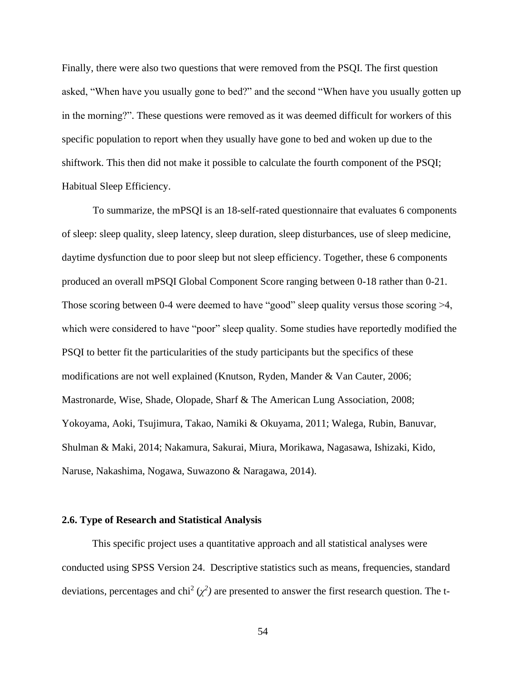Finally, there were also two questions that were removed from the PSQI. The first question asked, "When have you usually gone to bed?" and the second "When have you usually gotten up in the morning?". These questions were removed as it was deemed difficult for workers of this specific population to report when they usually have gone to bed and woken up due to the shiftwork. This then did not make it possible to calculate the fourth component of the PSQI; Habitual Sleep Efficiency.

To summarize, the mPSQI is an 18-self-rated questionnaire that evaluates 6 components of sleep: sleep quality, sleep latency, sleep duration, sleep disturbances, use of sleep medicine, daytime dysfunction due to poor sleep but not sleep efficiency. Together, these 6 components produced an overall mPSQI Global Component Score ranging between 0-18 rather than 0-21. Those scoring between 0-4 were deemed to have "good" sleep quality versus those scoring >4, which were considered to have "poor" sleep quality. Some studies have reportedly modified the PSQI to better fit the particularities of the study participants but the specifics of these modifications are not well explained (Knutson, Ryden, Mander & Van Cauter, 2006; Mastronarde, Wise, Shade, Olopade, Sharf & The American Lung Association, 2008; Yokoyama, Aoki, Tsujimura, Takao, Namiki & Okuyama, 2011; Walega, Rubin, Banuvar, Shulman & Maki, 2014; Nakamura, Sakurai, Miura, Morikawa, Nagasawa, Ishizaki, Kido, Naruse, Nakashima, Nogawa, Suwazono & Naragawa, 2014).

#### **2.6. Type of Research and Statistical Analysis**

This specific project uses a quantitative approach and all statistical analyses were conducted using SPSS Version 24. Descriptive statistics such as means, frequencies, standard deviations, percentages and chi<sup>2</sup> ( $\chi^2$ ) are presented to answer the first research question. The t-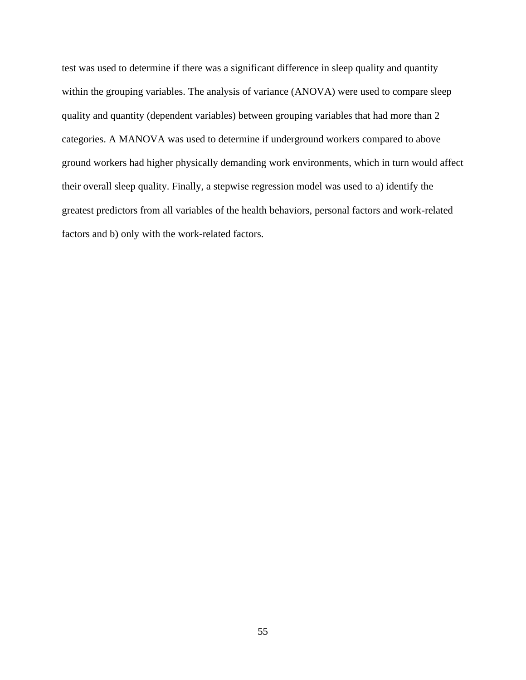test was used to determine if there was a significant difference in sleep quality and quantity within the grouping variables. The analysis of variance (ANOVA) were used to compare sleep quality and quantity (dependent variables) between grouping variables that had more than 2 categories. A MANOVA was used to determine if underground workers compared to above ground workers had higher physically demanding work environments, which in turn would affect their overall sleep quality. Finally, a stepwise regression model was used to a) identify the greatest predictors from all variables of the health behaviors, personal factors and work-related factors and b) only with the work-related factors.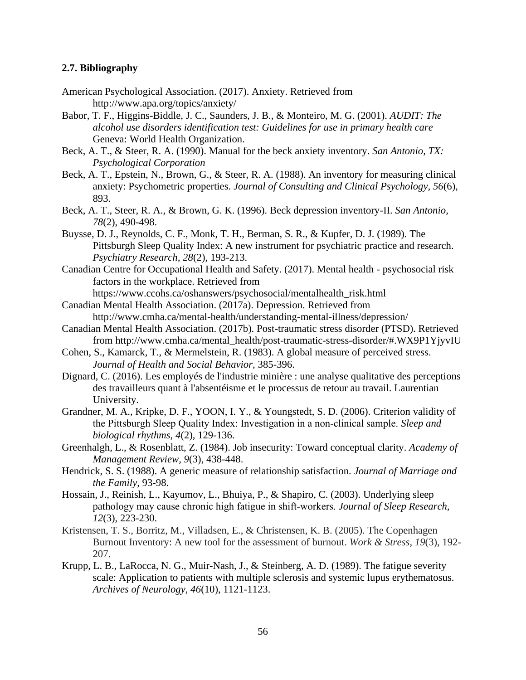## **2.7. Bibliography**

- American Psychological Association. (2017). Anxiety. Retrieved from <http://www.apa.org/topics/anxiety/>
- Babor, T. F., Higgins-Biddle, J. C., Saunders, J. B., & Monteiro, M. G. (2001). *AUDIT: The alcohol use disorders identification test: Guidelines for use in primary health care* Geneva: World Health Organization.
- Beck, A. T., & Steer, R. A. (1990). Manual for the beck anxiety inventory. *San Antonio, TX: Psychological Corporation*
- Beck, A. T., Epstein, N., Brown, G., & Steer, R. A. (1988). An inventory for measuring clinical anxiety: Psychometric properties. *Journal of Consulting and Clinical Psychology, 56*(6), 893.
- Beck, A. T., Steer, R. A., & Brown, G. K. (1996). Beck depression inventory-II. *San Antonio, 78*(2), 490-498.
- Buysse, D. J., Reynolds, C. F., Monk, T. H., Berman, S. R., & Kupfer, D. J. (1989). The Pittsburgh Sleep Quality Index: A new instrument for psychiatric practice and research. *Psychiatry Research, 28*(2), 193-213.
- Canadian Centre for Occupational Health and Safety. (2017). Mental health psychosocial risk factors in the workplace. Retrieved from

[https://www.ccohs.ca/oshanswers/psychosocial/mentalhealth\\_risk.html](https://www.ccohs.ca/oshanswers/psychosocial/mentalhealth_risk.html)

- Canadian Mental Health Association. (2017a). Depression. Retrieved from <http://www.cmha.ca/mental-health/understanding-mental-illness/depression/>
- Canadian Mental Health Association. (2017b). Post-traumatic stress disorder (PTSD). Retrieved from [http://www.cmha.ca/mental\\_health/post-traumatic-stress-disorder/#.WX9P1YjyvIU](http://www.cmha.ca/mental_health/post-traumatic-stress-disorder/#.WX9P1YjyvIU)
- Cohen, S., Kamarck, T., & Mermelstein, R. (1983). A global measure of perceived stress. *Journal of Health and Social Behavior,* 385-396.
- Dignard, C. (2016). Les employés de l'industrie minière : une analyse qualitative des perceptions des travailleurs quant à l'absentéisme et le processus de retour au travail. Laurentian University.
- Grandner, M. A., Kripke, D. F., YOON, I. Y., & Youngstedt, S. D. (2006). Criterion validity of the Pittsburgh Sleep Quality Index: Investigation in a non‐clinical sample. *Sleep and biological rhythms*, *4*(2), 129-136.
- Greenhalgh, L., & Rosenblatt, Z. (1984). Job insecurity: Toward conceptual clarity. *Academy of Management Review, 9*(3), 438-448.
- Hendrick, S. S. (1988). A generic measure of relationship satisfaction. *Journal of Marriage and the Family,* 93-98.
- Hossain, J., Reinish, L., Kayumov, L., Bhuiya, P., & Shapiro, C. (2003). Underlying sleep pathology may cause chronic high fatigue in shift‐workers. *Journal of Sleep Research, 12*(3), 223-230.
- Kristensen, T. S., Borritz, M., Villadsen, E., & Christensen, K. B. (2005). The Copenhagen Burnout Inventory: A new tool for the assessment of burnout. *Work & Stress*, *19*(3), 192- 207.
- Krupp, L. B., LaRocca, N. G., Muir-Nash, J., & Steinberg, A. D. (1989). The fatigue severity scale: Application to patients with multiple sclerosis and systemic lupus erythematosus. *Archives of Neurology, 46*(10), 1121-1123.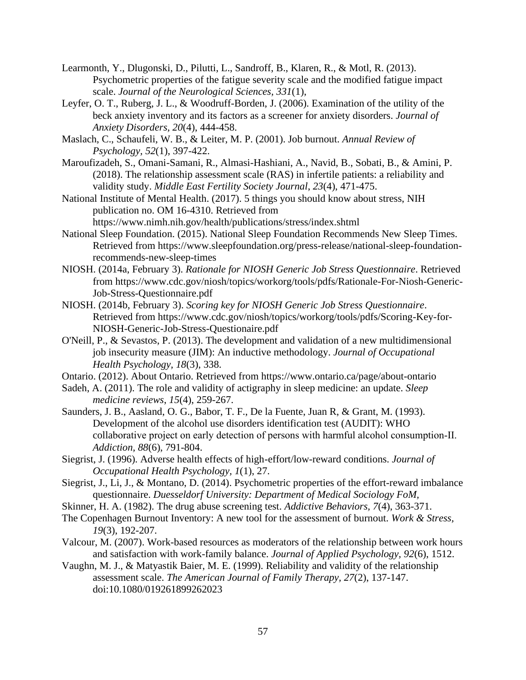- Learmonth, Y., Dlugonski, D., Pilutti, L., Sandroff, B., Klaren, R., & Motl, R. (2013). Psychometric properties of the fatigue severity scale and the modified fatigue impact scale. *Journal of the Neurological Sciences, 331*(1),
- Leyfer, O. T., Ruberg, J. L., & Woodruff-Borden, J. (2006). Examination of the utility of the beck anxiety inventory and its factors as a screener for anxiety disorders. *Journal of Anxiety Disorders, 20*(4), 444-458.
- Maslach, C., Schaufeli, W. B., & Leiter, M. P. (2001). Job burnout. *Annual Review of Psychology, 52*(1), 397-422.
- Maroufizadeh, S., Omani-Samani, R., Almasi-Hashiani, A., Navid, B., Sobati, B., & Amini, P. (2018). The relationship assessment scale (RAS) in infertile patients: a reliability and validity study. *Middle East Fertility Society Journal*, *23*(4), 471-475.
- National Institute of Mental Health. (2017). 5 things you should know about stress, NIH publication no. OM 16-4310. Retrieved from <https://www.nimh.nih.gov/health/publications/stress/index.shtml>
- National Sleep Foundation. (2015). National Sleep Foundation Recommends New Sleep Times. Retrieved from [https://www.sleepfoundation.org/press-release/national-sleep-foundation](https://www.sleepfoundation.org/press-release/national-sleep-foundation-recommends-new-sleep-times)[recommends-new-sleep-times](https://www.sleepfoundation.org/press-release/national-sleep-foundation-recommends-new-sleep-times)
- NIOSH. (2014a, February 3). *Rationale for NIOSH Generic Job Stress Questionnaire*. Retrieved from [https://www.cdc.gov/niosh/topics/workorg/tools/pdfs/Rationale-For-Niosh-Generic-](https://www.cdc.gov/niosh/topics/workorg/tools/pdfs/Rationale-For-Niosh-Generic-Job-Stress-Questionnaire.pdf)[Job-Stress-Questionnaire.pdf](https://www.cdc.gov/niosh/topics/workorg/tools/pdfs/Rationale-For-Niosh-Generic-Job-Stress-Questionnaire.pdf)
- NIOSH. (2014b, February 3). *Scoring key for NIOSH Generic Job Stress Questionnaire*. Retrieved from [https://www.cdc.gov/niosh/topics/workorg/tools/pdfs/Scoring-Key-for-](https://www.cdc.gov/niosh/topics/workorg/tools/pdfs/Scoring-Key-for-%09NIOSH-Generic-Job-Stress-Questionaire.pdf)[NIOSH-Generic-Job-Stress-Questionaire.pdf](https://www.cdc.gov/niosh/topics/workorg/tools/pdfs/Scoring-Key-for-%09NIOSH-Generic-Job-Stress-Questionaire.pdf)
- O'Neill, P., & Sevastos, P. (2013). The development and validation of a new multidimensional job insecurity measure (JIM): An inductive methodology. *Journal of Occupational Health Psychology, 18*(3), 338.
- Ontario. (2012). About Ontario. Retrieved from<https://www.ontario.ca/page/about-ontario>
- Sadeh, A. (2011). The role and validity of actigraphy in sleep medicine: an update. *Sleep medicine reviews*, *15*(4), 259-267.
- Saunders, J. B., Aasland, O. G., Babor, T. F., De la Fuente, Juan R, & Grant, M. (1993). Development of the alcohol use disorders identification test (AUDIT): WHO collaborative project on early detection of persons with harmful alcohol consumption‐II. *Addiction, 88*(6), 791-804.
- Siegrist, J. (1996). Adverse health effects of high-effort/low-reward conditions. *Journal of Occupational Health Psychology, 1*(1), 27.
- Siegrist, J., Li, J., & Montano, D. (2014). Psychometric properties of the effort-reward imbalance questionnaire. *Duesseldorf University: Department of Medical Sociology FoM,*
- Skinner, H. A. (1982). The drug abuse screening test. *Addictive Behaviors, 7*(4), 363-371.
- The Copenhagen Burnout Inventory: A new tool for the assessment of burnout. *Work & Stress, 19*(3), 192-207.
- Valcour, M. (2007). Work-based resources as moderators of the relationship between work hours and satisfaction with work-family balance. *Journal of Applied Psychology, 92*(6), 1512.
- Vaughn, M. J., & Matyastik Baier, M. E. (1999). Reliability and validity of the relationship assessment scale. *The American Journal of Family Therapy, 27*(2), 137-147. doi:10.1080/019261899262023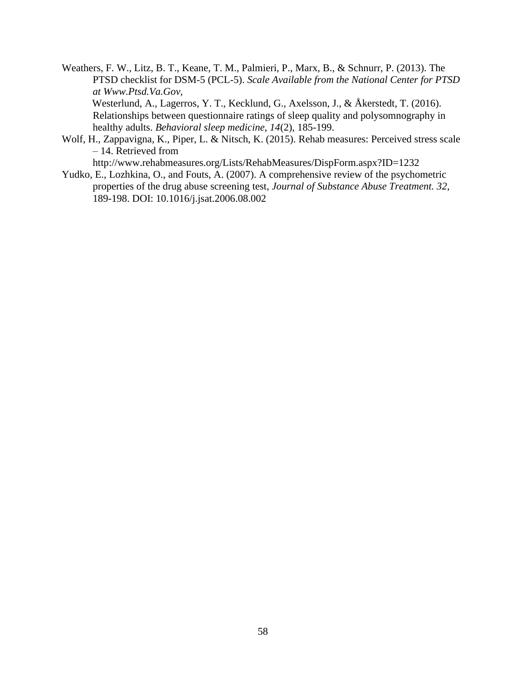Weathers, F. W., Litz, B. T., Keane, T. M., Palmieri, P., Marx, B., & Schnurr, P. (2013). The PTSD checklist for DSM-5 (PCL-5). *Scale Available from the National Center for PTSD at Www.Ptsd.Va.Gov,*  Westerlund, A., Lagerros, Y. T., Kecklund, G., Axelsson, J., & Åkerstedt, T. (2016).

Relationships between questionnaire ratings of sleep quality and polysomnography in healthy adults. *Behavioral sleep medicine*, *14*(2), 185-199.

- Wolf, H., Zappavigna, K., Piper, L. & Nitsch, K. (2015). Rehab measures: Perceived stress scale – 14. Retrieved from <http://www.rehabmeasures.org/Lists/RehabMeasures/DispForm.aspx?ID=1232>
- Yudko, E., Lozhkina, O., and Fouts, A. (2007). A comprehensive review of the psychometric properties of the drug abuse screening test, *Journal of Substance Abuse Treatment. 32*, 189-198. DOI: 10.1016/j.jsat.2006.08.002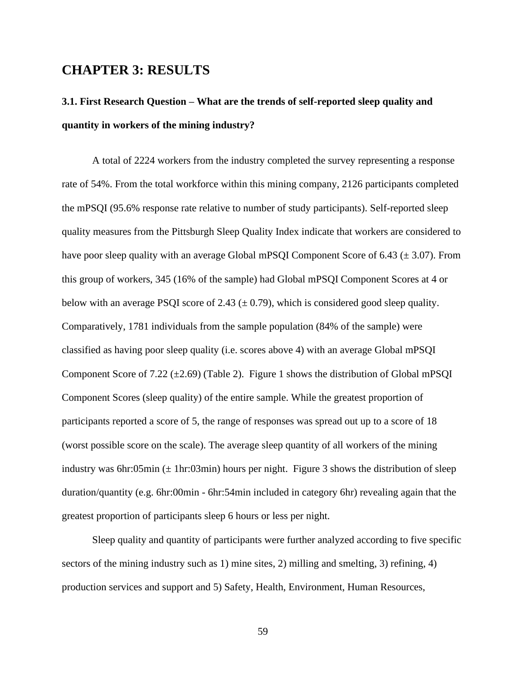### **CHAPTER 3: RESULTS**

## **3.1. First Research Question – What are the trends of self-reported sleep quality and quantity in workers of the mining industry?**

A total of 2224 workers from the industry completed the survey representing a response rate of 54%. From the total workforce within this mining company, 2126 participants completed the mPSQI (95.6% response rate relative to number of study participants). Self-reported sleep quality measures from the Pittsburgh Sleep Quality Index indicate that workers are considered to have poor sleep quality with an average Global mPSQI Component Score of 6.43 ( $\pm$  3.07). From this group of workers, 345 (16% of the sample) had Global mPSQI Component Scores at 4 or below with an average PSQI score of 2.43 (*±* 0.79), which is considered good sleep quality. Comparatively, 1781 individuals from the sample population (84% of the sample) were classified as having poor sleep quality (i.e. scores above 4) with an average Global mPSQI Component Score of 7.22 ( $\pm$ 2.69) (Table 2). Figure 1 shows the distribution of Global mPSOI Component Scores (sleep quality) of the entire sample. While the greatest proportion of participants reported a score of 5, the range of responses was spread out up to a score of 18 (worst possible score on the scale). The average sleep quantity of all workers of the mining industry was 6hr:05min ( $\pm$  1hr:03min) hours per night. Figure 3 shows the distribution of sleep duration/quantity (e.g. 6hr:00min - 6hr:54min included in category 6hr) revealing again that the greatest proportion of participants sleep 6 hours or less per night.

Sleep quality and quantity of participants were further analyzed according to five specific sectors of the mining industry such as 1) mine sites, 2) milling and smelting, 3) refining, 4) production services and support and 5) Safety, Health, Environment, Human Resources,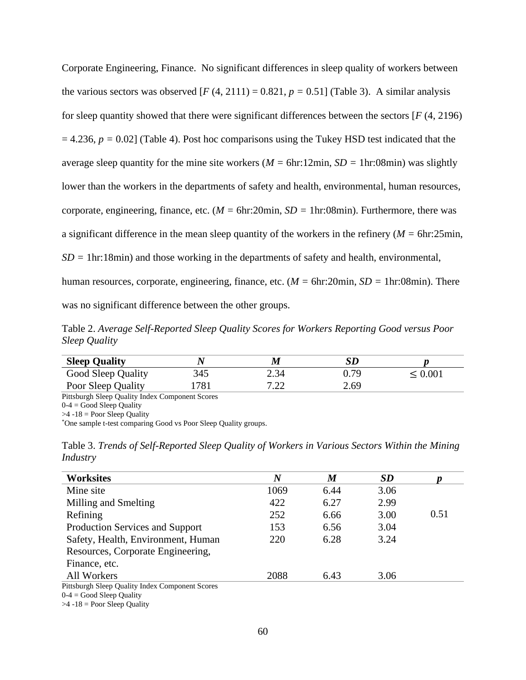Corporate Engineering, Finance. No significant differences in sleep quality of workers between the various sectors was observed  $[F(4, 2111) = 0.821, p = 0.51]$  (Table 3). A similar analysis for sleep quantity showed that there were significant differences between the sectors [*F* (4, 2196)  $= 4.236$ ,  $p = 0.02$  (Table 4). Post hoc comparisons using the Tukey HSD test indicated that the average sleep quantity for the mine site workers (*M =* 6hr:12min, *SD =* 1hr:08min) was slightly lower than the workers in the departments of safety and health, environmental, human resources, corporate, engineering, finance, etc. (*M =* 6hr:20min, *SD =* 1hr:08min). Furthermore, there was a significant difference in the mean sleep quantity of the workers in the refinery (*M =* 6hr:25min,  $SD = 1$ hr:18min) and those working in the departments of safety and health, environmental, human resources, corporate, engineering, finance, etc. (*M =* 6hr:20min, *SD =* 1hr:08min). There was no significant difference between the other groups.

Table 2. *Average Self-Reported Sleep Quality Scores for Workers Reporting Good versus Poor Sleep Quality* 

| <b>Sleep Quality</b> |     | M          |      |              |
|----------------------|-----|------------|------|--------------|
| Good Sleep Quality   | 345 | 2.34       | 0.79 | $\leq 0.001$ |
| Poor Sleep Quality   | 781 | ר ר<br>ے ۔ | 2.69 |              |

Pittsburgh Sleep Quality Index Component Scores

 $0-4 = Good Sleep Quality$ 

 $>4$  -18 = Poor Sleep Quality

\*One sample t-test comparing Good vs Poor Sleep Quality groups.

Table 3. *Trends of Self-Reported Sleep Quality of Workers in Various Sectors Within the Mining Industry*

| <b>Worksites</b>                                | $\bm{N}$ | $\boldsymbol{M}$ | <b>SD</b> |      |
|-------------------------------------------------|----------|------------------|-----------|------|
| Mine site                                       | 1069     | 6.44             | 3.06      |      |
| Milling and Smelting                            | 422      | 6.27             | 2.99      |      |
| Refining                                        | 252      | 6.66             | 3.00      | 0.51 |
| <b>Production Services and Support</b>          | 153      | 6.56             | 3.04      |      |
| Safety, Health, Environment, Human              | 220      | 6.28             | 3.24      |      |
| Resources, Corporate Engineering,               |          |                  |           |      |
| Finance, etc.                                   |          |                  |           |      |
| All Workers                                     | 2088     | 6.43             | 3.06      |      |
| Pittsburgh Sleep Quality Index Component Scores |          |                  |           |      |

 $0-4 = Good Sleep Quality$ 

 $>4$  -18 = Poor Sleep Quality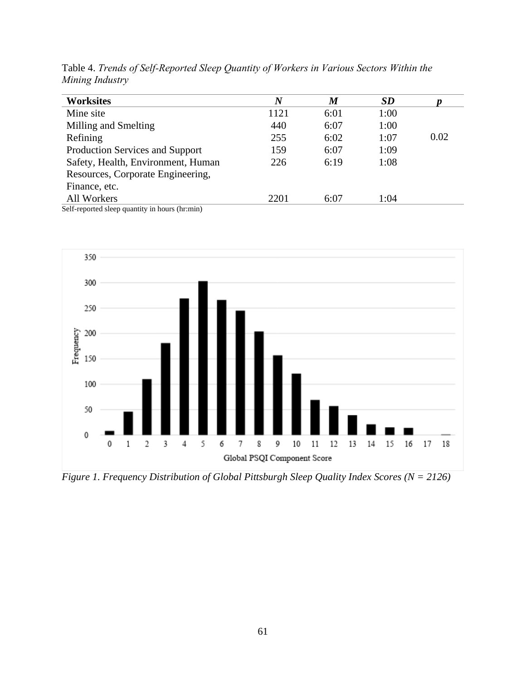| <b>Worksites</b>                                                   | $\boldsymbol{N}$ | $\boldsymbol{M}$ | <b>SD</b> |      |
|--------------------------------------------------------------------|------------------|------------------|-----------|------|
| Mine site                                                          | 1121             | 6:01             | 1:00      |      |
| Milling and Smelting                                               | 440              | 6:07             | 1:00      |      |
| Refining                                                           | 255              | 6:02             | 1:07      | 0.02 |
| Production Services and Support                                    | 159              | 6:07             | 1:09      |      |
| Safety, Health, Environment, Human                                 | 226              | 6:19             | 1:08      |      |
| Resources, Corporate Engineering,                                  |                  |                  |           |      |
| Finance, etc.                                                      |                  |                  |           |      |
| All Workers                                                        | 2201             | 6:07             | 1:04      |      |
| $\mathcal{S}_{\alpha}$ reported algebra quantity in hours (brunin) |                  |                  |           |      |

Table 4. *Trends of Self-Reported Sleep Quantity of Workers in Various Sectors Within the Mining Industry*

Self-reported sleep quantity in hours (hr:min)



*Figure 1. Frequency Distribution of Global Pittsburgh Sleep Quality Index Scores (N = 2126)*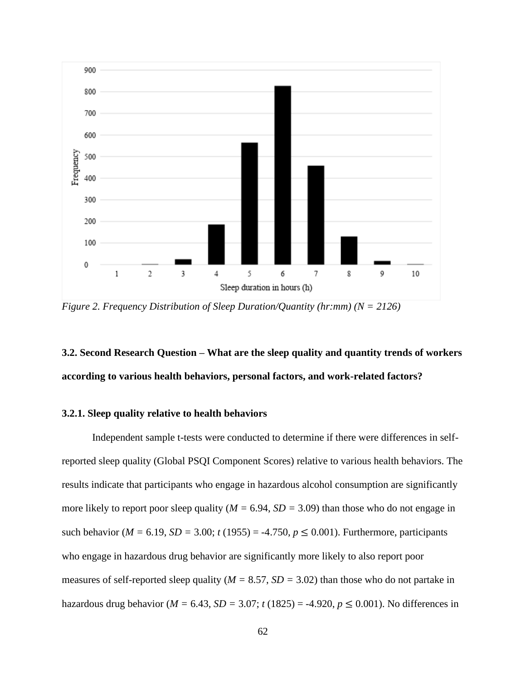

*Figure 2. Frequency Distribution of Sleep Duration/Quantity (hr:mm) (N = 2126)*

## **3.2. Second Research Question – What are the sleep quality and quantity trends of workers according to various health behaviors, personal factors, and work-related factors?**

### **3.2.1. Sleep quality relative to health behaviors**

Independent sample t-tests were conducted to determine if there were differences in selfreported sleep quality (Global PSQI Component Scores) relative to various health behaviors. The results indicate that participants who engage in hazardous alcohol consumption are significantly more likely to report poor sleep quality (*M =* 6.94, *SD =* 3.09) than those who do not engage in such behavior ( $M = 6.19$ ,  $SD = 3.00$ ;  $t(1955) = -4.750$ ,  $p \le 0.001$ ). Furthermore, participants who engage in hazardous drug behavior are significantly more likely to also report poor measures of self-reported sleep quality (*M =* 8.57, *SD =* 3.02) than those who do not partake in hazardous drug behavior ( $M = 6.43$ ,  $SD = 3.07$ ;  $t(1825) = -4.920$ ,  $p \le 0.001$ ). No differences in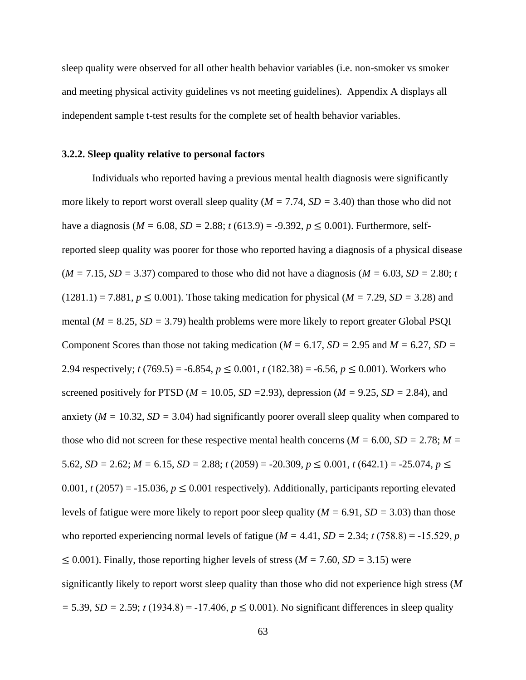sleep quality were observed for all other health behavior variables (i.e. non-smoker vs smoker and meeting physical activity guidelines vs not meeting guidelines). Appendix A displays all independent sample t-test results for the complete set of health behavior variables.

#### **3.2.2. Sleep quality relative to personal factors**

Individuals who reported having a previous mental health diagnosis were significantly more likely to report worst overall sleep quality (*M =* 7.74, *SD =* 3.40) than those who did not have a diagnosis ( $M = 6.08$ ,  $SD = 2.88$ ;  $t(613.9) = -9.392$ ,  $p \le 0.001$ ). Furthermore, selfreported sleep quality was poorer for those who reported having a diagnosis of a physical disease  $(M = 7.15, SD = 3.37)$  compared to those who did not have a diagnosis  $(M = 6.03, SD = 2.80; t$  $(1281.1) = 7.881, p \le 0.001$ . Those taking medication for physical (*M = 7.29*, *SD = 3.28*) and mental (*M =* 8.25, *SD =* 3.79) health problems were more likely to report greater Global PSQI Component Scores than those not taking medication ( $M = 6.17$ ,  $SD = 2.95$  and  $M = 6.27$ ,  $SD = 2.95$ 2.94 respectively;  $t(769.5) = -6.854$ ,  $p \le 0.001$ ,  $t(182.38) = -6.56$ ,  $p \le 0.001$ ). Workers who screened positively for PTSD ( $M = 10.05$ ,  $SD = 2.93$ ), depression ( $M = 9.25$ ,  $SD = 2.84$ ), and anxiety ( $M = 10.32$ ,  $SD = 3.04$ ) had significantly poorer overall sleep quality when compared to those who did not screen for these respective mental health concerns ( $M = 6.00$ ,  $SD = 2.78$ ;  $M =$ 5.62, *SD* = 2.62; *M* = 6.15, *SD* = 2.88; *t* (2059) = -20.309,  $p \le 0.001$ ,  $t$  (642.1) = -25.074,  $p \le$ 0.001,  $t(2057) = -15.036$ ,  $p \le 0.001$  respectively). Additionally, participants reporting elevated levels of fatigue were more likely to report poor sleep quality (*M =* 6.91, *SD =* 3.03) than those who reported experiencing normal levels of fatigue ( $M = 4.41$ ,  $SD = 2.34$ ;  $t(758.8) = -15.529$ , *p* ≤ 0.001). Finally, those reporting higher levels of stress (*M =* 7.60, *SD =* 3.15) were significantly likely to report worst sleep quality than those who did not experience high stress (*M*   $=$  5.39, *SD* = 2.59; *t* (1934.8) = -17.406,  $p \le 0.001$ ). No significant differences in sleep quality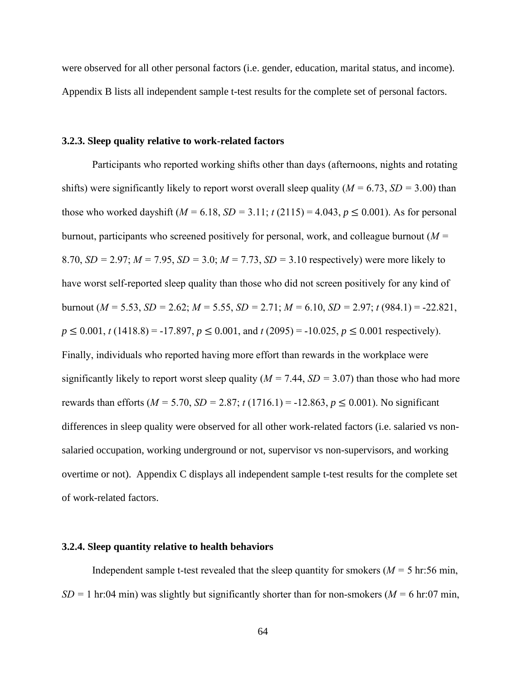were observed for all other personal factors (i.e. gender, education, marital status, and income). Appendix B lists all independent sample t-test results for the complete set of personal factors.

#### **3.2.3. Sleep quality relative to work-related factors**

Participants who reported working shifts other than days (afternoons, nights and rotating shifts) were significantly likely to report worst overall sleep quality (*M =* 6.73, *SD =* 3.00) than those who worked dayshift  $(M = 6.18, SD = 3.11; t(2115) = 4.043, p \le 0.001$ . As for personal burnout, participants who screened positively for personal, work, and colleague burnout (*M =* 8.70, *SD =* 2.97; *M =* 7.95, *SD =* 3.0; *M =* 7.73, *SD =* 3.10 respectively) were more likely to have worst self-reported sleep quality than those who did not screen positively for any kind of burnout (*M =* 5.53, *SD =* 2.62; *M =* 5.55, *SD =* 2.71; *M =* 6.10, *SD =* 2.97; *t* (984.1) = -22.821,  $p \le 0.001$ , *t* (1418.8) = -17.897,  $p \le 0.001$ , and *t* (2095) = -10.025,  $p \le 0.001$  respectively). Finally, individuals who reported having more effort than rewards in the workplace were significantly likely to report worst sleep quality (*M =* 7.44, *SD =* 3.07) than those who had more rewards than efforts ( $M = 5.70$ ,  $SD = 2.87$ ;  $t(1716.1) = -12.863$ ,  $p \le 0.001$ ). No significant differences in sleep quality were observed for all other work-related factors (i.e. salaried vs nonsalaried occupation, working underground or not, supervisor vs non-supervisors, and working overtime or not). Appendix C displays all independent sample t-test results for the complete set of work-related factors.

#### **3.2.4. Sleep quantity relative to health behaviors**

Independent sample t-test revealed that the sleep quantity for smokers ( $M = 5$  hr:56 min,  $SD = 1$  hr:04 min) was slightly but significantly shorter than for non-smokers ( $M = 6$  hr:07 min,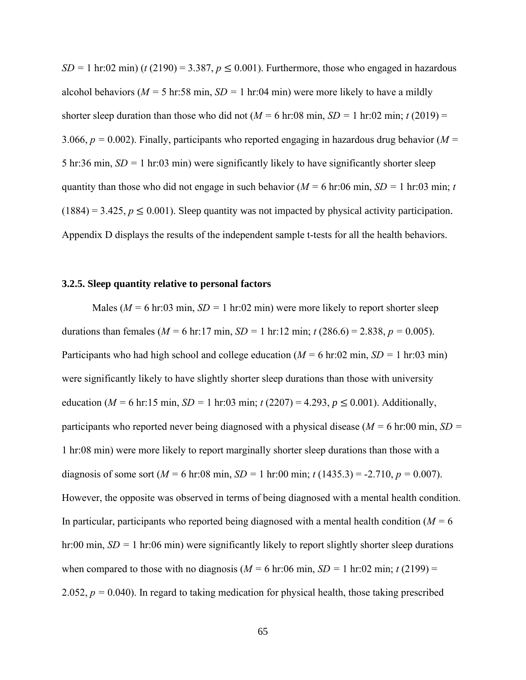*SD* = 1 hr:02 min) (*t* (2190) = 3.387,  $p \le 0.001$ ). Furthermore, those who engaged in hazardous alcohol behaviors ( $M = 5$  hr:58 min,  $SD = 1$  hr:04 min) were more likely to have a mildly shorter sleep duration than those who did not  $(M = 6 \text{ hr}:08 \text{ min}, SD = 1 \text{ hr}:02 \text{ min}; t(2019) =$ 3.066,  $p = 0.002$ ). Finally, participants who reported engaging in hazardous drug behavior ( $M =$ 5 hr:36 min, *SD =* 1 hr:03 min) were significantly likely to have significantly shorter sleep quantity than those who did not engage in such behavior (*M =* 6 hr:06 min, *SD =* 1 hr:03 min; *t*  $(1884) = 3.425, p \le 0.001$ ). Sleep quantity was not impacted by physical activity participation. Appendix D displays the results of the independent sample t-tests for all the health behaviors.

#### **3.2.5. Sleep quantity relative to personal factors**

Males (*M =* 6 hr:03 min, *SD =* 1 hr:02 min) were more likely to report shorter sleep durations than females ( $M = 6$  hr:17 min,  $SD = 1$  hr:12 min;  $t(286.6) = 2.838$ ,  $p = 0.005$ ). Participants who had high school and college education (*M =* 6 hr:02 min, *SD =* 1 hr:03 min) were significantly likely to have slightly shorter sleep durations than those with university education ( $M = 6$  hr:15 min,  $SD = 1$  hr:03 min;  $t(2207) = 4.293$ ,  $p \le 0.001$ ). Additionally, participants who reported never being diagnosed with a physical disease (*M =* 6 hr:00 min, *SD =* 1 hr:08 min) were more likely to report marginally shorter sleep durations than those with a diagnosis of some sort ( $M = 6$  hr:08 min,  $SD = 1$  hr:00 min;  $t(1435.3) = -2.710$ ,  $p = 0.007$ ). However, the opposite was observed in terms of being diagnosed with a mental health condition. In particular, participants who reported being diagnosed with a mental health condition ( $M = 6$ ) hr:00 min, *SD* = 1 hr:06 min) were significantly likely to report slightly shorter sleep durations when compared to those with no diagnosis ( $M = 6$  hr:06 min,  $SD = 1$  hr:02 min;  $t(2199) =$ 2.052,  $p = 0.040$ ). In regard to taking medication for physical health, those taking prescribed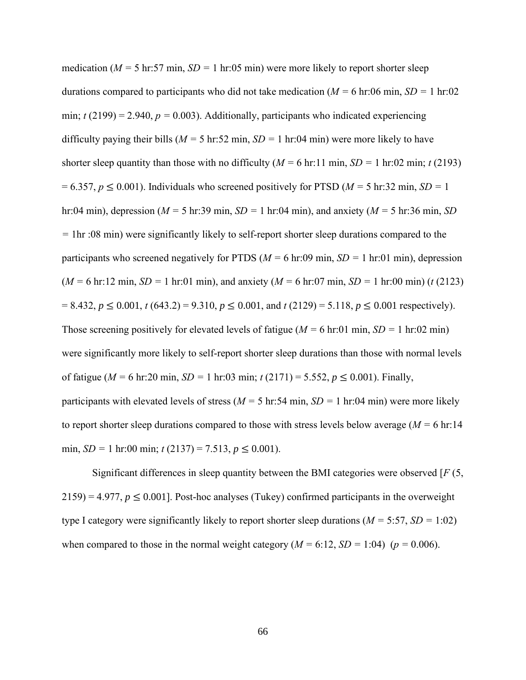medication (*M =* 5 hr:57 min, *SD =* 1 hr:05 min) were more likely to report shorter sleep durations compared to participants who did not take medication (*M =* 6 hr:06 min, *SD =* 1 hr:02 min;  $t(2199) = 2.940$ ,  $p = 0.003$ ). Additionally, participants who indicated experiencing difficulty paying their bills (*M =* 5 hr:52 min, *SD =* 1 hr:04 min) were more likely to have shorter sleep quantity than those with no difficulty ( $M = 6$  hr:11 min,  $SD = 1$  hr:02 min; *t* (2193)  $= 6.357, p \le 0.001$ ). Individuals who screened positively for PTSD ( $M = 5$  hr:32 min,  $SD = 1$ ) hr:04 min), depression (*M =* 5 hr:39 min, *SD =* 1 hr:04 min), and anxiety (*M =* 5 hr:36 min, *SD =* 1hr :08 min) were significantly likely to self-report shorter sleep durations compared to the participants who screened negatively for PTDS (*M =* 6 hr:09 min, *SD =* 1 hr:01 min), depression (*M =* 6 hr:12 min, *SD =* 1 hr:01 min), and anxiety (*M =* 6 hr:07 min, *SD =* 1 hr:00 min) (*t* (2123)  $= 8.432, p \le 0.001, t (643.2) = 9.310, p \le 0.001,$  and  $t (2129) = 5.118, p \le 0.001$  respectively). Those screening positively for elevated levels of fatigue (*M =* 6 hr:01 min, *SD =* 1 hr:02 min) were significantly more likely to self-report shorter sleep durations than those with normal levels of fatigue (*M =* 6 hr:20 min, *SD =* 1 hr:03 min; *t* (2171) = 5.552, *p* ≤ 0.001). Finally, participants with elevated levels of stress (*M =* 5 hr:54 min, *SD =* 1 hr:04 min) were more likely to report shorter sleep durations compared to those with stress levels below average (*M =* 6 hr:14 min, *SD* = 1 hr:00 min;  $t(2137) = 7.513$ ,  $p \le 0.001$ ).

Significant differences in sleep quantity between the BMI categories were observed [*F* (5,  $2159$ ) = 4.977,  $p \le 0.001$ ]. Post-hoc analyses (Tukey) confirmed participants in the overweight type I category were significantly likely to report shorter sleep durations (*M =* 5:57, *SD =* 1:02) when compared to those in the normal weight category  $(M = 6:12, SD = 1:04)$  ( $p = 0.006$ ).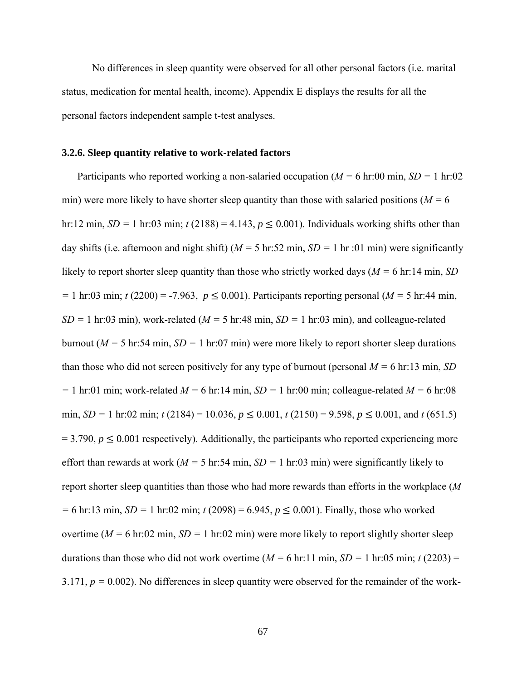No differences in sleep quantity were observed for all other personal factors (i.e. marital status, medication for mental health, income). Appendix E displays the results for all the personal factors independent sample t-test analyses.

#### **3.2.6. Sleep quantity relative to work-related factors**

Participants who reported working a non-salaried occupation (*M =* 6 hr:00 min, *SD =* 1 hr:02 min) were more likely to have shorter sleep quantity than those with salaried positions (*M =* 6 hr:12 min,  $SD = 1$  hr:03 min;  $t(2188) = 4.143$ ,  $p \le 0.001$ ). Individuals working shifts other than day shifts (i.e. afternoon and night shift) (*M =* 5 hr:52 min, *SD =* 1 hr :01 min) were significantly likely to report shorter sleep quantity than those who strictly worked days (*M =* 6 hr:14 min, *SD =* 1 hr:03 min; *t* (2200) = -7.963, *p* ≤ 0.001). Participants reporting personal (*M =* 5 hr:44 min,  $SD = 1$  hr:03 min), work-related ( $M = 5$  hr:48 min,  $SD = 1$  hr:03 min), and colleague-related burnout (*M =* 5 hr:54 min, *SD =* 1 hr:07 min) were more likely to report shorter sleep durations than those who did not screen positively for any type of burnout (personal  $M = 6$  hr:13 min, *SD =* 1 hr:01 min; work-related *M =* 6 hr:14 min, *SD =* 1 hr:00 min; colleague-related *M =* 6 hr:08 min, *SD* = 1 hr:02 min; *t* (2184) = 10.036,  $p \le 0.001$ , *t* (2150) = 9.598,  $p \le 0.001$ , and *t* (651.5)  $= 3.790, p \le 0.001$  respectively). Additionally, the participants who reported experiencing more effort than rewards at work (*M =* 5 hr:54 min, *SD =* 1 hr:03 min) were significantly likely to report shorter sleep quantities than those who had more rewards than efforts in the workplace (*M =* 6 hr:13 min, *SD =* 1 hr:02 min; *t* (2098) = 6.945, *p* ≤ 0.001). Finally, those who worked overtime ( $M = 6$  hr:02 min,  $SD = 1$  hr:02 min) were more likely to report slightly shorter sleep durations than those who did not work overtime ( $M = 6$  hr:11 min,  $SD = 1$  hr:05 min;  $t(2203) =$ 3.171,  $p = 0.002$ ). No differences in sleep quantity were observed for the remainder of the work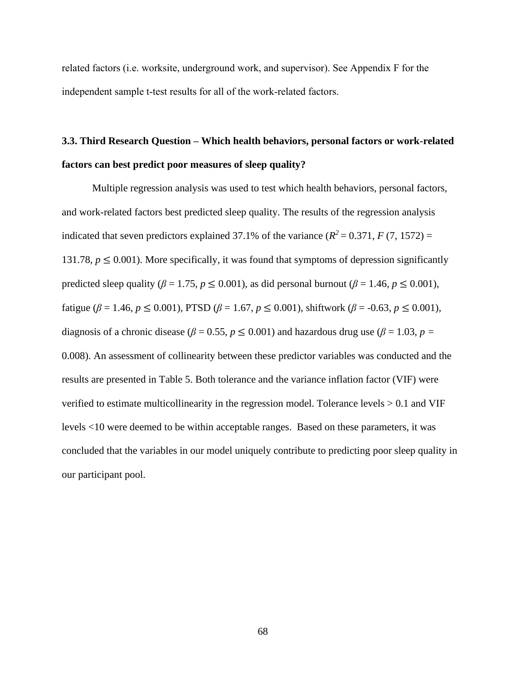related factors (i.e. worksite, underground work, and supervisor). See Appendix F for the independent sample t-test results for all of the work-related factors.

## **3.3. Third Research Question – Which health behaviors, personal factors or work-related factors can best predict poor measures of sleep quality?**

Multiple regression analysis was used to test which health behaviors, personal factors, and work-related factors best predicted sleep quality. The results of the regression analysis indicated that seven predictors explained 37.1% of the variance  $(R^2 = 0.371, F(7, 1572) =$ 131.78,  $p \leq 0.001$ ). More specifically, it was found that symptoms of depression significantly predicted sleep quality ( $\beta = 1.75$ ,  $p \le 0.001$ ), as did personal burnout ( $\beta = 1.46$ ,  $p \le 0.001$ ), fatigue (*β* = 1.46, *p* ≤ 0.001), PTSD (*β* = 1.67, *p* ≤ 0.001), shiftwork (*β* = -0.63, *p* ≤ 0.001), diagnosis of a chronic disease ( $\beta$  = 0.55,  $p \le 0.001$ ) and hazardous drug use ( $\beta$  = 1.03,  $p =$ 0.008). An assessment of collinearity between these predictor variables was conducted and the results are presented in Table 5. Both tolerance and the variance inflation factor (VIF) were verified to estimate multicollinearity in the regression model. Tolerance levels > 0.1 and VIF levels <10 were deemed to be within acceptable ranges. Based on these parameters, it was concluded that the variables in our model uniquely contribute to predicting poor sleep quality in our participant pool.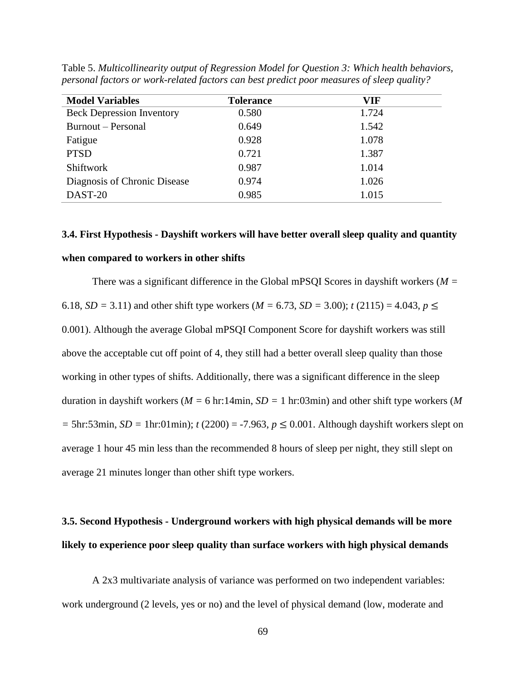| <b>Model Variables</b>           | <b>Tolerance</b> | VIF   |
|----------------------------------|------------------|-------|
| <b>Beck Depression Inventory</b> | 0.580            | 1.724 |
| Burnout – Personal               | 0.649            | 1.542 |
| Fatigue                          | 0.928            | 1.078 |
| <b>PTSD</b>                      | 0.721            | 1.387 |
| Shiftwork                        | 0.987            | 1.014 |
| Diagnosis of Chronic Disease     | 0.974            | 1.026 |
| DAST-20                          | 0.985            | 1.015 |

Table 5. *Multicollinearity output of Regression Model for Question 3: Which health behaviors, personal factors or work-related factors can best predict poor measures of sleep quality?*

## **3.4. First Hypothesis - Dayshift workers will have better overall sleep quality and quantity when compared to workers in other shifts**

There was a significant difference in the Global mPSQI Scores in dayshift workers (*M =* 6.18, *SD* = 3.11) and other shift type workers (*M* = 6.73, *SD* = 3.00); *t* (2115) = 4.043,  $p \le$ 0.001). Although the average Global mPSQI Component Score for dayshift workers was still above the acceptable cut off point of 4, they still had a better overall sleep quality than those working in other types of shifts. Additionally, there was a significant difference in the sleep duration in dayshift workers (*M =* 6 hr:14min, *SD =* 1 hr:03min) and other shift type workers (*M =* 5hr:53min, *SD =* 1hr:01min); *t* (2200) = -7.963, *p* ≤ 0.001. Although dayshift workers slept on average 1 hour 45 min less than the recommended 8 hours of sleep per night, they still slept on average 21 minutes longer than other shift type workers.

## **3.5. Second Hypothesis - Underground workers with high physical demands will be more likely to experience poor sleep quality than surface workers with high physical demands**

A 2x3 multivariate analysis of variance was performed on two independent variables: work underground (2 levels, yes or no) and the level of physical demand (low, moderate and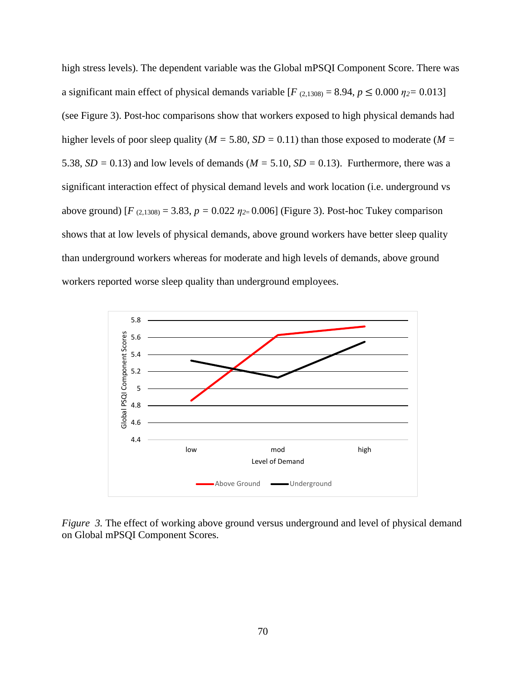high stress levels). The dependent variable was the Global mPSQI Component Score. There was a significant main effect of physical demands variable  $[F_{(2,1308)} = 8.94, p \le 0.000 \eta_2 = 0.013]$ (see Figure 3). Post-hoc comparisons show that workers exposed to high physical demands had higher levels of poor sleep quality (*M =* 5.80, *SD =* 0.11) than those exposed to moderate (*M =* 5.38,  $SD = 0.13$ ) and low levels of demands ( $M = 5.10$ ,  $SD = 0.13$ ). Furthermore, there was a significant interaction effect of physical demand levels and work location (i.e. underground vs above ground)  $[F_{(2,1308)} = 3.83, p = 0.022 \eta_{2} = 0.006]$  (Figure 3). Post-hoc Tukey comparison shows that at low levels of physical demands, above ground workers have better sleep quality than underground workers whereas for moderate and high levels of demands, above ground workers reported worse sleep quality than underground employees.



*Figure 3.* The effect of working above ground versus underground and level of physical demand on Global mPSQI Component Scores.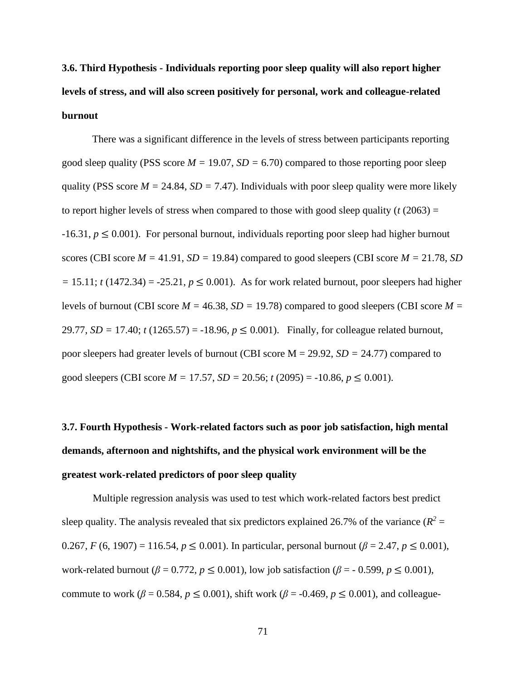**3.6. Third Hypothesis - Individuals reporting poor sleep quality will also report higher levels of stress, and will also screen positively for personal, work and colleague-related burnout**

There was a significant difference in the levels of stress between participants reporting good sleep quality (PSS score *M =* 19.07, *SD =* 6.70) compared to those reporting poor sleep quality (PSS score  $M = 24.84$ ,  $SD = 7.47$ ). Individuals with poor sleep quality were more likely to report higher levels of stress when compared to those with good sleep quality  $(t (2063) =$  $-16.31, p \leq 0.001$ ). For personal burnout, individuals reporting poor sleep had higher burnout scores (CBI score  $M = 41.91$ ,  $SD = 19.84$ ) compared to good sleepers (CBI score  $M = 21.78$ , *SD*  $=$  15.11; *t* (1472.34) = -25.21,  $p \le 0.001$ ). As for work related burnout, poor sleepers had higher levels of burnout (CBI score *M =* 46.38, *SD =* 19.78) compared to good sleepers (CBI score *M =* 29.77, *SD =* 17.40; *t* (1265.57) = -18.96, *p* ≤ 0.001). Finally, for colleague related burnout, poor sleepers had greater levels of burnout (CBI score M = 29.92, *SD =* 24.77) compared to good sleepers (CBI score  $M = 17.57$ ,  $SD = 20.56$ ;  $t(2095) = -10.86$ ,  $p \le 0.001$ ).

# **3.7. Fourth Hypothesis - Work-related factors such as poor job satisfaction, high mental demands, afternoon and nightshifts, and the physical work environment will be the greatest work-related predictors of poor sleep quality**

Multiple regression analysis was used to test which work-related factors best predict sleep quality. The analysis revealed that six predictors explained 26.7% of the variance  $(R^2 =$ 0.267, *F* (6, 1907) = 116.54,  $p \le 0.001$ ). In particular, personal burnout ( $\beta$  = 2.47,  $p \le 0.001$ ), work-related burnout ( $\beta = 0.772$ ,  $p \le 0.001$ ), low job satisfaction ( $\beta = -0.599$ ,  $p \le 0.001$ ), commute to work ( $\beta$  = 0.584,  $p \le 0.001$ ), shift work ( $\beta$  = -0.469,  $p \le 0.001$ ), and colleague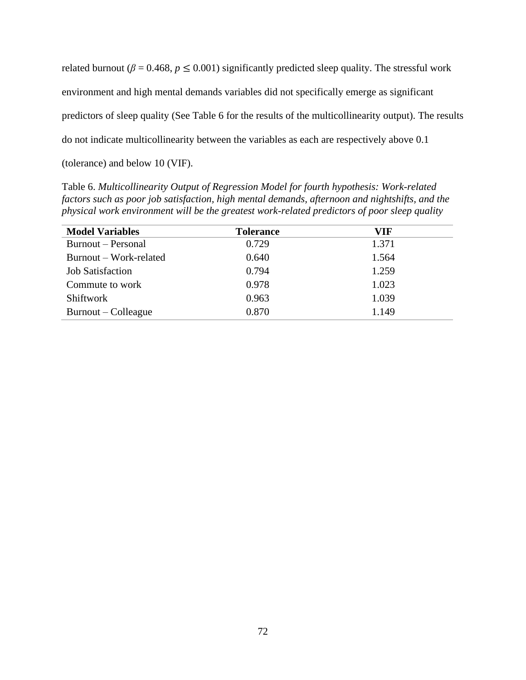related burnout ( $\beta$  = 0.468,  $p \le 0.001$ ) significantly predicted sleep quality. The stressful work environment and high mental demands variables did not specifically emerge as significant predictors of sleep quality (See Table 6 for the results of the multicollinearity output). The results do not indicate multicollinearity between the variables as each are respectively above 0.1 (tolerance) and below 10 (VIF).

Table 6. *Multicollinearity Output of Regression Model for fourth hypothesis: Work-related factors such as poor job satisfaction, high mental demands, afternoon and nightshifts, and the physical work environment will be the greatest work-related predictors of poor sleep quality*

| <b>Model Variables</b>  | <b>Tolerance</b> | VIF   |
|-------------------------|------------------|-------|
| Burnout – Personal      | 0.729            | 1.371 |
| Burnout – Work-related  | 0.640            | 1.564 |
| <b>Job Satisfaction</b> | 0.794            | 1.259 |
| Commute to work         | 0.978            | 1.023 |
| <b>Shiftwork</b>        | 0.963            | 1.039 |
| Burnout – Colleague     | 0.870            | 1.149 |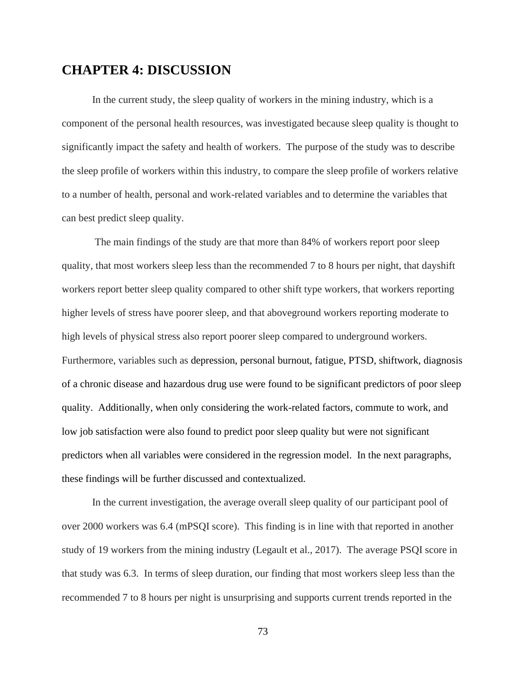### **CHAPTER 4: DISCUSSION**

In the current study, the sleep quality of workers in the mining industry, which is a component of the personal health resources, was investigated because sleep quality is thought to significantly impact the safety and health of workers. The purpose of the study was to describe the sleep profile of workers within this industry, to compare the sleep profile of workers relative to a number of health, personal and work-related variables and to determine the variables that can best predict sleep quality.

The main findings of the study are that more than 84% of workers report poor sleep quality, that most workers sleep less than the recommended 7 to 8 hours per night, that dayshift workers report better sleep quality compared to other shift type workers, that workers reporting higher levels of stress have poorer sleep, and that aboveground workers reporting moderate to high levels of physical stress also report poorer sleep compared to underground workers. Furthermore, variables such as depression, personal burnout, fatigue, PTSD, shiftwork, diagnosis of a chronic disease and hazardous drug use were found to be significant predictors of poor sleep quality. Additionally, when only considering the work-related factors, commute to work, and low job satisfaction were also found to predict poor sleep quality but were not significant predictors when all variables were considered in the regression model. In the next paragraphs, these findings will be further discussed and contextualized.

In the current investigation, the average overall sleep quality of our participant pool of over 2000 workers was 6.4 (mPSQI score). This finding is in line with that reported in another study of 19 workers from the mining industry (Legault et al., 2017). The average PSQI score in that study was 6.3. In terms of sleep duration, our finding that most workers sleep less than the recommended 7 to 8 hours per night is unsurprising and supports current trends reported in the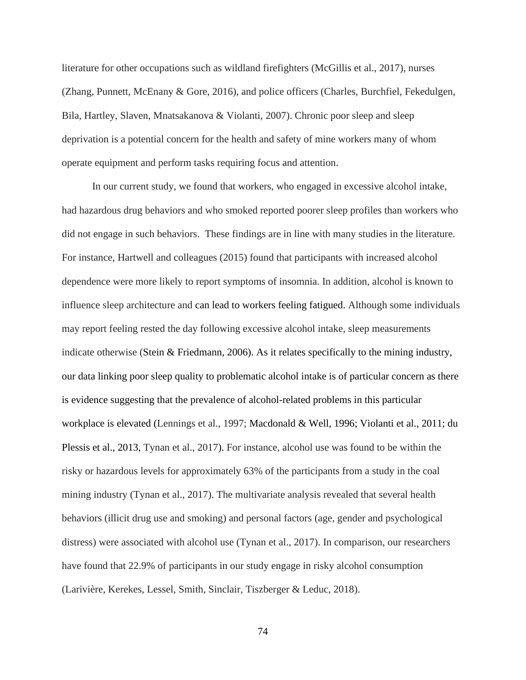literature for other occupations such as wildland firefighters (McGillis et al., 2017), nurses (Zhang, Punnett, McEnany & Gore, 2016), and police officers (Charles, Burchfiel, Fekedulgen, Bila, Hartley, Slaven, Mnatsakanova & Violanti, 2007). Chronic poor sleep and sleep deprivation is a potential concern for the health and safety of mine workers many of whom operate equipment and perform tasks requiring focus and attention.

In our current study, we found that workers, who engaged in excessive alcohol intake, had hazardous drug behaviors and who smoked reported poorer sleep profiles than workers who did not engage in such behaviors. These findings are in line with many studies in the literature. For instance, Hartwell and colleagues (2015) found that participants with increased alcohol dependence were more likely to report symptoms of insomnia. In addition, alcohol is known to influence sleep architecture and can lead to workers feeling fatigued. Although some individuals may report feeling rested the day following excessive alcohol intake, sleep measurements indicate otherwise (Stein & Friedmann, 2006). As it relates specifically to the mining industry, our data linking poor sleep quality to problematic alcohol intake is of particular concern as there is evidence suggesting that the prevalence of alcohol-related problems in this particular workplace is elevated (Lennings et al., 1997; Macdonald & Well, 1996; Violanti et al., 2011; du Plessis et al., 2013, Tynan et al., 2017). For instance, alcohol use was found to be within the risky or hazardous levels for approximately 63% of the participants from a study in the coal mining industry (Tynan et al., 2017). The multivariate analysis revealed that several health behaviors (illicit drug use and smoking) and personal factors (age, gender and psychological distress) were associated with alcohol use (Tynan et al., 2017). In comparison, our researchers have found that 22.9% of participants in our study engage in risky alcohol consumption (Larivière, Kerekes, Lessel, Smith, Sinclair, Tiszberger & Leduc, 2018).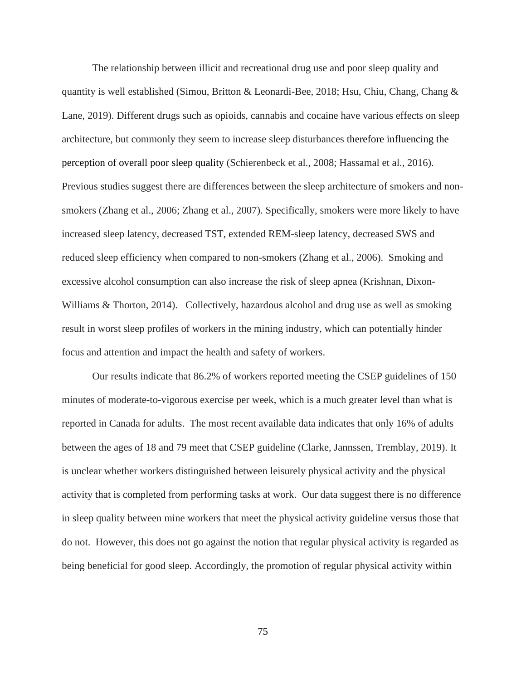The relationship between illicit and recreational drug use and poor sleep quality and quantity is well established (Simou, Britton & Leonardi-Bee, 2018; Hsu, Chiu, Chang, Chang & Lane, 2019). Different drugs such as opioids, cannabis and cocaine have various effects on sleep architecture, but commonly they seem to increase sleep disturbances therefore influencing the perception of overall poor sleep quality (Schierenbeck et al., 2008; Hassamal et al., 2016). Previous studies suggest there are differences between the sleep architecture of smokers and nonsmokers (Zhang et al., 2006; Zhang et al., 2007). Specifically, smokers were more likely to have increased sleep latency, decreased TST, extended REM-sleep latency, decreased SWS and reduced sleep efficiency when compared to non-smokers (Zhang et al., 2006). Smoking and excessive alcohol consumption can also increase the risk of sleep apnea (Krishnan, Dixon-Williams & Thorton, 2014). Collectively, hazardous alcohol and drug use as well as smoking result in worst sleep profiles of workers in the mining industry, which can potentially hinder focus and attention and impact the health and safety of workers.

Our results indicate that 86.2% of workers reported meeting the CSEP guidelines of 150 minutes of moderate-to-vigorous exercise per week, which is a much greater level than what is reported in Canada for adults. The most recent available data indicates that only 16% of adults between the ages of 18 and 79 meet that CSEP guideline (Clarke, Jannssen, Tremblay, 2019). It is unclear whether workers distinguished between leisurely physical activity and the physical activity that is completed from performing tasks at work. Our data suggest there is no difference in sleep quality between mine workers that meet the physical activity guideline versus those that do not. However, this does not go against the notion that regular physical activity is regarded as being beneficial for good sleep. Accordingly, the promotion of regular physical activity within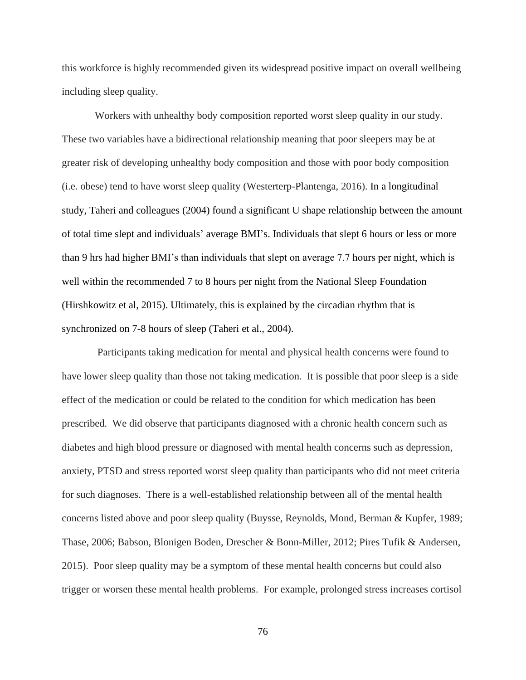this workforce is highly recommended given its widespread positive impact on overall wellbeing including sleep quality.

Workers with unhealthy body composition reported worst sleep quality in our study. These two variables have a bidirectional relationship meaning that poor sleepers may be at greater risk of developing unhealthy body composition and those with poor body composition (i.e. obese) tend to have worst sleep quality (Westerterp-Plantenga, 2016). In a longitudinal study, Taheri and colleagues (2004) found a significant U shape relationship between the amount of total time slept and individuals' average BMI's. Individuals that slept 6 hours or less or more than 9 hrs had higher BMI's than individuals that slept on average 7.7 hours per night, which is well within the recommended 7 to 8 hours per night from the National Sleep Foundation (Hirshkowitz et al, 2015). Ultimately, this is explained by the circadian rhythm that is synchronized on 7-8 hours of sleep (Taheri et al., 2004).

 Participants taking medication for mental and physical health concerns were found to have lower sleep quality than those not taking medication. It is possible that poor sleep is a side effect of the medication or could be related to the condition for which medication has been prescribed. We did observe that participants diagnosed with a chronic health concern such as diabetes and high blood pressure or diagnosed with mental health concerns such as depression, anxiety, PTSD and stress reported worst sleep quality than participants who did not meet criteria for such diagnoses. There is a well-established relationship between all of the mental health concerns listed above and poor sleep quality (Buysse, Reynolds, Mond, Berman & Kupfer, 1989; Thase, 2006; Babson, Blonigen Boden, Drescher & Bonn-Miller, 2012; Pires Tufik & Andersen, 2015). Poor sleep quality may be a symptom of these mental health concerns but could also trigger or worsen these mental health problems. For example, prolonged stress increases cortisol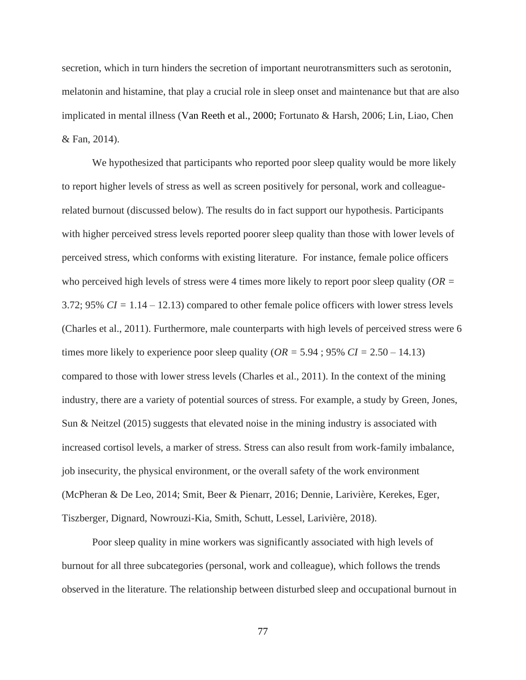secretion, which in turn hinders the secretion of important neurotransmitters such as serotonin, melatonin and histamine, that play a crucial role in sleep onset and maintenance but that are also implicated in mental illness (Van Reeth et al., 2000; Fortunato & Harsh, 2006; Lin, Liao, Chen & Fan, 2014).

We hypothesized that participants who reported poor sleep quality would be more likely to report higher levels of stress as well as screen positively for personal, work and colleaguerelated burnout (discussed below). The results do in fact support our hypothesis. Participants with higher perceived stress levels reported poorer sleep quality than those with lower levels of perceived stress, which conforms with existing literature. For instance, female police officers who perceived high levels of stress were 4 times more likely to report poor sleep quality (*OR =* 3.72; 95% *CI =* 1.14 – 12.13) compared to other female police officers with lower stress levels (Charles et al., 2011). Furthermore, male counterparts with high levels of perceived stress were 6 times more likely to experience poor sleep quality ( $OR = 5.94$ ;  $95\% CI = 2.50 - 14.13$ ) compared to those with lower stress levels (Charles et al., 2011). In the context of the mining industry, there are a variety of potential sources of stress. For example, a study by Green, Jones, Sun & Neitzel (2015) suggests that elevated noise in the mining industry is associated with increased cortisol levels, a marker of stress. Stress can also result from work-family imbalance, job insecurity, the physical environment, or the overall safety of the work environment (McPheran & De Leo, 2014; Smit, Beer & Pienarr, 2016; Dennie, Larivière, Kerekes, Eger, Tiszberger, Dignard, Nowrouzi-Kia, Smith, Schutt, Lessel, Larivière, 2018).

Poor sleep quality in mine workers was significantly associated with high levels of burnout for all three subcategories (personal, work and colleague), which follows the trends observed in the literature. The relationship between disturbed sleep and occupational burnout in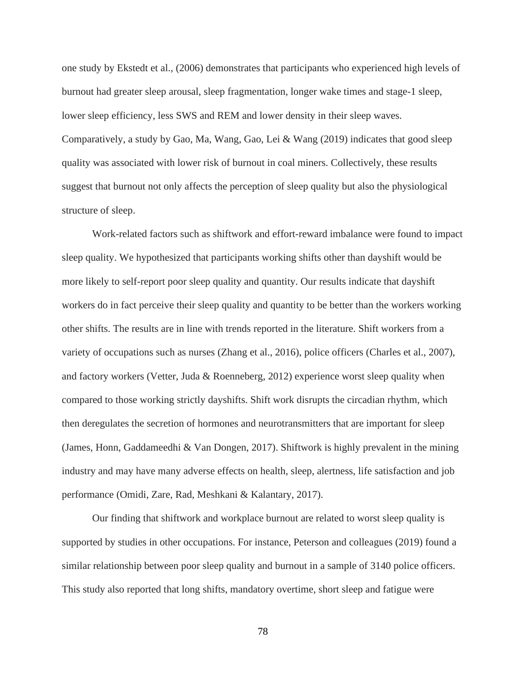one study by Ekstedt et al., (2006) demonstrates that participants who experienced high levels of burnout had greater sleep arousal, sleep fragmentation, longer wake times and stage-1 sleep, lower sleep efficiency, less SWS and REM and lower density in their sleep waves. Comparatively, a study by Gao, Ma, Wang, Gao, Lei & Wang (2019) indicates that good sleep quality was associated with lower risk of burnout in coal miners. Collectively, these results suggest that burnout not only affects the perception of sleep quality but also the physiological structure of sleep.

Work-related factors such as shiftwork and effort-reward imbalance were found to impact sleep quality. We hypothesized that participants working shifts other than dayshift would be more likely to self-report poor sleep quality and quantity. Our results indicate that dayshift workers do in fact perceive their sleep quality and quantity to be better than the workers working other shifts. The results are in line with trends reported in the literature. Shift workers from a variety of occupations such as nurses (Zhang et al., 2016), police officers (Charles et al., 2007), and factory workers (Vetter, Juda & Roenneberg, 2012) experience worst sleep quality when compared to those working strictly dayshifts. Shift work disrupts the circadian rhythm, which then deregulates the secretion of hormones and neurotransmitters that are important for sleep (James, Honn, Gaddameedhi & Van Dongen, 2017). Shiftwork is highly prevalent in the mining industry and may have many adverse effects on health, sleep, alertness, life satisfaction and job performance (Omidi, Zare, Rad, Meshkani & Kalantary, 2017).

Our finding that shiftwork and workplace burnout are related to worst sleep quality is supported by studies in other occupations. For instance, Peterson and colleagues (2019) found a similar relationship between poor sleep quality and burnout in a sample of 3140 police officers. This study also reported that long shifts, mandatory overtime, short sleep and fatigue were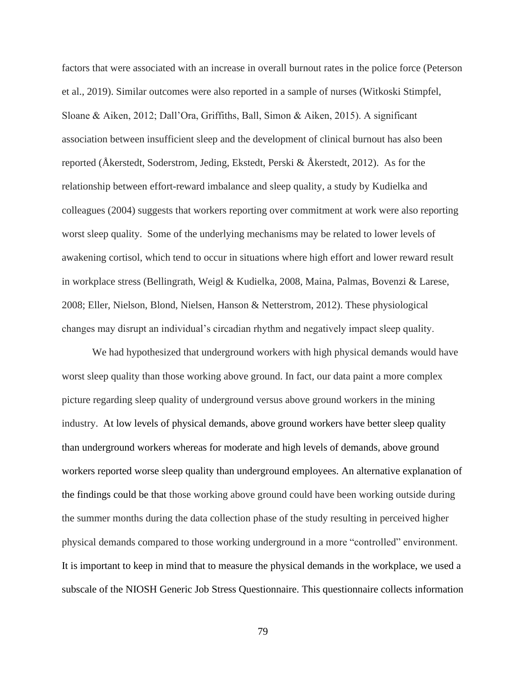factors that were associated with an increase in overall burnout rates in the police force (Peterson et al., 2019). Similar outcomes were also reported in a sample of nurses (Witkoski Stimpfel, Sloane & Aiken, 2012; Dall'Ora, Griffiths, Ball, Simon & Aiken, 2015). A significant association between insufficient sleep and the development of clinical burnout has also been reported (Åkerstedt, Soderstrom, Jeding, Ekstedt, Perski & Åkerstedt, 2012). As for the relationship between effort-reward imbalance and sleep quality, a study by Kudielka and colleagues (2004) suggests that workers reporting over commitment at work were also reporting worst sleep quality. Some of the underlying mechanisms may be related to lower levels of awakening cortisol, which tend to occur in situations where high effort and lower reward result in workplace stress (Bellingrath, Weigl & Kudielka, 2008, Maina, Palmas, Bovenzi & Larese, 2008; Eller, Nielson, Blond, Nielsen, Hanson & Netterstrom, 2012). These physiological changes may disrupt an individual's circadian rhythm and negatively impact sleep quality.

We had hypothesized that underground workers with high physical demands would have worst sleep quality than those working above ground. In fact, our data paint a more complex picture regarding sleep quality of underground versus above ground workers in the mining industry. At low levels of physical demands, above ground workers have better sleep quality than underground workers whereas for moderate and high levels of demands, above ground workers reported worse sleep quality than underground employees. An alternative explanation of the findings could be that those working above ground could have been working outside during the summer months during the data collection phase of the study resulting in perceived higher physical demands compared to those working underground in a more "controlled" environment. It is important to keep in mind that to measure the physical demands in the workplace, we used a subscale of the NIOSH Generic Job Stress Questionnaire. This questionnaire collects information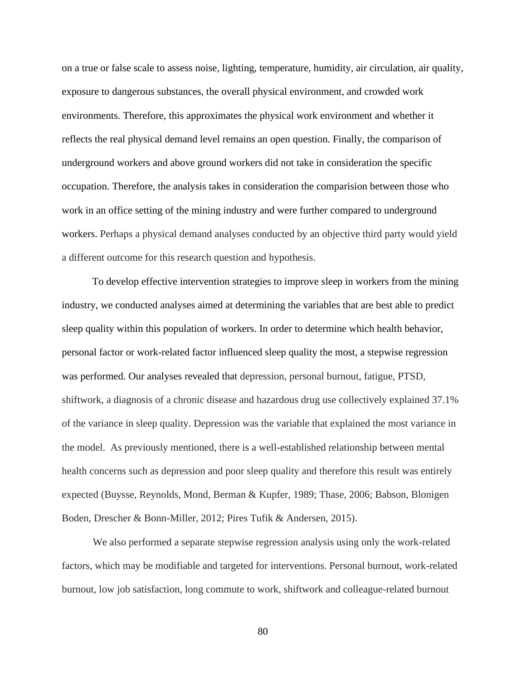on a true or false scale to assess noise, lighting, temperature, humidity, air circulation, air quality, exposure to dangerous substances, the overall physical environment, and crowded work environments. Therefore, this approximates the physical work environment and whether it reflects the real physical demand level remains an open question. Finally, the comparison of underground workers and above ground workers did not take in consideration the specific occupation. Therefore, the analysis takes in consideration the comparision between those who work in an office setting of the mining industry and were further compared to underground workers. Perhaps a physical demand analyses conducted by an objective third party would yield a different outcome for this research question and hypothesis.

To develop effective intervention strategies to improve sleep in workers from the mining industry, we conducted analyses aimed at determining the variables that are best able to predict sleep quality within this population of workers. In order to determine which health behavior, personal factor or work-related factor influenced sleep quality the most, a stepwise regression was performed. Our analyses revealed that depression, personal burnout, fatigue, PTSD, shiftwork, a diagnosis of a chronic disease and hazardous drug use collectively explained 37.1% of the variance in sleep quality. Depression was the variable that explained the most variance in the model. As previously mentioned, there is a well-established relationship between mental health concerns such as depression and poor sleep quality and therefore this result was entirely expected (Buysse, Reynolds, Mond, Berman & Kupfer, 1989; Thase, 2006; Babson, Blonigen Boden, Drescher & Bonn-Miller, 2012; Pires Tufik & Andersen, 2015).

We also performed a separate stepwise regression analysis using only the work-related factors, which may be modifiable and targeted for interventions. Personal burnout, work-related burnout, low job satisfaction, long commute to work, shiftwork and colleague-related burnout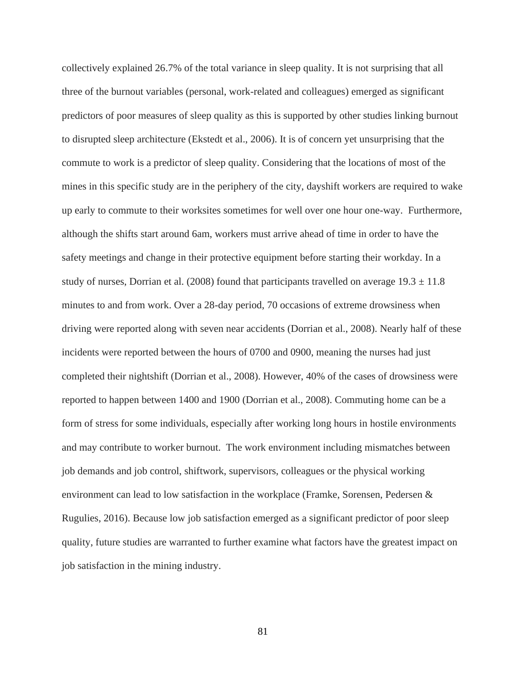collectively explained 26.7% of the total variance in sleep quality. It is not surprising that all three of the burnout variables (personal, work-related and colleagues) emerged as significant predictors of poor measures of sleep quality as this is supported by other studies linking burnout to disrupted sleep architecture (Ekstedt et al., 2006). It is of concern yet unsurprising that the commute to work is a predictor of sleep quality. Considering that the locations of most of the mines in this specific study are in the periphery of the city, dayshift workers are required to wake up early to commute to their worksites sometimes for well over one hour one-way. Furthermore, although the shifts start around 6am, workers must arrive ahead of time in order to have the safety meetings and change in their protective equipment before starting their workday. In a study of nurses, Dorrian et al. (2008) found that participants travelled on average  $19.3 \pm 11.8$ minutes to and from work. Over a 28-day period, 70 occasions of extreme drowsiness when driving were reported along with seven near accidents (Dorrian et al., 2008). Nearly half of these incidents were reported between the hours of 0700 and 0900, meaning the nurses had just completed their nightshift (Dorrian et al., 2008). However, 40% of the cases of drowsiness were reported to happen between 1400 and 1900 (Dorrian et al., 2008). Commuting home can be a form of stress for some individuals, especially after working long hours in hostile environments and may contribute to worker burnout. The work environment including mismatches between job demands and job control, shiftwork, supervisors, colleagues or the physical working environment can lead to low satisfaction in the workplace (Framke, Sorensen, Pedersen & Rugulies, 2016). Because low job satisfaction emerged as a significant predictor of poor sleep quality, future studies are warranted to further examine what factors have the greatest impact on job satisfaction in the mining industry.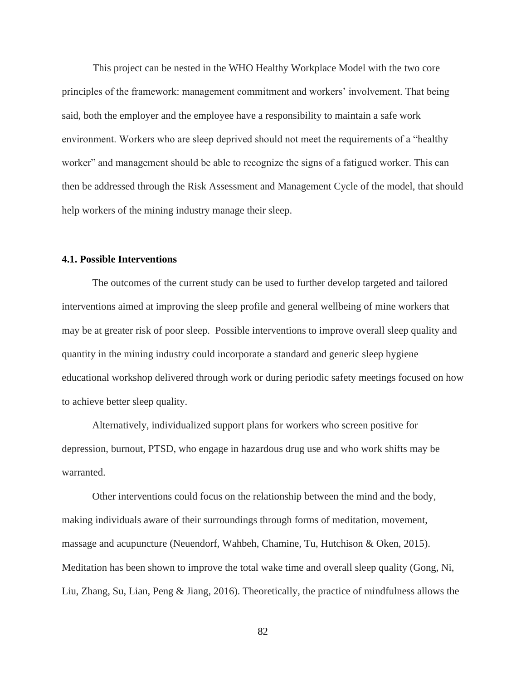This project can be nested in the WHO Healthy Workplace Model with the two core principles of the framework: management commitment and workers' involvement. That being said, both the employer and the employee have a responsibility to maintain a safe work environment. Workers who are sleep deprived should not meet the requirements of a "healthy worker" and management should be able to recognize the signs of a fatigued worker. This can then be addressed through the Risk Assessment and Management Cycle of the model, that should help workers of the mining industry manage their sleep.

### **4.1. Possible Interventions**

The outcomes of the current study can be used to further develop targeted and tailored interventions aimed at improving the sleep profile and general wellbeing of mine workers that may be at greater risk of poor sleep. Possible interventions to improve overall sleep quality and quantity in the mining industry could incorporate a standard and generic sleep hygiene educational workshop delivered through work or during periodic safety meetings focused on how to achieve better sleep quality.

Alternatively, individualized support plans for workers who screen positive for depression, burnout, PTSD, who engage in hazardous drug use and who work shifts may be warranted.

Other interventions could focus on the relationship between the mind and the body, making individuals aware of their surroundings through forms of meditation, movement, massage and acupuncture (Neuendorf, Wahbeh, Chamine, Tu, Hutchison & Oken, 2015). Meditation has been shown to improve the total wake time and overall sleep quality (Gong, Ni, Liu, Zhang, Su, Lian, Peng & Jiang, 2016). Theoretically, the practice of mindfulness allows the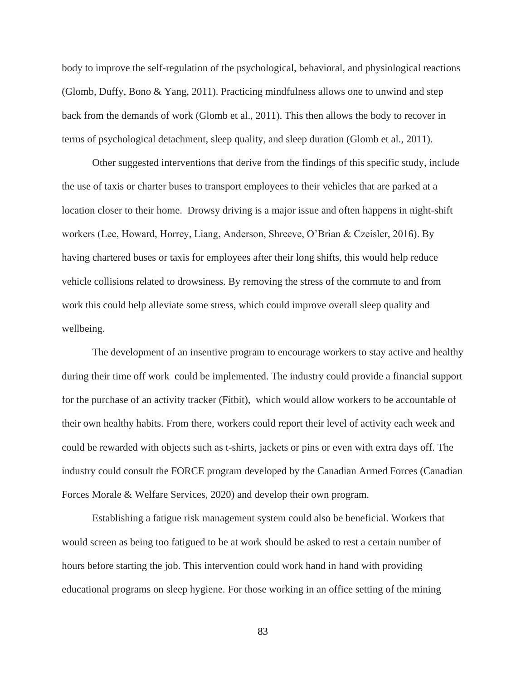body to improve the self-regulation of the psychological, behavioral, and physiological reactions (Glomb, Duffy, Bono & Yang, 2011). Practicing mindfulness allows one to unwind and step back from the demands of work (Glomb et al., 2011). This then allows the body to recover in terms of psychological detachment, sleep quality, and sleep duration (Glomb et al., 2011).

Other suggested interventions that derive from the findings of this specific study, include the use of taxis or charter buses to transport employees to their vehicles that are parked at a location closer to their home. Drowsy driving is a major issue and often happens in night-shift workers (Lee, Howard, Horrey, Liang, Anderson, Shreeve, O'Brian & Czeisler, 2016). By having chartered buses or taxis for employees after their long shifts, this would help reduce vehicle collisions related to drowsiness. By removing the stress of the commute to and from work this could help alleviate some stress, which could improve overall sleep quality and wellbeing.

The development of an insentive program to encourage workers to stay active and healthy during their time off work could be implemented. The industry could provide a financial support for the purchase of an activity tracker (Fitbit), which would allow workers to be accountable of their own healthy habits. From there, workers could report their level of activity each week and could be rewarded with objects such as t-shirts, jackets or pins or even with extra days off. The industry could consult the FORCE program developed by the Canadian Armed Forces (Canadian Forces Morale & Welfare Services, 2020) and develop their own program.

Establishing a fatigue risk management system could also be beneficial. Workers that would screen as being too fatigued to be at work should be asked to rest a certain number of hours before starting the job. This intervention could work hand in hand with providing educational programs on sleep hygiene. For those working in an office setting of the mining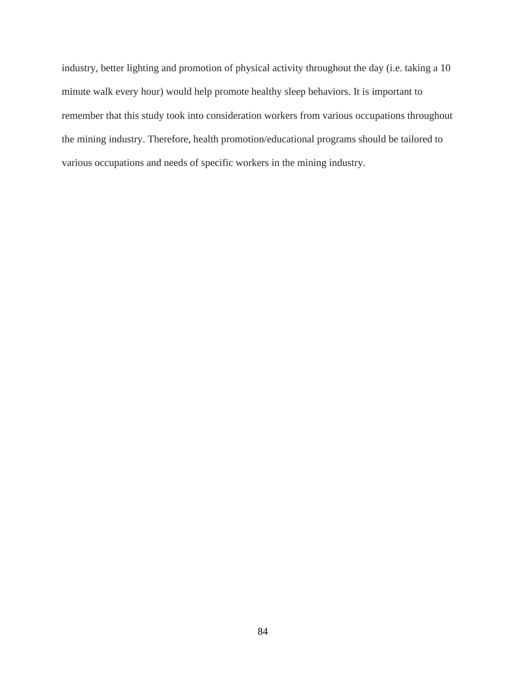industry, better lighting and promotion of physical activity throughout the day (i.e. taking a 10 minute walk every hour) would help promote healthy sleep behaviors. It is important to remember that this study took into consideration workers from various occupations throughout the mining industry. Therefore, health promotion/educational programs should be tailored to various occupations and needs of specific workers in the mining industry.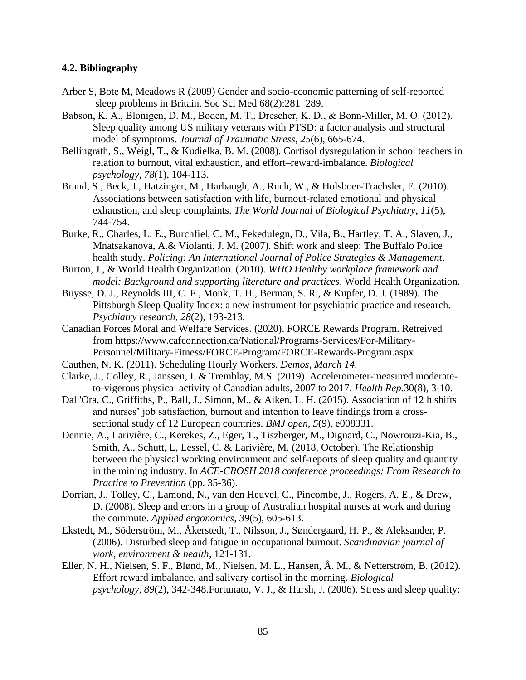### **4.2. Bibliography**

- Arber S, Bote M, Meadows R (2009) Gender and socio-economic patterning of self-reported sleep problems in Britain. Soc Sci Med 68(2):281–289.
- Babson, K. A., Blonigen, D. M., Boden, M. T., Drescher, K. D., & Bonn‐Miller, M. O. (2012). Sleep quality among US military veterans with PTSD: a factor analysis and structural model of symptoms. *Journal of Traumatic Stress*, *25*(6), 665-674.
- Bellingrath, S., Weigl, T., & Kudielka, B. M. (2008). Cortisol dysregulation in school teachers in relation to burnout, vital exhaustion, and effort–reward-imbalance. *Biological psychology*, *78*(1), 104-113.
- Brand, S., Beck, J., Hatzinger, M., Harbaugh, A., Ruch, W., & Holsboer-Trachsler, E. (2010). Associations between satisfaction with life, burnout-related emotional and physical exhaustion, and sleep complaints. *The World Journal of Biological Psychiatry*, *11*(5), 744-754.
- Burke, R., Charles, L. E., Burchfiel, C. M., Fekedulegn, D., Vila, B., Hartley, T. A., Slaven, J., Mnatsakanova, A.& Violanti, J. M. (2007). Shift work and sleep: The Buffalo Police health study. *Policing: An International Journal of Police Strategies & Management*.
- Burton, J., & World Health Organization. (2010). *WHO Healthy workplace framework and model: Background and supporting literature and practices*. World Health Organization.
- Buysse, D. J., Reynolds III, C. F., Monk, T. H., Berman, S. R., & Kupfer, D. J. (1989). The Pittsburgh Sleep Quality Index: a new instrument for psychiatric practice and research. *Psychiatry research*, *28*(2), 193-213.
- Canadian Forces Moral and Welfare Services. (2020). FORCE Rewards Program. Retreived from [https://www.cafconnection.ca/National/Programs-Services/For-Military-](https://www.cafconnection.ca/National/Programs-Services/For-Military-%09Personnel/Military-Fitness/FORCE-Program/FORCE-Rewards-Program.aspx)[Personnel/Military-Fitness/FORCE-Program/FORCE-Rewards-Program.aspx](https://www.cafconnection.ca/National/Programs-Services/For-Military-%09Personnel/Military-Fitness/FORCE-Program/FORCE-Rewards-Program.aspx)
- Cauthen, N. K. (2011). Scheduling Hourly Workers. *Demos, March 14*.
- Clarke, J., Colley, R., Janssen, I. & Tremblay, M.S. (2019). Accelerometer-measured moderateto-vigerous physical activity of Canadian adults, 2007 to 2017. *Health Rep.*30(8), 3-10.
- Dall'Ora, C., Griffiths, P., Ball, J., Simon, M., & Aiken, L. H. (2015). Association of 12 h shifts and nurses' job satisfaction, burnout and intention to leave findings from a crosssectional study of 12 European countries. *BMJ open*, *5*(9), e008331.
- Dennie, A., Larivière, C., Kerekes, Z., Eger, T., Tiszberger, M., Dignard, C., Nowrouzi-Kia, B., Smith, A., Schutt, L, Lessel, C. & Larivière, M. (2018, October). The Relationship between the physical working environment and self-reports of sleep quality and quantity in the mining industry. In *ACE-CROSH 2018 conference proceedings: From Research to Practice to Prevention* (pp. 35-36).
- Dorrian, J., Tolley, C., Lamond, N., van den Heuvel, C., Pincombe, J., Rogers, A. E., & Drew, D. (2008). Sleep and errors in a group of Australian hospital nurses at work and during the commute. *Applied ergonomics*, *39*(5), 605-613.
- Ekstedt, M., Söderström, M., Åkerstedt, T., Nilsson, J., Søndergaard, H. P., & Aleksander, P. (2006). Disturbed sleep and fatigue in occupational burnout. *Scandinavian journal of work, environment & health*, 121-131.
- Eller, N. H., Nielsen, S. F., Blønd, M., Nielsen, M. L., Hansen, Å. M., & Netterstrøm, B. (2012). Effort reward imbalance, and salivary cortisol in the morning. *Biological psychology*, *89*(2), 342-348.Fortunato, V. J., & Harsh, J. (2006). Stress and sleep quality: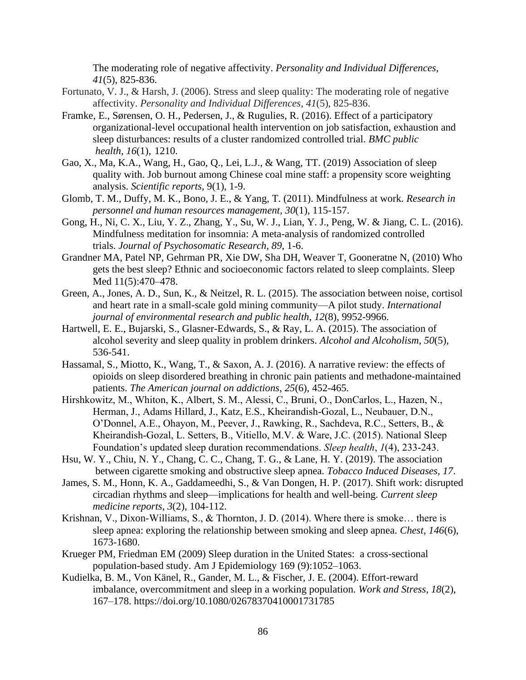The moderating role of negative affectivity. *Personality and Individual Differences*, *41*(5), 825-836.

- Fortunato, V. J., & Harsh, J. (2006). Stress and sleep quality: The moderating role of negative affectivity. *Personality and Individual Differences*, *41*(5), 825-836.
- Framke, E., Sørensen, O. H., Pedersen, J., & Rugulies, R. (2016). Effect of a participatory organizational-level occupational health intervention on job satisfaction, exhaustion and sleep disturbances: results of a cluster randomized controlled trial. *BMC public health*, *16*(1), 1210.
- Gao, X., Ma, K.A., Wang, H., Gao, Q., Lei, L.J., & Wang, TT. (2019) Association of sleep quality with. Job burnout among Chinese coal mine staff: a propensity score weighting analysis. *Scientific reports*, 9(1), 1-9.
- Glomb, T. M., Duffy, M. K., Bono, J. E., & Yang, T. (2011). Mindfulness at work. *Research in personnel and human resources management*, *30*(1), 115-157.
- Gong, H., Ni, C. X., Liu, Y. Z., Zhang, Y., Su, W. J., Lian, Y. J., Peng, W. & Jiang, C. L. (2016). Mindfulness meditation for insomnia: A meta-analysis of randomized controlled trials. *Journal of Psychosomatic Research*, *89*, 1-6.
- Grandner MA, Patel NP, Gehrman PR, Xie DW, Sha DH, Weaver T, Gooneratne N, (2010) Who gets the best sleep? Ethnic and socioeconomic factors related to sleep complaints. Sleep Med 11(5):470–478.
- Green, A., Jones, A. D., Sun, K., & Neitzel, R. L. (2015). The association between noise, cortisol and heart rate in a small-scale gold mining community—A pilot study. *International journal of environmental research and public health*, *12*(8), 9952-9966.
- Hartwell, E. E., Bujarski, S., Glasner-Edwards, S., & Ray, L. A. (2015). The association of alcohol severity and sleep quality in problem drinkers. *Alcohol and Alcoholism*, *50*(5), 536-541.
- Hassamal, S., Miotto, K., Wang, T., & Saxon, A. J. (2016). A narrative review: the effects of opioids on sleep disordered breathing in chronic pain patients and methadone-maintained patients. *The American journal on addictions*, *25*(6), 452-465.
- Hirshkowitz, M., Whiton, K., Albert, S. M., Alessi, C., Bruni, O., DonCarlos, L., Hazen, N., Herman, J., Adams Hillard, J., Katz, E.S., Kheirandish-Gozal, L., Neubauer, D.N., O'Donnel, A.E., Ohayon, M., Peever, J., Rawking, R., Sachdeva, R.C., Setters, B., & Kheirandish-Gozal, L. Setters, B., Vitiello, M.V. & Ware, J.C. (2015). National Sleep Foundation's updated sleep duration recommendations. *Sleep health*, *1*(4), 233-243.
- Hsu, W. Y., Chiu, N. Y., Chang, C. C., Chang, T. G., & Lane, H. Y. (2019). The association between cigarette smoking and obstructive sleep apnea. *Tobacco Induced Diseases*, *17*.
- James, S. M., Honn, K. A., Gaddameedhi, S., & Van Dongen, H. P. (2017). Shift work: disrupted circadian rhythms and sleep—implications for health and well-being. *Current sleep medicine reports*, *3*(2), 104-112.
- Krishnan, V., Dixon-Williams, S., & Thornton, J. D. (2014). Where there is smoke… there is sleep apnea: exploring the relationship between smoking and sleep apnea. *Chest*, *146*(6), 1673-1680.
- Krueger PM, Friedman EM (2009) Sleep duration in the United States: a cross-sectional population-based study. Am J Epidemiology 169 (9):1052–1063.
- Kudielka, B. M., Von Känel, R., Gander, M. L., & Fischer, J. E. (2004). Effort-reward imbalance, overcommitment and sleep in a working population. *Work and Stress*, *18*(2), 167–178.<https://doi.org/10.1080/02678370410001731785>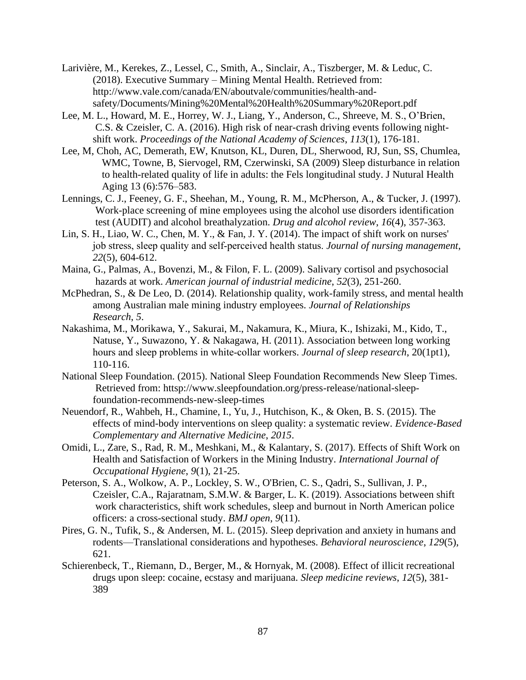- Larivière, M., Kerekes, Z., Lessel, C., Smith, A., Sinclair, A., Tiszberger, M. & Leduc, C. (2018). Executive Summary – Mining Mental Health. Retrieved from: [http://www.vale.com/canada/EN/aboutvale/communities/health-and](http://www.vale.com/canada/EN/aboutvale/communities/health-and-%09safety/Documents/Mining%20Mental%20Health%20Summary%20Report.pdf)[safety/Documents/Mining%20Mental%20Health%20Summary%20Report.pdf](http://www.vale.com/canada/EN/aboutvale/communities/health-and-%09safety/Documents/Mining%20Mental%20Health%20Summary%20Report.pdf)
- Lee, M. L., Howard, M. E., Horrey, W. J., Liang, Y., Anderson, C., Shreeve, M. S., O'Brien, C.S. & Czeisler, C. A. (2016). High risk of near-crash driving events following nightshift work. *Proceedings of the National Academy of Sciences*, *113*(1), 176-181.
- Lee, M, Choh, AC, Demerath, EW, Knutson, KL, Duren, DL, Sherwood, RJ, Sun, SS, Chumlea, WMC, Towne, B, Siervogel, RM, Czerwinski, SA (2009) Sleep disturbance in relation to health-related quality of life in adults: the Fels longitudinal study. J Nutural Health Aging 13 (6):576–583.
- Lennings, C. J., Feeney, G. F., Sheehan, M., Young, R. M., McPherson, A., & Tucker, J. (1997). Work-place screening of mine employees using the alcohol use disorders identification test (AUDIT) and alcohol breathalyzation. *Drug and alcohol review*, *16*(4), 357-363.
- Lin, S. H., Liao, W. C., Chen, M. Y., & Fan, J. Y. (2014). The impact of shift work on nurses' job stress, sleep quality and self‐perceived health status. *Journal of nursing management*, *22*(5), 604-612.
- Maina, G., Palmas, A., Bovenzi, M., & Filon, F. L. (2009). Salivary cortisol and psychosocial hazards at work. *American journal of industrial medicine*, *52*(3), 251-260.
- McPhedran, S., & De Leo, D. (2014). Relationship quality, work-family stress, and mental health among Australian male mining industry employees. *Journal of Relationships Research*, *5*.
- Nakashima, M., Morikawa, Y., Sakurai, M., Nakamura, K., Miura, K., Ishizaki, M., Kido, T., Natuse, Y., Suwazono, Y. & Nakagawa, H. (2011). Association between long working hours and sleep problems in white‐collar workers. *Journal of sleep research*, 20(1pt1), 110-116.
- National Sleep Foundation. (2015). National Sleep Foundation Recommends New Sleep Times. Retrieved from: httsp://www.sleepfoundation.org/press-release/national-sleepfoundation-recommends-new-sleep-times
- Neuendorf, R., Wahbeh, H., Chamine, I., Yu, J., Hutchison, K., & Oken, B. S. (2015). The effects of mind-body interventions on sleep quality: a systematic review. *Evidence-Based Complementary and Alternative Medicine*, *2015*.
- Omidi, L., Zare, S., Rad, R. M., Meshkani, M., & Kalantary, S. (2017). Effects of Shift Work on Health and Satisfaction of Workers in the Mining Industry. *International Journal of Occupational Hygiene*, *9*(1), 21-25.
- Peterson, S. A., Wolkow, A. P., Lockley, S. W., O'Brien, C. S., Qadri, S., Sullivan, J. P., Czeisler, C.A., Rajaratnam, S.M.W. & Barger, L. K. (2019). Associations between shift work characteristics, shift work schedules, sleep and burnout in North American police officers: a cross-sectional study. *BMJ open*, *9*(11).
- Pires, G. N., Tufik, S., & Andersen, M. L. (2015). Sleep deprivation and anxiety in humans and rodents—Translational considerations and hypotheses. *Behavioral neuroscience*, *129*(5), 621.
- Schierenbeck, T., Riemann, D., Berger, M., & Hornyak, M. (2008). Effect of illicit recreational drugs upon sleep: cocaine, ecstasy and marijuana. *Sleep medicine reviews*, *12*(5), 381- 389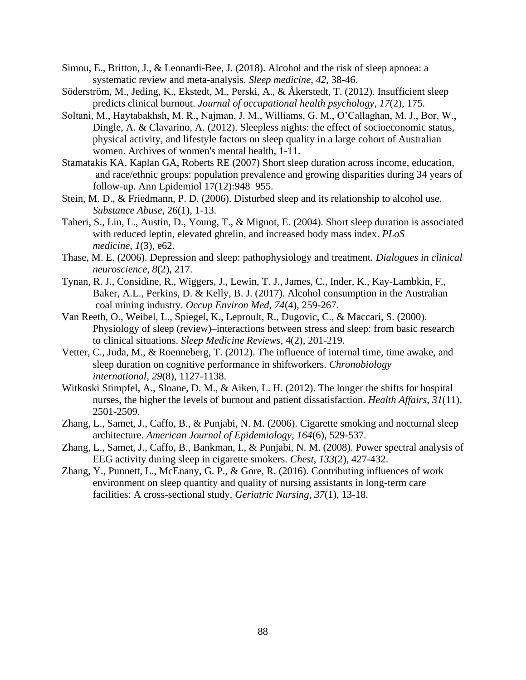- Simou, E., Britton, J., & Leonardi-Bee, J. (2018). Alcohol and the risk of sleep apnoea: a systematic review and meta-analysis. *Sleep medicine*, *42*, 38-46.
- Söderström, M., Jeding, K., Ekstedt, M., Perski, A., & Åkerstedt, T. (2012). Insufficient sleep predicts clinical burnout. *Journal of occupational health psychology*, *17*(2), 175.
- Soltani, M., Haytabakhsh, M. R., Najman, J. M., Williams, G. M., O'Callaghan, M. J., Bor, W., Dingle, A. & Clavarino, A. (2012). Sleepless nights: the effect of socioeconomic status, physical activity, and lifestyle factors on sleep quality in a large cohort of Australian women. Archives of women's mental health, 1-11.
- Stamatakis KA, Kaplan GA, Roberts RE (2007) Short sleep duration across income, education, and race/ethnic groups: population prevalence and growing disparities during 34 years of follow-up. Ann Epidemiol 17(12):948–955.
- Stein, M. D., & Friedmann, P. D. (2006). Disturbed sleep and its relationship to alcohol use. *Substance Abuse*, 26(1), 1-13.
- Taheri, S., Lin, L., Austin, D., Young, T., & Mignot, E. (2004). Short sleep duration is associated with reduced leptin, elevated ghrelin, and increased body mass index. *PLoS medicine*, *1*(3), e62.
- Thase, M. E. (2006). Depression and sleep: pathophysiology and treatment. *Dialogues in clinical neuroscience*, *8*(2), 217.
- Tynan, R. J., Considine, R., Wiggers, J., Lewin, T. J., James, C., Inder, K., Kay-Lambkin, F., Baker, A.L., Perkins, D. & Kelly, B. J. (2017). Alcohol consumption in the Australian coal mining industry. *Occup Environ Med*, *74*(4), 259-267.
- Van Reeth, O., Weibel, L., Spiegel, K., Leproult, R., Dugovic, C., & Maccari, S. (2000). Physiology of sleep (review)–interactions between stress and sleep: from basic research to clinical situations. *Sleep Medicine Reviews*, 4(2), 201-219.
- Vetter, C., Juda, M., & Roenneberg, T. (2012). The influence of internal time, time awake, and sleep duration on cognitive performance in shiftworkers. *Chronobiology international*, *29*(8), 1127-1138.
- Witkoski Stimpfel, A., Sloane, D. M., & Aiken, L. H. (2012). The longer the shifts for hospital nurses, the higher the levels of burnout and patient dissatisfaction. *Health Affairs*, *31*(11), 2501-2509.
- Zhang, L., Samet, J., Caffo, B., & Punjabi, N. M. (2006). Cigarette smoking and nocturnal sleep architecture. *American Journal of Epidemiology*, *164*(6), 529-537.
- Zhang, L., Samet, J., Caffo, B., Bankman, I., & Punjabi, N. M. (2008). Power spectral analysis of EEG activity during sleep in cigarette smokers. *Chest*, *133*(2), 427-432.
- Zhang, Y., Punnett, L., McEnany, G. P., & Gore, R. (2016). Contributing influences of work environment on sleep quantity and quality of nursing assistants in long-term care facilities: A cross-sectional study. *Geriatric Nursing*, *37*(1), 13-18.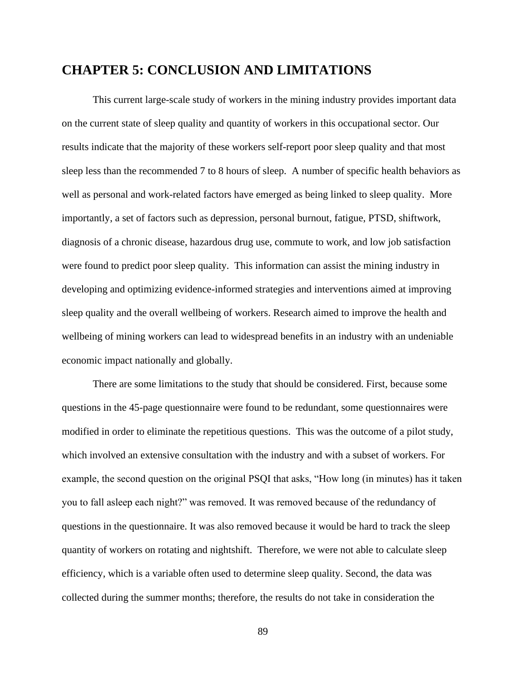### **CHAPTER 5: CONCLUSION AND LIMITATIONS**

This current large-scale study of workers in the mining industry provides important data on the current state of sleep quality and quantity of workers in this occupational sector. Our results indicate that the majority of these workers self-report poor sleep quality and that most sleep less than the recommended 7 to 8 hours of sleep. A number of specific health behaviors as well as personal and work-related factors have emerged as being linked to sleep quality. More importantly, a set of factors such as depression, personal burnout, fatigue, PTSD, shiftwork, diagnosis of a chronic disease, hazardous drug use, commute to work, and low job satisfaction were found to predict poor sleep quality. This information can assist the mining industry in developing and optimizing evidence-informed strategies and interventions aimed at improving sleep quality and the overall wellbeing of workers. Research aimed to improve the health and wellbeing of mining workers can lead to widespread benefits in an industry with an undeniable economic impact nationally and globally.

There are some limitations to the study that should be considered. First, because some questions in the 45-page questionnaire were found to be redundant, some questionnaires were modified in order to eliminate the repetitious questions. This was the outcome of a pilot study, which involved an extensive consultation with the industry and with a subset of workers. For example, the second question on the original PSQI that asks, "How long (in minutes) has it taken you to fall asleep each night?" was removed. It was removed because of the redundancy of questions in the questionnaire. It was also removed because it would be hard to track the sleep quantity of workers on rotating and nightshift. Therefore, we were not able to calculate sleep efficiency, which is a variable often used to determine sleep quality. Second, the data was collected during the summer months; therefore, the results do not take in consideration the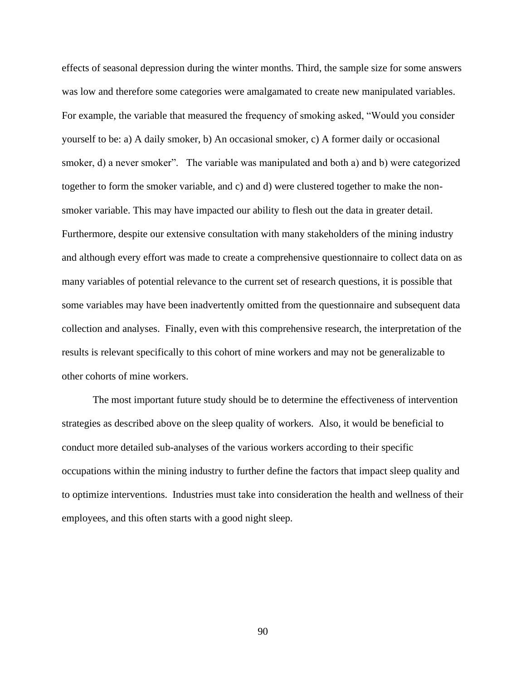effects of seasonal depression during the winter months. Third, the sample size for some answers was low and therefore some categories were amalgamated to create new manipulated variables. For example, the variable that measured the frequency of smoking asked, "Would you consider yourself to be: a) A daily smoker, b) An occasional smoker, c) A former daily or occasional smoker, d) a never smoker". The variable was manipulated and both a) and b) were categorized together to form the smoker variable, and c) and d) were clustered together to make the nonsmoker variable. This may have impacted our ability to flesh out the data in greater detail. Furthermore, despite our extensive consultation with many stakeholders of the mining industry and although every effort was made to create a comprehensive questionnaire to collect data on as many variables of potential relevance to the current set of research questions, it is possible that some variables may have been inadvertently omitted from the questionnaire and subsequent data collection and analyses. Finally, even with this comprehensive research, the interpretation of the results is relevant specifically to this cohort of mine workers and may not be generalizable to other cohorts of mine workers.

The most important future study should be to determine the effectiveness of intervention strategies as described above on the sleep quality of workers. Also, it would be beneficial to conduct more detailed sub-analyses of the various workers according to their specific occupations within the mining industry to further define the factors that impact sleep quality and to optimize interventions. Industries must take into consideration the health and wellness of their employees, and this often starts with a good night sleep.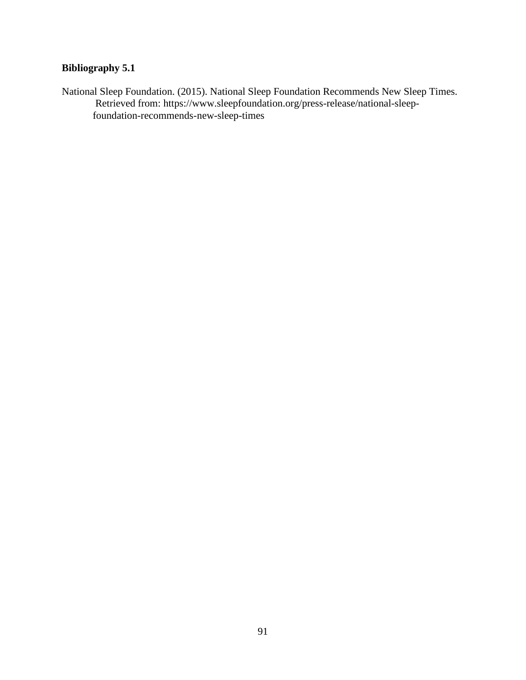### **Bibliography 5.1**

National Sleep Foundation. (2015). National Sleep Foundation Recommends New Sleep Times. Retrieved from: [https://www.sleepfoundation.org/press-release/national-sleep](https://www.sleepfoundation.org/press-release/national-sleep-%09foundation-recommends-new-sleep-times)[foundation-recommends-new-sleep-times](https://www.sleepfoundation.org/press-release/national-sleep-%09foundation-recommends-new-sleep-times)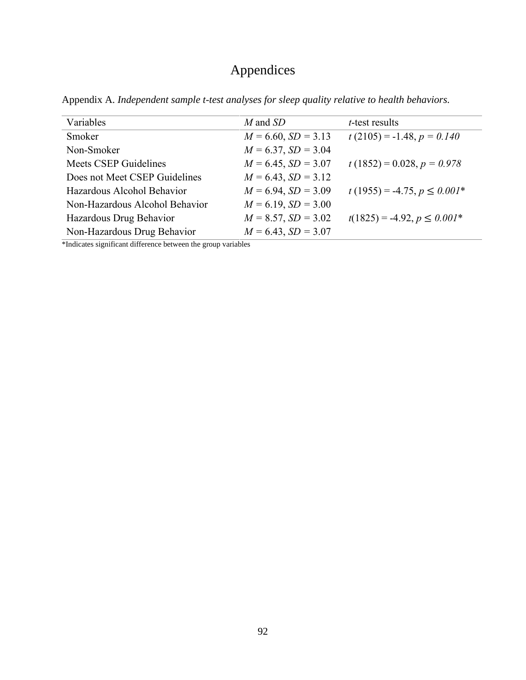# Appendices

| Variables                      | M and SD                 | <i>t</i> -test results           |
|--------------------------------|--------------------------|----------------------------------|
| Smoker                         | $M = 6.60, SD = 3.13$    | $t(2105) = -1.48, p = 0.140$     |
| Non-Smoker                     | $M = 6.37, SD = 3.04$    |                                  |
| <b>Meets CSEP Guidelines</b>   | $M = 6.45$ , $SD = 3.07$ | $t(1852) = 0.028, p = 0.978$     |
| Does not Meet CSEP Guidelines  | $M = 6.43$ , $SD = 3.12$ |                                  |
| Hazardous Alcohol Behavior     | $M = 6.94$ , $SD = 3.09$ | $t(1955) = -4.75, p \leq 0.001*$ |
| Non-Hazardous Alcohol Behavior | $M = 6.19$ , $SD = 3.00$ |                                  |
| Hazardous Drug Behavior        | $M = 8.57, SD = 3.02$    | $t(1825) = -4.92, p \le 0.001*$  |
| Non-Hazardous Drug Behavior    | $M = 6.43$ , $SD = 3.07$ |                                  |

Appendix A. *Independent sample t-test analyses for sleep quality relative to health behaviors.*

\*Indicates significant difference between the group variables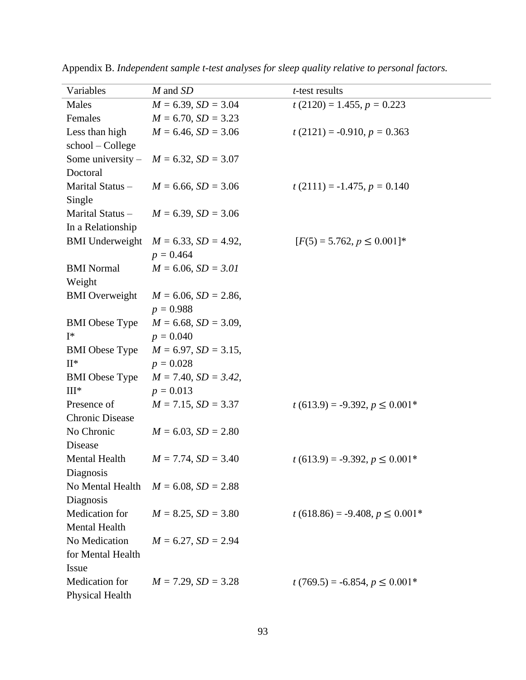| Variables              | M and SD                   | <i>t</i> -test results             |
|------------------------|----------------------------|------------------------------------|
| Males                  | $M = 6.39$ , $SD = 3.04$   | $t(2120) = 1.455, p = 0.223$       |
| Females                | $M = 6.70$ , $SD = 3.23$   |                                    |
| Less than high         | $M = 6.46$ , $SD = 3.06$   | $t(2121) = -0.910, p = 0.363$      |
| school - College       |                            |                                    |
| Some university $-$    | $M = 6.32$ , $SD = 3.07$   |                                    |
| Doctoral               |                            |                                    |
| Marital Status-        | $M = 6.66$ , $SD = 3.06$   | $t(2111) = -1.475$ , $p = 0.140$   |
| Single                 |                            |                                    |
| Marital Status -       | $M = 6.39$ , $SD = 3.06$   |                                    |
| In a Relationship      |                            |                                    |
| <b>BMI</b> Underweight | $M = 6.33$ , $SD = 4.92$ , | $[F(5) = 5.762, p \le 0.001]$ *    |
|                        | $p = 0.464$                |                                    |
| <b>BMI</b> Normal      | $M = 6.06$ , $SD = 3.01$   |                                    |
| Weight                 |                            |                                    |
| <b>BMI</b> Overweight  | $M = 6.06$ , $SD = 2.86$ , |                                    |
|                        | $p = 0.988$                |                                    |
| <b>BMI</b> Obese Type  | $M = 6.68$ , $SD = 3.09$ , |                                    |
| $I^*$                  | $p = 0.040$                |                                    |
| <b>BMI</b> Obese Type  | $M = 6.97$ , $SD = 3.15$ , |                                    |
| $\mathrm{II}^*$        | $p = 0.028$                |                                    |
| <b>BMI</b> Obese Type  | $M = 7.40$ , $SD = 3.42$ , |                                    |
| $III*$                 | $p = 0.013$                |                                    |
| Presence of            | $M = 7.15$ , $SD = 3.37$   | $t(613.9) = -9.392, p \le 0.001*$  |
| <b>Chronic Disease</b> |                            |                                    |
| No Chronic             | $M = 6.03$ , $SD = 2.80$   |                                    |
| Disease                |                            |                                    |
| Mental Health          | $M = 7.74$ , $SD = 3.40$   | $t(613.9) = -9.392, p \le 0.001*$  |
| Diagnosis              |                            |                                    |
| No Mental Health       | $M = 6.08$ , $SD = 2.88$   |                                    |
| Diagnosis              |                            |                                    |
| Medication for         | $M = 8.25$ , $SD = 3.80$   | $t(618.86) = -9.408, p \le 0.001*$ |
| Mental Health          |                            |                                    |
| No Medication          | $M = 6.27$ , $SD = 2.94$   |                                    |
| for Mental Health      |                            |                                    |
| Issue                  |                            |                                    |
| Medication for         | $M = 7.29$ , $SD = 3.28$   | $t(769.5) = -6.854, p \le 0.001*$  |
| <b>Physical Health</b> |                            |                                    |

Appendix B. *Independent sample t-test analyses for sleep quality relative to personal factors.*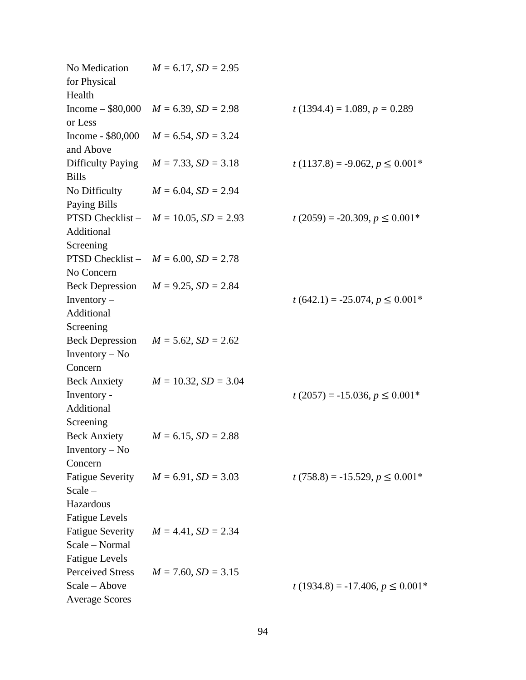| for Physical<br>Health                                                                      | No Medication $M = 6.17$ , $SD = 2.95$            |                                     |
|---------------------------------------------------------------------------------------------|---------------------------------------------------|-------------------------------------|
| or Less                                                                                     | Income – $$80,000$ $M = 6.39$ , $SD = 2.98$       | $t(1394.4) = 1.089, p = 0.289$      |
| and Above                                                                                   | Income - \$80,000 $M = 6.54$ , $SD = 3.24$        |                                     |
| <b>Bills</b>                                                                                | Difficulty Paying $M = 7.33$ , $SD = 3.18$        | $t(1137.8) = -9.062, p \le 0.001*$  |
| Paying Bills                                                                                | No Difficulty $M = 6.04$ , $SD = 2.94$            |                                     |
| Additional                                                                                  | <b>PTSD</b> Checklist - $M = 10.05$ , $SD = 2.93$ | $t(2059) = -20.309, p \le 0.001*$   |
| Screening<br>No Concern                                                                     | PTSD Checklist - $M = 6.00$ , $SD = 2.78$         |                                     |
| Inventory $-$<br>Additional<br>Screening                                                    | Beck Depression $M = 9.25$ , $SD = 2.84$          | $t(642.1) = -25.074, p \le 0.001*$  |
| Inventory $-$ No<br>Concern                                                                 | Beck Depression $M = 5.62$ , $SD = 2.62$          |                                     |
| Inventory -<br>Additional<br>Screening                                                      | Beck Anxiety $M = 10.32, SD = 3.04$               | $t(2057) = -15.036, p \le 0.001*$   |
| Inventory $-$ No<br>Concern                                                                 | Beck Anxiety $M = 6.15$ , $SD = 2.88$             |                                     |
| <b>Fatigue Severity</b><br>$Scale -$<br>Hazardous                                           | $M = 6.91, SD = 3.03$                             | $t(758.8) = -15.529, p \le 0.001*$  |
| <b>Fatigue Levels</b><br><b>Fatigue Severity</b><br>Scale - Normal<br><b>Fatigue Levels</b> | $M = 4.41$ , $SD = 2.34$                          |                                     |
| <b>Perceived Stress</b><br>Scale - Above<br><b>Average Scores</b>                           | $M = 7.60$ , $SD = 3.15$                          | $t(1934.8) = -17.406, p \le 0.001*$ |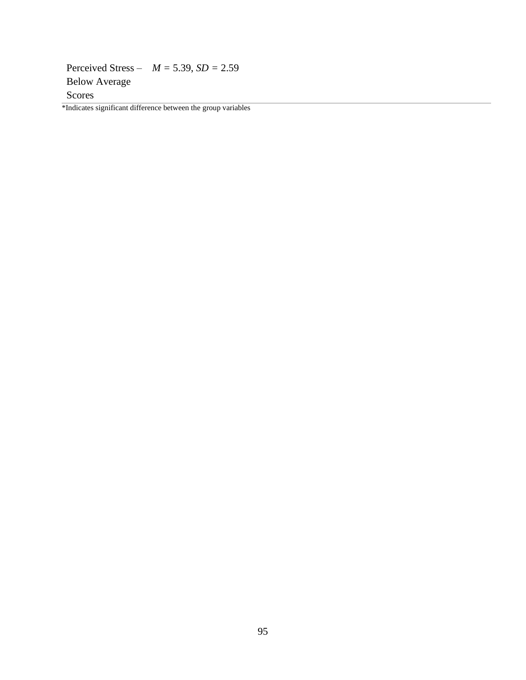Perceived Stress – *M =* 5.39, *SD =* 2.59 Below Average Scores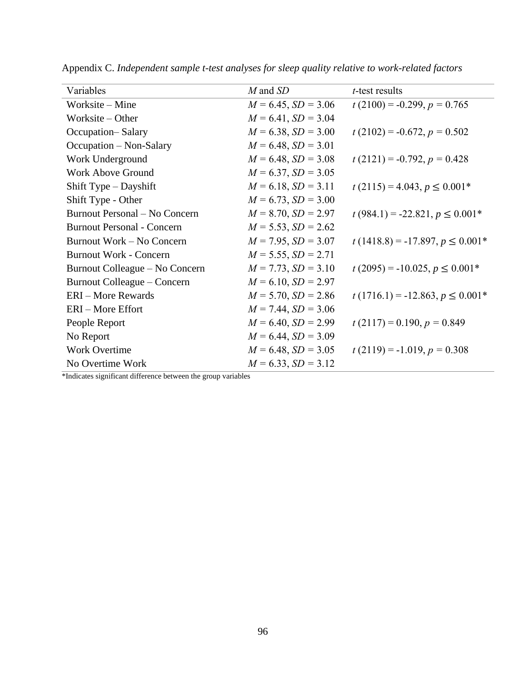| Variables                         | M and SD                 | $t$ -test results                   |
|-----------------------------------|--------------------------|-------------------------------------|
| Worksite – Mine                   | $M = 6.45$ , $SD = 3.06$ | $t(2100) = -0.299$ , $p = 0.765$    |
| Worksite – Other                  | $M = 6.41, SD = 3.04$    |                                     |
| Occupation-Salary                 | $M = 6.38, SD = 3.00$    | $t(2102) = -0.672, p = 0.502$       |
| Occupation – Non-Salary           | $M = 6.48$ , $SD = 3.01$ |                                     |
| Work Underground                  | $M = 6.48$ , $SD = 3.08$ | $t(2121) = -0.792, p = 0.428$       |
| <b>Work Above Ground</b>          | $M = 6.37$ , $SD = 3.05$ |                                     |
| Shift Type – Dayshift             | $M = 6.18$ , $SD = 3.11$ | $t(2115) = 4.043, p \le 0.001*$     |
| Shift Type - Other                | $M = 6.73$ , $SD = 3.00$ |                                     |
| Burnout Personal - No Concern     | $M = 8.70$ , $SD = 2.97$ | $t(984.1) = -22.821, p \le 0.001*$  |
| <b>Burnout Personal - Concern</b> | $M = 5.53$ , $SD = 2.62$ |                                     |
| Burnout Work – No Concern         | $M = 7.95$ , $SD = 3.07$ | $t(1418.8) = -17.897, p \le 0.001*$ |
| <b>Burnout Work - Concern</b>     | $M = 5.55$ , $SD = 2.71$ |                                     |
| Burnout Colleague – No Concern    | $M = 7.73$ , $SD = 3.10$ | $t(2095) = -10.025, p \le 0.001*$   |
| Burnout Colleague – Concern       | $M = 6.10, SD = 2.97$    |                                     |
| <b>ERI</b> – More Rewards         | $M = 5.70$ , $SD = 2.86$ | $t(1716.1) = -12.863, p \le 0.001*$ |
| ERI-More Effort                   | $M = 7.44$ , $SD = 3.06$ |                                     |
| People Report                     | $M = 6.40, SD = 2.99$    | $t(2117) = 0.190, p = 0.849$        |
| No Report                         | $M = 6.44$ , $SD = 3.09$ |                                     |
| <b>Work Overtime</b>              | $M = 6.48$ , $SD = 3.05$ | $t(2119) = -1.019, p = 0.308$       |
| No Overtime Work                  | $M = 6.33, SD = 3.12$    |                                     |

Appendix C. *Independent sample t-test analyses for sleep quality relative to work-related factors*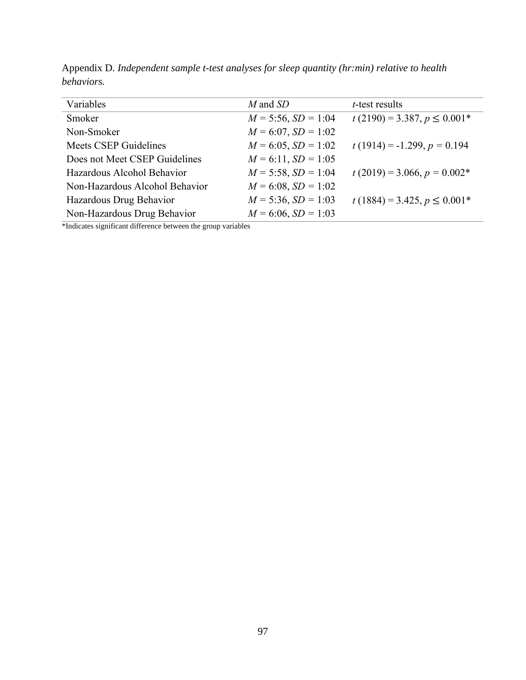| Variables                      | M and SD                 | <i>t</i> -test results          |
|--------------------------------|--------------------------|---------------------------------|
| Smoker                         | $M = 5:56$ , $SD = 1:04$ | $t(2190) = 3.387, p \le 0.001*$ |
| Non-Smoker                     | $M = 6:07$ , $SD = 1:02$ |                                 |
| <b>Meets CSEP Guidelines</b>   | $M = 6:05$ , $SD = 1:02$ | $t(1914) = -1.299, p = 0.194$   |
| Does not Meet CSEP Guidelines  | $M = 6:11$ , $SD = 1:05$ |                                 |
| Hazardous Alcohol Behavior     | $M = 5:58$ , $SD = 1:04$ | $t(2019) = 3.066, p = 0.002*$   |
| Non-Hazardous Alcohol Behavior | $M = 6:08$ , $SD = 1:02$ |                                 |
| Hazardous Drug Behavior        | $M = 5:36$ , $SD = 1:03$ | $t(1884) = 3.425, p \le 0.001*$ |
| Non-Hazardous Drug Behavior    | $M = 6:06$ , $SD = 1:03$ |                                 |

Appendix D. *Independent sample t-test analyses for sleep quantity (hr:min) relative to health behaviors.*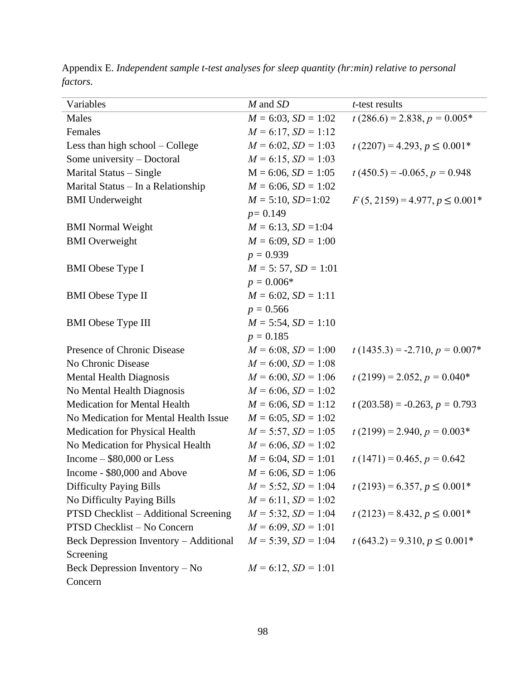| Variables                              | $M$ and $SD$              | <i>t</i> -test results             |
|----------------------------------------|---------------------------|------------------------------------|
| Males                                  | $M = 6:03$ , $SD = 1:02$  | $t(286.6) = 2.838, p = 0.005*$     |
| Females                                | $M = 6:17$ , $SD = 1:12$  |                                    |
| Less than high school – College        | $M = 6:02$ , $SD = 1:03$  | $t(2207) = 4.293, p \le 0.001*$    |
| Some university - Doctoral             | $M = 6:15$ , $SD = 1:03$  |                                    |
| Marital Status – Single                | $M = 6:06, SD = 1:05$     | $t(450.5) = -0.065, p = 0.948$     |
| Marital Status - In a Relationship     | $M = 6:06, SD = 1:02$     |                                    |
| <b>BMI</b> Underweight                 | $M = 5:10$ , $SD=1:02$    | $F(5, 2159) = 4.977, p \le 0.001*$ |
|                                        | $p = 0.149$               |                                    |
| <b>BMI</b> Normal Weight               | $M = 6:13$ , $SD = 1:04$  |                                    |
| <b>BMI</b> Overweight                  | $M = 6:09$ , $SD = 1:00$  |                                    |
|                                        | $p = 0.939$               |                                    |
| <b>BMI</b> Obese Type I                | $M = 5: 57$ , $SD = 1:01$ |                                    |
|                                        | $p = 0.006*$              |                                    |
| <b>BMI</b> Obese Type II               | $M = 6:02$ , $SD = 1:11$  |                                    |
|                                        | $p = 0.566$               |                                    |
| <b>BMI</b> Obese Type III              | $M = 5:54$ , $SD = 1:10$  |                                    |
|                                        | $p = 0.185$               |                                    |
| Presence of Chronic Disease            | $M = 6:08, SD = 1:00$     | $t(1435.3) = -2.710, p = 0.007*$   |
| No Chronic Disease                     | $M = 6:00, SD = 1:08$     |                                    |
| <b>Mental Health Diagnosis</b>         | $M = 6:00, SD = 1:06$     | $t(2199) = 2.052, p = 0.040*$      |
| No Mental Health Diagnosis             | $M = 6:06$ , $SD = 1:02$  |                                    |
| <b>Medication for Mental Health</b>    | $M = 6:06, SD = 1:12$     | $t(203.58) = -0.263, p = 0.793$    |
| No Medication for Mental Health Issue  | $M = 6:05$ , $SD = 1:02$  |                                    |
| Medication for Physical Health         | $M = 5:57$ , $SD = 1:05$  | $t(2199) = 2.940, p = 0.003*$      |
| No Medication for Physical Health      | $M = 6:06$ , $SD = 1:02$  |                                    |
| Income $-$ \$80,000 or Less            | $M = 6:04$ , $SD = 1:01$  | $t(1471) = 0.465, p = 0.642$       |
| Income - \$80,000 and Above            | $M = 6:06, SD = 1:06$     |                                    |
| <b>Difficulty Paying Bills</b>         | $M = 5:52$ , $SD = 1:04$  | $t(2193) = 6.357, p \le 0.001*$    |
| No Difficulty Paying Bills             | $M = 6:11, SD = 1:02$     |                                    |
| PTSD Checklist – Additional Screening  | $M = 5:32$ , $SD = 1:04$  | $t(2123) = 8.432, p \le 0.001*$    |
| PTSD Checklist - No Concern            | $M = 6:09$ , $SD = 1:01$  |                                    |
| Beck Depression Inventory - Additional | $M = 5:39$ , $SD = 1:04$  | $t(643.2) = 9.310, p \le 0.001*$   |
| Screening                              |                           |                                    |
| Beck Depression Inventory - No         | $M = 6:12, SD = 1:01$     |                                    |
| Concern                                |                           |                                    |

Appendix E. *Independent sample t-test analyses for sleep quantity (hr:min) relative to personal factors.*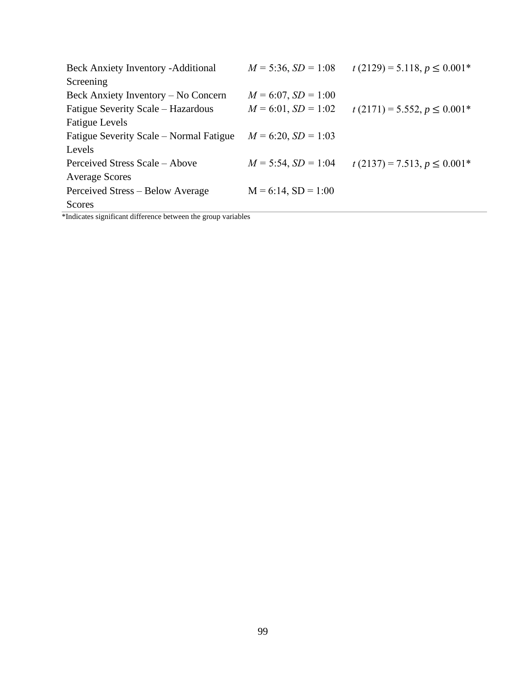| <b>Beck Anxiety Inventory - Additional</b> | $M = 5:36$ , $SD = 1:08$ | $t(2129) = 5.118, p \le 0.001*$ |
|--------------------------------------------|--------------------------|---------------------------------|
| Screening                                  |                          |                                 |
| Beck Anxiety Inventory – No Concern        | $M = 6:07$ , $SD = 1:00$ |                                 |
| Fatigue Severity Scale – Hazardous         | $M = 6:01$ , $SD = 1:02$ | $t(2171) = 5.552, p \le 0.001*$ |
| <b>Fatigue Levels</b>                      |                          |                                 |
| Fatigue Severity Scale – Normal Fatigue    | $M = 6:20, SD = 1:03$    |                                 |
| Levels                                     |                          |                                 |
| Perceived Stress Scale – Above             | $M = 5:54$ , $SD = 1:04$ | $t(2137) = 7.513, p \le 0.001*$ |
| <b>Average Scores</b>                      |                          |                                 |
| Perceived Stress – Below Average           | $M = 6:14$ , $SD = 1:00$ |                                 |
| Scores                                     |                          |                                 |